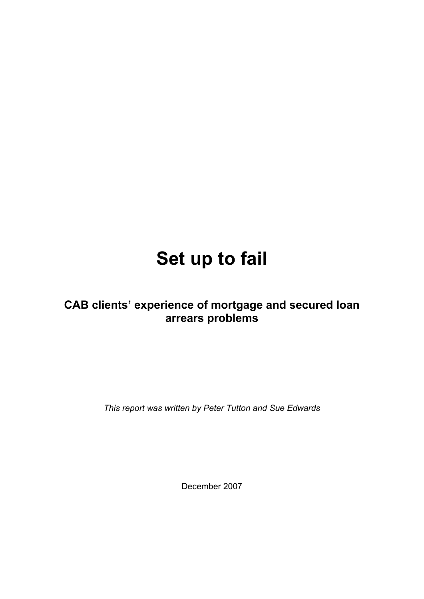# **Set up to fail**

# **CAB clients' experience of mortgage and secured loan arrears problems**

*This report was written by Peter Tutton and Sue Edwards* 

December 2007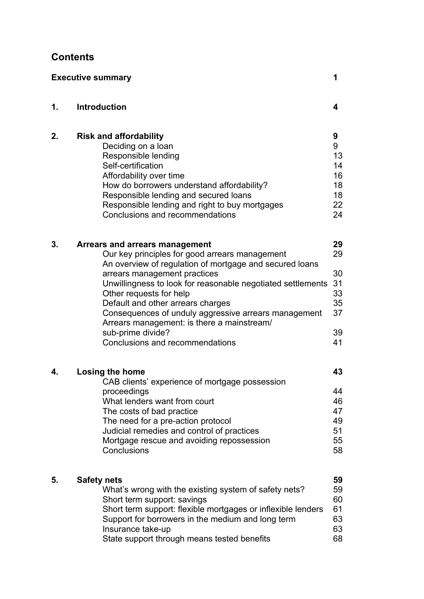# **Contents**

| <b>Executive summary</b><br>1 |                                                                                                                                                                                                                                                                                                                                                                                                                                                                          |                                                    |  |  |
|-------------------------------|--------------------------------------------------------------------------------------------------------------------------------------------------------------------------------------------------------------------------------------------------------------------------------------------------------------------------------------------------------------------------------------------------------------------------------------------------------------------------|----------------------------------------------------|--|--|
| 1.                            | <b>Introduction</b>                                                                                                                                                                                                                                                                                                                                                                                                                                                      | 4                                                  |  |  |
| 2.                            | <b>Risk and affordability</b><br>Deciding on a loan<br>Responsible lending<br>Self-certification<br>Affordability over time<br>How do borrowers understand affordability?<br>Responsible lending and secured loans<br>Responsible lending and right to buy mortgages<br>Conclusions and recommendations                                                                                                                                                                  | 9<br>9<br>13<br>14<br>16<br>18<br>18<br>22<br>24   |  |  |
| 3.                            | Arrears and arrears management<br>Our key principles for good arrears management<br>An overview of regulation of mortgage and secured loans<br>arrears management practices<br>Unwillingness to look for reasonable negotiated settlements<br>Other requests for help<br>Default and other arrears charges<br>Consequences of unduly aggressive arrears management<br>Arrears management: is there a mainstream/<br>sub-prime divide?<br>Conclusions and recommendations | 29<br>29<br>30<br>31<br>33<br>35<br>37<br>39<br>41 |  |  |
| 4.                            | <b>Losing the home</b><br>CAB clients' experience of mortgage possession<br>proceedings<br>What lenders want from court<br>The costs of bad practice<br>The need for a pre-action protocol<br>Judicial remedies and control of practices<br>Mortgage rescue and avoiding repossession<br>Conclusions                                                                                                                                                                     | 43<br>44<br>46<br>47<br>49<br>51<br>55<br>58       |  |  |
| 5.                            | <b>Safety nets</b><br>What's wrong with the existing system of safety nets?<br>Short term support: savings<br>Short term support: flexible mortgages or inflexible lenders<br>Support for borrowers in the medium and long term<br>Insurance take-up<br>State support through means tested benefits                                                                                                                                                                      | 59<br>59<br>60<br>61<br>63<br>63<br>68             |  |  |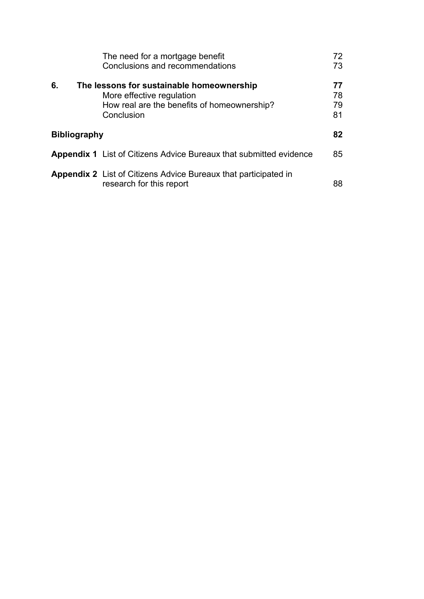|                     | The need for a mortgage benefit<br>Conclusions and recommendations                                                                  | 72<br>73             |
|---------------------|-------------------------------------------------------------------------------------------------------------------------------------|----------------------|
| 6.                  | The lessons for sustainable homeownership<br>More effective regulation<br>How real are the benefits of homeownership?<br>Conclusion | 77<br>78<br>79<br>81 |
| <b>Bibliography</b> |                                                                                                                                     | 82                   |
|                     | <b>Appendix 1</b> List of Citizens Advice Bureaux that submitted evidence                                                           | 85                   |
|                     | <b>Appendix 2</b> List of Citizens Advice Bureaux that participated in<br>research for this report                                  | 88                   |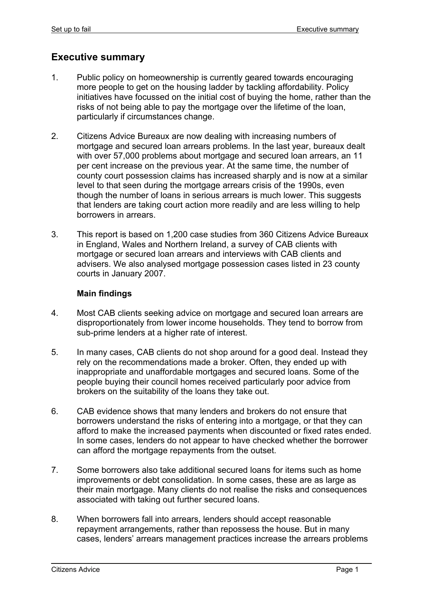# **Executive summary**

- 1. Public policy on homeownership is currently geared towards encouraging more people to get on the housing ladder by tackling affordability. Policy initiatives have focussed on the initial cost of buying the home, rather than the risks of not being able to pay the mortgage over the lifetime of the loan, particularly if circumstances change.
- 2. Citizens Advice Bureaux are now dealing with increasing numbers of mortgage and secured loan arrears problems. In the last year, bureaux dealt with over 57,000 problems about mortgage and secured loan arrears, an 11 per cent increase on the previous year. At the same time, the number of county court possession claims has increased sharply and is now at a similar level to that seen during the mortgage arrears crisis of the 1990s, even though the number of loans in serious arrears is much lower. This suggests that lenders are taking court action more readily and are less willing to help borrowers in arrears.
- 3. This report is based on 1,200 case studies from 360 Citizens Advice Bureaux in England, Wales and Northern Ireland, a survey of CAB clients with mortgage or secured loan arrears and interviews with CAB clients and advisers. We also analysed mortgage possession cases listed in 23 county courts in January 2007.

#### **Main findings**

- 4. Most CAB clients seeking advice on mortgage and secured loan arrears are disproportionately from lower income households. They tend to borrow from sub-prime lenders at a higher rate of interest.
- 5. In many cases, CAB clients do not shop around for a good deal. Instead they rely on the recommendations made a broker. Often, they ended up with inappropriate and unaffordable mortgages and secured loans. Some of the people buying their council homes received particularly poor advice from brokers on the suitability of the loans they take out.
- 6. CAB evidence shows that many lenders and brokers do not ensure that borrowers understand the risks of entering into a mortgage, or that they can afford to make the increased payments when discounted or fixed rates ended. In some cases, lenders do not appear to have checked whether the borrower can afford the mortgage repayments from the outset.
- 7. Some borrowers also take additional secured loans for items such as home improvements or debt consolidation. In some cases, these are as large as their main mortgage. Many clients do not realise the risks and consequences associated with taking out further secured loans.
- 8. When borrowers fall into arrears, lenders should accept reasonable repayment arrangements, rather than repossess the house. But in many cases, lenders' arrears management practices increase the arrears problems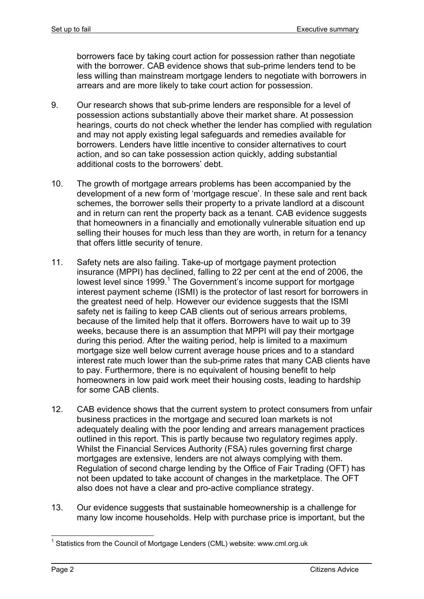borrowers face by taking court action for possession rather than negotiate with the borrower. CAB evidence shows that sub-prime lenders tend to be less willing than mainstream mortgage lenders to negotiate with borrowers in arrears and are more likely to take court action for possession.

- 9. Our research shows that sub-prime lenders are responsible for a level of possession actions substantially above their market share. At possession hearings, courts do not check whether the lender has complied with regulation and may not apply existing legal safeguards and remedies available for borrowers. Lenders have little incentive to consider alternatives to court action, and so can take possession action quickly, adding substantial additional costs to the borrowers' debt.
- 10. The growth of mortgage arrears problems has been accompanied by the development of a new form of 'mortgage rescue'. In these sale and rent back schemes, the borrower sells their property to a private landlord at a discount and in return can rent the property back as a tenant. CAB evidence suggests that homeowners in a financially and emotionally vulnerable situation end up selling their houses for much less than they are worth, in return for a tenancy that offers little security of tenure.
- 11. Safety nets are also failing. Take-up of mortgage payment protection insurance (MPPI) has declined, falling to 22 per cent at the end of 2006, the lowest level since 1999.<sup>1</sup> The Government's income support for mortgage interest payment scheme (ISMI) is the protector of last resort for borrowers in the greatest need of help. However our evidence suggests that the ISMI safety net is failing to keep CAB clients out of serious arrears problems, because of the limited help that it offers. Borrowers have to wait up to 39 weeks, because there is an assumption that MPPI will pay their mortgage during this period. After the waiting period, help is limited to a maximum mortgage size well below current average house prices and to a standard interest rate much lower than the sub-prime rates that many CAB clients have to pay. Furthermore, there is no equivalent of housing benefit to help homeowners in low paid work meet their housing costs, leading to hardship for some CAB clients.
- 12. CAB evidence shows that the current system to protect consumers from unfair business practices in the mortgage and secured loan markets is not adequately dealing with the poor lending and arrears management practices outlined in this report. This is partly because two regulatory regimes apply. Whilst the Financial Services Authority (FSA) rules governing first charge mortgages are extensive, lenders are not always complying with them. Regulation of second charge lending by the Office of Fair Trading (OFT) has not been updated to take account of changes in the marketplace. The OFT also does not have a clear and pro-active compliance strategy.
- 13. Our evidence suggests that sustainable homeownership is a challenge for many low income households. Help with purchase price is important, but the

<sup>1</sup> <sup>1</sup> Statistics from the Council of Mortgage Lenders (CML) website: www.cml.org.uk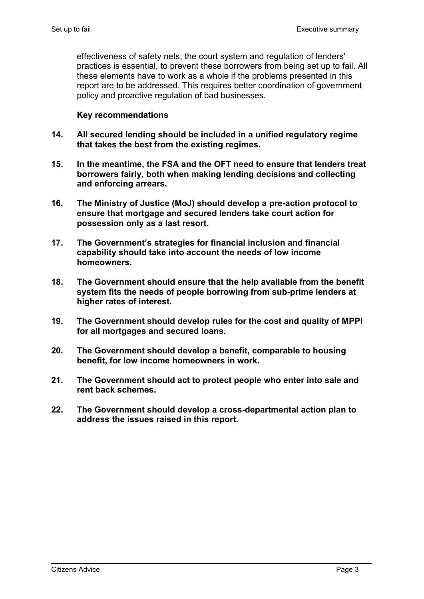effectiveness of safety nets, the court system and regulation of lenders' practices is essential, to prevent these borrowers from being set up to fail. All these elements have to work as a whole if the problems presented in this report are to be addressed. This requires better coordination of government policy and proactive regulation of bad businesses.

#### **Key recommendations**

- **14. All secured lending should be included in a unified regulatory regime that takes the best from the existing regimes.**
- **15. In the meantime, the FSA and the OFT need to ensure that lenders treat borrowers fairly, both when making lending decisions and collecting and enforcing arrears.**
- **16. The Ministry of Justice (MoJ) should develop a pre-action protocol to ensure that mortgage and secured lenders take court action for possession only as a last resort.**
- **17. The Government's strategies for financial inclusion and financial capability should take into account the needs of low income homeowners.**
- **18. The Government should ensure that the help available from the benefit system fits the needs of people borrowing from sub-prime lenders at higher rates of interest.**
- **19. The Government should develop rules for the cost and quality of MPPI for all mortgages and secured loans.**
- **20. The Government should develop a benefit, comparable to housing benefit, for low income homeowners in work.**
- **21. The Government should act to protect people who enter into sale and rent back schemes.**
- **22. The Government should develop a cross-departmental action plan to address the issues raised in this report.**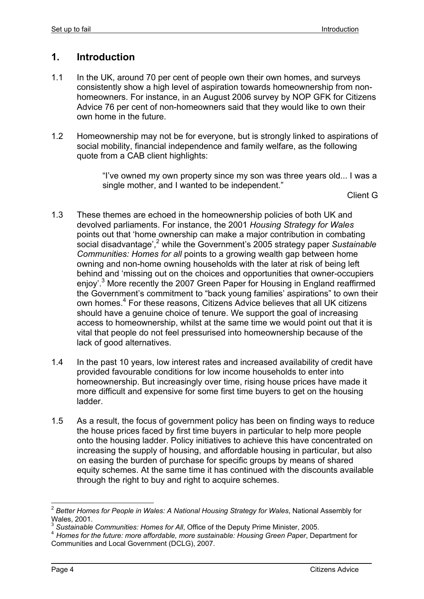## **1. Introduction**

- 1.1 In the UK, around 70 per cent of people own their own homes, and surveys consistently show a high level of aspiration towards homeownership from nonhomeowners. For instance, in an August 2006 survey by NOP GFK for Citizens Advice 76 per cent of non-homeowners said that they would like to own their own home in the future.
- 1.2 Homeownership may not be for everyone, but is strongly linked to aspirations of social mobility, financial independence and family welfare, as the following quote from a CAB client highlights:

"I've owned my own property since my son was three years old... I was a single mother, and I wanted to be independent."

Client G

- 1.3 These themes are echoed in the homeownership policies of both UK and devolved parliaments. For instance, the 2001 *Housing Strategy for Wales*  points out that 'home ownership can make a major contribution in combating social disadvantage',<sup>2</sup> while the Government's 2005 strategy paper Sustainable *Communities: Homes for all* points to a growing wealth gap between home owning and non-home owning households with the later at risk of being left behind and 'missing out on the choices and opportunities that owner-occupiers enjoy'.<sup>3</sup> More recently the 2007 Green Paper for Housing in England reaffirmed the Government's commitment to "back young families' aspirations" to own their own homes.<sup>4</sup> For these reasons, Citizens Advice believes that all UK citizens should have a genuine choice of tenure. We support the goal of increasing access to homeownership, whilst at the same time we would point out that it is vital that people do not feel pressurised into homeownership because of the lack of good alternatives.
- 1.4 In the past 10 years, low interest rates and increased availability of credit have provided favourable conditions for low income households to enter into homeownership. But increasingly over time, rising house prices have made it more difficult and expensive for some first time buyers to get on the housing ladder.
- 1.5 As a result, the focus of government policy has been on finding ways to reduce the house prices faced by first time buyers in particular to help more people onto the housing ladder. Policy initiatives to achieve this have concentrated on increasing the supply of housing, and affordable housing in particular, but also on easing the burden of purchase for specific groups by means of shared equity schemes. At the same time it has continued with the discounts available through the right to buy and right to acquire schemes.

<sup>1</sup> <sup>2</sup> *Better Homes for People in Wales: A National Housing Strategy for Wales*, National Assembly for Wales, 2001.<br><sup>3</sup> Sustainable Communities: Homes for All, Office of the Deputy Prime Minister, 2005.

<sup>&</sup>lt;sup>4</sup> Homes for the future: more affordable, more sustainable: Housing Green Paper, Department for Communities and Local Government (DCLG), 2007.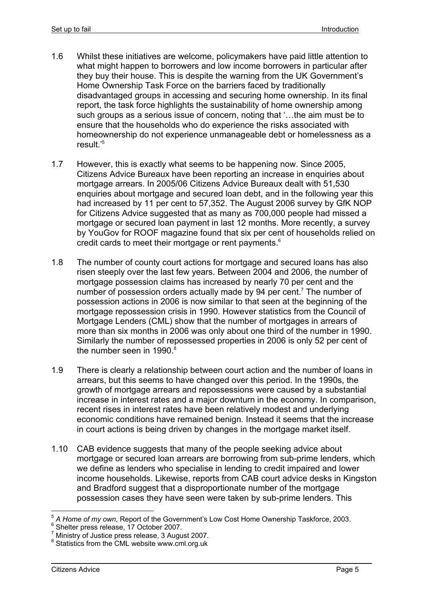- 1.6 Whilst these initiatives are welcome, policymakers have paid little attention to what might happen to borrowers and low income borrowers in particular after they buy their house. This is despite the warning from the UK Government's Home Ownership Task Force on the barriers faced by traditionally disadvantaged groups in accessing and securing home ownership. In its final report, the task force highlights the sustainability of home ownership among such groups as a serious issue of concern, noting that '...the aim must be to ensure that the households who do experience the risks associated with homeownership do not experience unmanageable debt or homelessness as a result.'5
- 1.7 However, this is exactly what seems to be happening now. Since 2005, Citizens Advice Bureaux have been reporting an increase in enquiries about mortgage arrears. In 2005/06 Citizens Advice Bureaux dealt with 51,530 enquiries about mortgage and secured loan debt, and in the following year this had increased by 11 per cent to 57,352. The August 2006 survey by GfK NOP for Citizens Advice suggested that as many as 700,000 people had missed a mortgage or secured loan payment in last 12 months. More recently, a survey by YouGov for ROOF magazine found that six per cent of households relied on credit cards to meet their mortgage or rent payments.<sup>6</sup>
- 1.8 The number of county court actions for mortgage and secured loans has also risen steeply over the last few years. Between 2004 and 2006, the number of mortgage possession claims has increased by nearly 70 per cent and the number of possession orders actually made by 94 per cent.<sup>7</sup> The number of possession actions in 2006 is now similar to that seen at the beginning of the mortgage repossession crisis in 1990. However statistics from the Council of Mortgage Lenders (CML) show that the number of mortgages in arrears of more than six months in 2006 was only about one third of the number in 1990. Similarly the number of repossessed properties in 2006 is only 52 per cent of the number seen in 1990. $8$
- 1.9 There is clearly a relationship between court action and the number of loans in arrears, but this seems to have changed over this period. In the 1990s, the growth of mortgage arrears and repossessions were caused by a substantial increase in interest rates and a major downturn in the economy. In comparison, recent rises in interest rates have been relatively modest and underlying economic conditions have remained benign. Instead it seems that the increase in court actions is being driven by changes in the mortgage market itself.
- 1.10 CAB evidence suggests that many of the people seeking advice about mortgage or secured loan arrears are borrowing from sub-prime lenders, which we define as lenders who specialise in lending to credit impaired and lower income households. Likewise, reports from CAB court advice desks in Kingston and Bradford suggest that a disproportionate number of the mortgage possession cases they have seen were taken by sub-prime lenders. This

<sup>5</sup> *A Home of my own*, Report of the Government's Low Cost Home Ownership Taskforce, 2003. 6

<sup>&</sup>lt;sup>6</sup> Shelter press release, 17 October 2007.

<sup>&</sup>lt;sup>7</sup> Ministry of Justice press release, 3 August 2007.

<sup>&</sup>lt;sup>8</sup> Statistics from the CML website www.cml.org.uk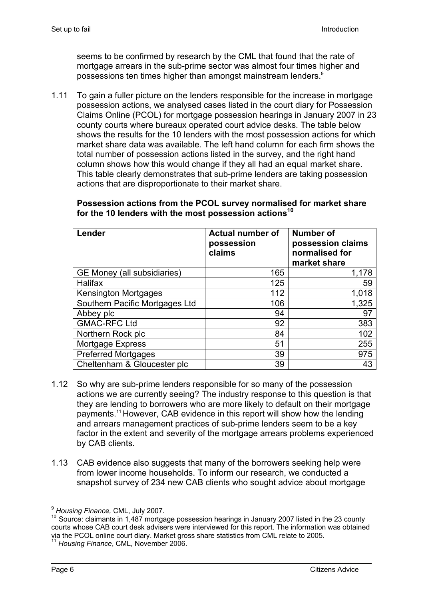seems to be confirmed by research by the CML that found that the rate of mortgage arrears in the sub-prime sector was almost four times higher and possessions ten times higher than amongst mainstream lenders.9

1.11 To gain a fuller picture on the lenders responsible for the increase in mortgage possession actions, we analysed cases listed in the court diary for Possession Claims Online (PCOL) for mortgage possession hearings in January 2007 in 23 county courts where bureaux operated court advice desks. The table below shows the results for the 10 lenders with the most possession actions for which market share data was available. The left hand column for each firm shows the total number of possession actions listed in the survey, and the right hand column shows how this would change if they all had an equal market share. This table clearly demonstrates that sub-prime lenders are taking possession actions that are disproportionate to their market share.

| Lender                         | <b>Actual number of</b><br>possession<br>claims | <b>Number of</b><br>possession claims<br>normalised for<br>market share |
|--------------------------------|-------------------------------------------------|-------------------------------------------------------------------------|
| GE Money (all subsidiaries)    | 165                                             | 1,178                                                                   |
| <b>Halifax</b>                 | 125                                             | 59                                                                      |
| <b>Kensington Mortgages</b>    | 112                                             | 1,018                                                                   |
| Southern Pacific Mortgages Ltd | 106                                             | 1,325                                                                   |
| Abbey plc                      | 94                                              | 97                                                                      |
| <b>GMAC-RFC Ltd</b>            | 92                                              | 383                                                                     |
| Northern Rock plc              | 84                                              | 102                                                                     |
| Mortgage Express               | 51                                              | 255                                                                     |
| <b>Preferred Mortgages</b>     | 39                                              | 975                                                                     |
| Cheltenham & Gloucester plc    | 39                                              | 43                                                                      |

**Possession actions from the PCOL survey normalised for market share**  for the 10 lenders with the most possession actions<sup>10</sup>

- 1.12 So why are sub-prime lenders responsible for so many of the possession actions we are currently seeing? The industry response to this question is that they are lending to borrowers who are more likely to default on their mortgage payments.11 However, CAB evidence in this report will show how the lending and arrears management practices of sub-prime lenders seem to be a key factor in the extent and severity of the mortgage arrears problems experienced by CAB clients.
- 1.13 CAB evidence also suggests that many of the borrowers seeking help were from lower income households. To inform our research, we conducted a snapshot survey of 234 new CAB clients who sought advice about mortgage

<sup>&</sup>lt;sup>9</sup> Housing Finance, CML, July 2007.

<sup>&</sup>lt;sup>10</sup> Source: claimants in 1,487 mortgage possession hearings in January 2007 listed in the 23 county courts whose CAB court desk advisers were interviewed for this report. The information was obtained via the PCOL online court diary. Market gross share statistics from CML relate to 2005.

<sup>11</sup> *Housing Finance*, CML, November 2006.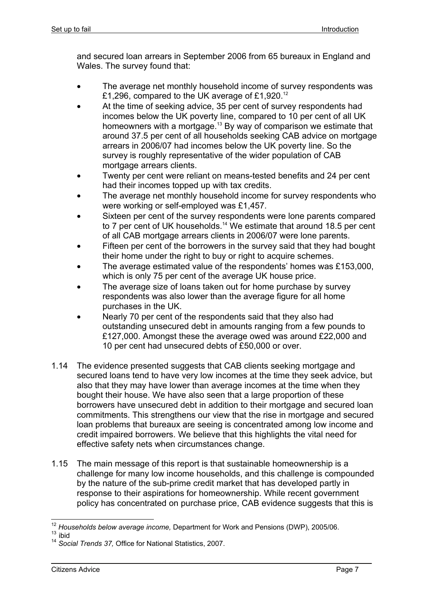and secured loan arrears in September 2006 from 65 bureaux in England and Wales. The survey found that:

- The average net monthly household income of survey respondents was £1,296, compared to the UK average of £1,920.12
- At the time of seeking advice, 35 per cent of survey respondents had incomes below the UK poverty line, compared to 10 per cent of all UK homeowners with a mortgage.<sup>13</sup> By way of comparison we estimate that around 37.5 per cent of all households seeking CAB advice on mortgage arrears in 2006/07 had incomes below the UK poverty line. So the survey is roughly representative of the wider population of CAB mortgage arrears clients.
- Twenty per cent were reliant on means-tested benefits and 24 per cent had their incomes topped up with tax credits.
- The average net monthly household income for survey respondents who were working or self-employed was £1,457.
- Sixteen per cent of the survey respondents were lone parents compared to 7 per cent of UK households.<sup>14</sup> We estimate that around 18.5 per cent of all CAB mortgage arrears clients in 2006/07 were lone parents.
- Fifteen per cent of the borrowers in the survey said that they had bought their home under the right to buy or right to acquire schemes.
- The average estimated value of the respondents' homes was £153,000, which is only 75 per cent of the average UK house price.
- The average size of loans taken out for home purchase by survey respondents was also lower than the average figure for all home purchases in the UK.
- Nearly 70 per cent of the respondents said that they also had outstanding unsecured debt in amounts ranging from a few pounds to £127,000. Amongst these the average owed was around £22,000 and 10 per cent had unsecured debts of £50,000 or over.
- 1.14 The evidence presented suggests that CAB clients seeking mortgage and secured loans tend to have very low incomes at the time they seek advice, but also that they may have lower than average incomes at the time when they bought their house. We have also seen that a large proportion of these borrowers have unsecured debt in addition to their mortgage and secured loan commitments. This strengthens our view that the rise in mortgage and secured loan problems that bureaux are seeing is concentrated among low income and credit impaired borrowers. We believe that this highlights the vital need for effective safety nets when circumstances change.
- 1.15 The main message of this report is that sustainable homeownership is a challenge for many low income households, and this challenge is compounded by the nature of the sub-prime credit market that has developed partly in response to their aspirations for homeownership. While recent government policy has concentrated on purchase price, CAB evidence suggests that this is

<sup>1</sup> <sup>12</sup> Households below average income, Department for Work and Pensions (DWP), 2005/06.

 $13$  ibid

<sup>14</sup> *Social Trends 37,* Office for National Statistics, 2007.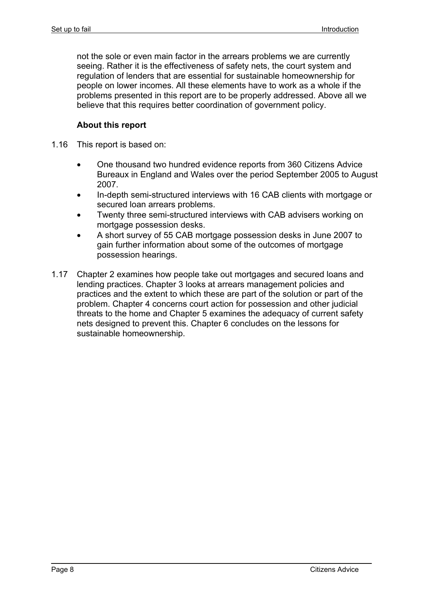not the sole or even main factor in the arrears problems we are currently seeing. Rather it is the effectiveness of safety nets, the court system and regulation of lenders that are essential for sustainable homeownership for people on lower incomes. All these elements have to work as a whole if the problems presented in this report are to be properly addressed. Above all we believe that this requires better coordination of government policy.

#### **About this report**

- 1.16 This report is based on:
	- One thousand two hundred evidence reports from 360 Citizens Advice Bureaux in England and Wales over the period September 2005 to August 2007.
	- In-depth semi-structured interviews with 16 CAB clients with mortgage or secured loan arrears problems.
	- Twenty three semi-structured interviews with CAB advisers working on mortgage possession desks.
	- A short survey of 55 CAB mortgage possession desks in June 2007 to gain further information about some of the outcomes of mortgage possession hearings.
- 1.17 Chapter 2 examines how people take out mortgages and secured loans and lending practices. Chapter 3 looks at arrears management policies and practices and the extent to which these are part of the solution or part of the problem. Chapter 4 concerns court action for possession and other judicial threats to the home and Chapter 5 examines the adequacy of current safety nets designed to prevent this. Chapter 6 concludes on the lessons for sustainable homeownership.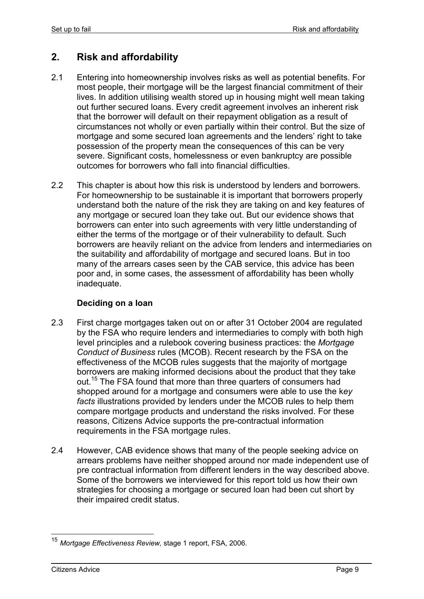# **2. Risk and affordability**

- 2.1 Entering into homeownership involves risks as well as potential benefits. For most people, their mortgage will be the largest financial commitment of their lives. In addition utilising wealth stored up in housing might well mean taking out further secured loans. Every credit agreement involves an inherent risk that the borrower will default on their repayment obligation as a result of circumstances not wholly or even partially within their control. But the size of mortgage and some secured loan agreements and the lenders' right to take possession of the property mean the consequences of this can be very severe. Significant costs, homelessness or even bankruptcy are possible outcomes for borrowers who fall into financial difficulties.
- 2.2 This chapter is about how this risk is understood by lenders and borrowers. For homeownership to be sustainable it is important that borrowers properly understand both the nature of the risk they are taking on and key features of any mortgage or secured loan they take out. But our evidence shows that borrowers can enter into such agreements with very little understanding of either the terms of the mortgage or of their vulnerability to default. Such borrowers are heavily reliant on the advice from lenders and intermediaries on the suitability and affordability of mortgage and secured loans. But in too many of the arrears cases seen by the CAB service, this advice has been poor and, in some cases, the assessment of affordability has been wholly inadequate.

#### **Deciding on a loan**

- 2.3 First charge mortgages taken out on or after 31 October 2004 are regulated by the FSA who require lenders and intermediaries to comply with both high level principles and a rulebook covering business practices: the *Mortgage Conduct of Business* rules (MCOB). Recent research by the FSA on the effectiveness of the MCOB rules suggests that the majority of mortgage borrowers are making informed decisions about the product that they take out.<sup>15</sup> The FSA found that more than three quarters of consumers had shopped around for a mortgage and consumers were able to use the k*ey facts* illustrations provided by lenders under the MCOB rules to help them compare mortgage products and understand the risks involved. For these reasons, Citizens Advice supports the pre-contractual information requirements in the FSA mortgage rules.
- 2.4 However, CAB evidence shows that many of the people seeking advice on arrears problems have neither shopped around nor made independent use of pre contractual information from different lenders in the way described above. Some of the borrowers we interviewed for this report told us how their own strategies for choosing a mortgage or secured loan had been cut short by their impaired credit status.

<sup>15</sup> *Mortgage Effectiveness Review,* stage 1 report, FSA, 2006.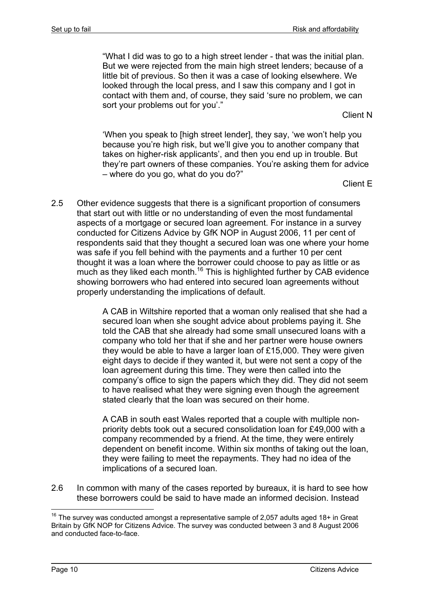"What I did was to go to a high street lender - that was the initial plan. But we were rejected from the main high street lenders; because of a little bit of previous. So then it was a case of looking elsewhere. We looked through the local press, and I saw this company and I got in contact with them and, of course, they said 'sure no problem, we can sort your problems out for you'."

Client N

'When you speak to [high street lender], they say, 'we won't help you because you're high risk, but we'll give you to another company that takes on higher-risk applicants', and then you end up in trouble. But they're part owners of these companies. You're asking them for advice – where do you go, what do you do?"

Client E

2.5 Other evidence suggests that there is a significant proportion of consumers that start out with little or no understanding of even the most fundamental aspects of a mortgage or secured loan agreement. For instance in a survey conducted for Citizens Advice by GfK NOP in August 2006, 11 per cent of respondents said that they thought a secured loan was one where your home was safe if you fell behind with the payments and a further 10 per cent thought it was a loan where the borrower could choose to pay as little or as much as they liked each month.<sup>16</sup> This is highlighted further by CAB evidence showing borrowers who had entered into secured loan agreements without properly understanding the implications of default.

> A CAB in Wiltshire reported that a woman only realised that she had a secured loan when she sought advice about problems paying it. She told the CAB that she already had some small unsecured loans with a company who told her that if she and her partner were house owners they would be able to have a larger loan of £15,000. They were given eight days to decide if they wanted it, but were not sent a copy of the loan agreement during this time. They were then called into the company's office to sign the papers which they did. They did not seem to have realised what they were signing even though the agreement stated clearly that the loan was secured on their home.

> A CAB in south east Wales reported that a couple with multiple nonpriority debts took out a secured consolidation loan for £49,000 with a company recommended by a friend. At the time, they were entirely dependent on benefit income. Within six months of taking out the loan, they were failing to meet the repayments. They had no idea of the implications of a secured loan.

2.6 In common with many of the cases reported by bureaux, it is hard to see how these borrowers could be said to have made an informed decision. Instead

<sup>1</sup>  $16$  The survey was conducted amongst a representative sample of 2,057 adults aged 18+ in Great Britain by GfK NOP for Citizens Advice. The survey was conducted between 3 and 8 August 2006 and conducted face-to-face.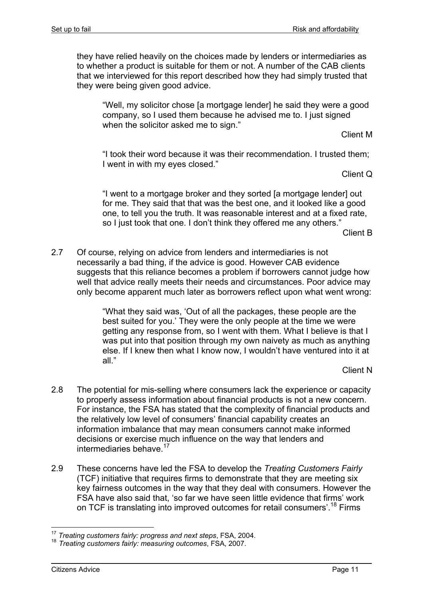they have relied heavily on the choices made by lenders or intermediaries as to whether a product is suitable for them or not. A number of the CAB clients that we interviewed for this report described how they had simply trusted that they were being given good advice.

"Well, my solicitor chose [a mortgage lender] he said they were a good company, so I used them because he advised me to. I just signed when the solicitor asked me to sign."

Client M

"I took their word because it was their recommendation. I trusted them; I went in with my eyes closed."

Client Q

"I went to a mortgage broker and they sorted [a mortgage lender] out for me. They said that that was the best one, and it looked like a good one, to tell you the truth. It was reasonable interest and at a fixed rate, so I just took that one. I don't think they offered me any others."

Client B

2.7 Of course, relying on advice from lenders and intermediaries is not necessarily a bad thing, if the advice is good. However CAB evidence suggests that this reliance becomes a problem if borrowers cannot judge how well that advice really meets their needs and circumstances. Poor advice may only become apparent much later as borrowers reflect upon what went wrong:

> "What they said was, 'Out of all the packages, these people are the best suited for you.' They were the only people at the time we were getting any response from, so I went with them. What I believe is that I was put into that position through my own naivety as much as anything else. If I knew then what I know now, I wouldn't have ventured into it at all."

> > Client N

- 2.8 The potential for mis-selling where consumers lack the experience or capacity to properly assess information about financial products is not a new concern. For instance, the FSA has stated that the complexity of financial products and the relatively low level of consumers' financial capability creates an information imbalance that may mean consumers cannot make informed decisions or exercise much influence on the way that lenders and intermediaries behave  $17$
- 2.9 These concerns have led the FSA to develop the *Treating Customers Fairly*  (TCF) initiative that requires firms to demonstrate that they are meeting six key fairness outcomes in the way that they deal with consumers. However the FSA have also said that, 'so far we have seen little evidence that firms' work on TCF is translating into improved outcomes for retail consumers<sup>', 18</sup> Firms

<sup>1</sup> <sup>17</sup> *Treating customers fairly: progress and next steps*, FSA, 2004.

<sup>18</sup> *Treating customers fairly: measuring outcomes*, FSA, 2007.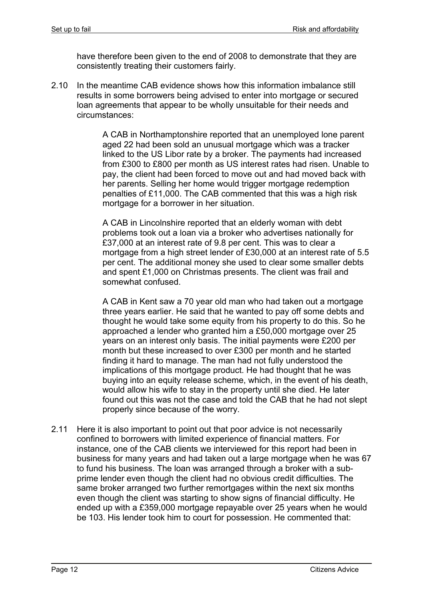have therefore been given to the end of 2008 to demonstrate that they are consistently treating their customers fairly.

2.10 In the meantime CAB evidence shows how this information imbalance still results in some borrowers being advised to enter into mortgage or secured loan agreements that appear to be wholly unsuitable for their needs and circumstances:

> A CAB in Northamptonshire reported that an unemployed lone parent aged 22 had been sold an unusual mortgage which was a tracker linked to the US Libor rate by a broker. The payments had increased from £300 to £800 per month as US interest rates had risen. Unable to pay, the client had been forced to move out and had moved back with her parents. Selling her home would trigger mortgage redemption penalties of £11,000. The CAB commented that this was a high risk mortgage for a borrower in her situation.

> A CAB in Lincolnshire reported that an elderly woman with debt problems took out a loan via a broker who advertises nationally for £37,000 at an interest rate of 9.8 per cent. This was to clear a mortgage from a high street lender of £30,000 at an interest rate of 5.5 per cent. The additional money she used to clear some smaller debts and spent £1,000 on Christmas presents. The client was frail and somewhat confused.

> A CAB in Kent saw a 70 year old man who had taken out a mortgage three years earlier. He said that he wanted to pay off some debts and thought he would take some equity from his property to do this. So he approached a lender who granted him a £50,000 mortgage over 25 years on an interest only basis. The initial payments were £200 per month but these increased to over £300 per month and he started finding it hard to manage. The man had not fully understood the implications of this mortgage product. He had thought that he was buying into an equity release scheme, which, in the event of his death, would allow his wife to stay in the property until she died. He later found out this was not the case and told the CAB that he had not slept properly since because of the worry.

2.11 Here it is also important to point out that poor advice is not necessarily confined to borrowers with limited experience of financial matters. For instance, one of the CAB clients we interviewed for this report had been in business for many years and had taken out a large mortgage when he was 67 to fund his business. The loan was arranged through a broker with a subprime lender even though the client had no obvious credit difficulties. The same broker arranged two further remortgages within the next six months even though the client was starting to show signs of financial difficulty. He ended up with a £359,000 mortgage repayable over 25 years when he would be 103. His lender took him to court for possession. He commented that: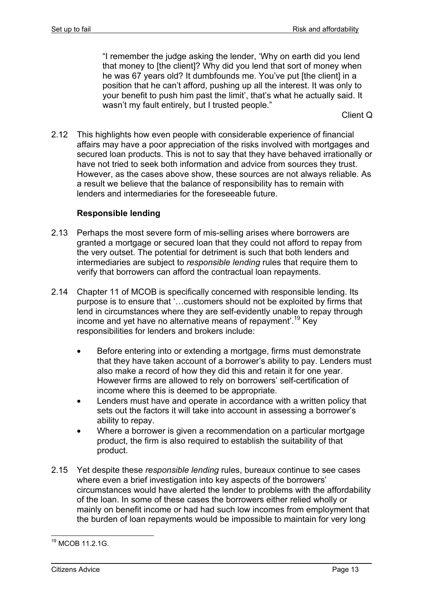"I remember the judge asking the lender, 'Why on earth did you lend that money to [the client]? Why did you lend that sort of money when he was 67 years old? It dumbfounds me. You've put [the client] in a position that he can't afford, pushing up all the interest. It was only to your benefit to push him past the limit', that's what he actually said. It wasn't my fault entirely, but I trusted people."

Client Q

2.12 This highlights how even people with considerable experience of financial affairs may have a poor appreciation of the risks involved with mortgages and secured loan products. This is not to say that they have behaved irrationally or have not tried to seek both information and advice from sources they trust. However, as the cases above show, these sources are not always reliable. As a result we believe that the balance of responsibility has to remain with lenders and intermediaries for the foreseeable future.

#### **Responsible lending**

- 2.13 Perhaps the most severe form of mis-selling arises where borrowers are granted a mortgage or secured loan that they could not afford to repay from the very outset. The potential for detriment is such that both lenders and intermediaries are subject to *responsible lending* rules that require them to verify that borrowers can afford the contractual loan repayments.
- 2.14 Chapter 11 of MCOB is specifically concerned with responsible lending. Its purpose is to ensure that '…customers should not be exploited by firms that lend in circumstances where they are self-evidently unable to repay through income and yet have no alternative means of repayment'.19 Key responsibilities for lenders and brokers include:
	- Before entering into or extending a mortgage, firms must demonstrate that they have taken account of a borrower's ability to pay. Lenders must also make a record of how they did this and retain it for one year. However firms are allowed to rely on borrowers' self-certification of income where this is deemed to be appropriate.
	- Lenders must have and operate in accordance with a written policy that sets out the factors it will take into account in assessing a borrower's ability to repay.
	- Where a borrower is given a recommendation on a particular mortgage product, the firm is also required to establish the suitability of that product.
- 2.15 Yet despite these *responsible lending* rules, bureaux continue to see cases where even a brief investigation into key aspects of the borrowers' circumstances would have alerted the lender to problems with the affordability of the loan. In some of these cases the borrowers either relied wholly or mainly on benefit income or had had such low incomes from employment that the burden of loan repayments would be impossible to maintain for very long

<sup>19</sup> MCOB 11.2.1G.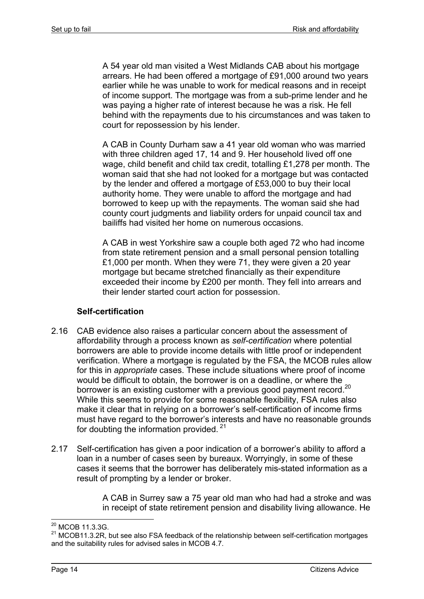A 54 year old man visited a West Midlands CAB about his mortgage arrears. He had been offered a mortgage of £91,000 around two years earlier while he was unable to work for medical reasons and in receipt of income support. The mortgage was from a sub-prime lender and he was paying a higher rate of interest because he was a risk. He fell behind with the repayments due to his circumstances and was taken to court for repossession by his lender.

A CAB in County Durham saw a 41 year old woman who was married with three children aged 17, 14 and 9. Her household lived off one wage, child benefit and child tax credit, totalling £1,278 per month. The woman said that she had not looked for a mortgage but was contacted by the lender and offered a mortgage of £53,000 to buy their local authority home. They were unable to afford the mortgage and had borrowed to keep up with the repayments. The woman said she had county court judgments and liability orders for unpaid council tax and bailiffs had visited her home on numerous occasions.

A CAB in west Yorkshire saw a couple both aged 72 who had income from state retirement pension and a small personal pension totalling £1,000 per month. When they were 71, they were given a 20 year mortgage but became stretched financially as their expenditure exceeded their income by £200 per month. They fell into arrears and their lender started court action for possession.

#### **Self-certification**

- 2.16 CAB evidence also raises a particular concern about the assessment of affordability through a process known as *self-certification* where potential borrowers are able to provide income details with little proof or independent verification. Where a mortgage is regulated by the FSA, the MCOB rules allow for this in *appropriate* cases. These include situations where proof of income would be difficult to obtain, the borrower is on a deadline, or where the borrower is an existing customer with a previous good payment record.<sup>20</sup> While this seems to provide for some reasonable flexibility, FSA rules also make it clear that in relying on a borrower's self-certification of income firms must have regard to the borrower's interests and have no reasonable grounds for doubting the information provided.<sup>21</sup>
- 2.17 Self-certification has given a poor indication of a borrower's ability to afford a loan in a number of cases seen by bureaux. Worryingly, in some of these cases it seems that the borrower has deliberately mis-stated information as a result of prompting by a lender or broker.

A CAB in Surrey saw a 75 year old man who had had a stroke and was in receipt of state retirement pension and disability living allowance. He

<sup>1</sup> <sup>20</sup> MCOB 11.3.3G.

 $21$  MCOB11.3.2R. but see also FSA feedback of the relationship between self-certification mortgages and the suitability rules for advised sales in MCOB 4.7.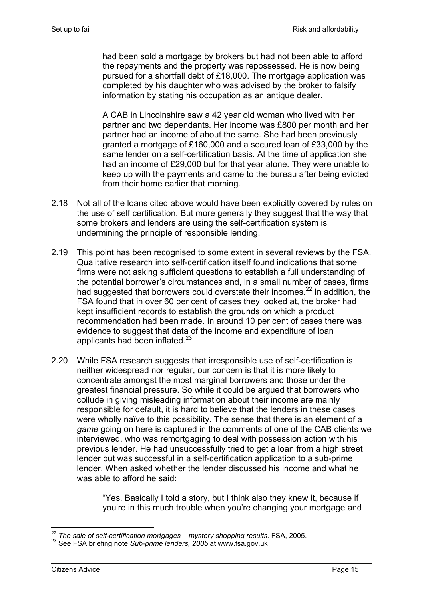had been sold a mortgage by brokers but had not been able to afford the repayments and the property was repossessed. He is now being pursued for a shortfall debt of £18,000. The mortgage application was completed by his daughter who was advised by the broker to falsify information by stating his occupation as an antique dealer.

A CAB in Lincolnshire saw a 42 year old woman who lived with her partner and two dependants. Her income was £800 per month and her partner had an income of about the same. She had been previously granted a mortgage of £160,000 and a secured loan of £33,000 by the same lender on a self-certification basis. At the time of application she had an income of £29,000 but for that year alone. They were unable to keep up with the payments and came to the bureau after being evicted from their home earlier that morning.

- 2.18 Not all of the loans cited above would have been explicitly covered by rules on the use of self certification. But more generally they suggest that the way that some brokers and lenders are using the self-certification system is undermining the principle of responsible lending.
- 2.19 This point has been recognised to some extent in several reviews by the FSA. Qualitative research into self-certification itself found indications that some firms were not asking sufficient questions to establish a full understanding of the potential borrower's circumstances and, in a small number of cases, firms had suggested that borrowers could overstate their incomes.<sup>22</sup> In addition, the FSA found that in over 60 per cent of cases they looked at, the broker had kept insufficient records to establish the grounds on which a product recommendation had been made. In around 10 per cent of cases there was evidence to suggest that data of the income and expenditure of loan applicants had been inflated. $^{23}$
- 2.20 While FSA research suggests that irresponsible use of self-certification is neither widespread nor regular, our concern is that it is more likely to concentrate amongst the most marginal borrowers and those under the greatest financial pressure. So while it could be argued that borrowers who collude in giving misleading information about their income are mainly responsible for default, it is hard to believe that the lenders in these cases were wholly naïve to this possibility. The sense that there is an element of a *game* going on here is captured in the comments of one of the CAB clients we interviewed, who was remortgaging to deal with possession action with his previous lender. He had unsuccessfully tried to get a loan from a high street lender but was successful in a self-certification application to a sub-prime lender. When asked whether the lender discussed his income and what he was able to afford he said:

"Yes. Basically I told a story, but I think also they knew it, because if you're in this much trouble when you're changing your mortgage and

<sup>1</sup> <sup>22</sup> The sale of self-certification mortgages – mystery shopping results. FSA, 2005.

<sup>23</sup> See FSA briefing note *Sub-prime lenders, 2005* at www.fsa.gov.uk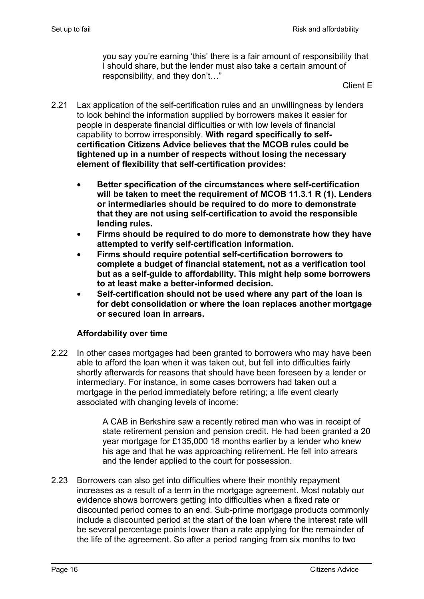you say you're earning 'this' there is a fair amount of responsibility that I should share, but the lender must also take a certain amount of responsibility, and they don't…"

Client E

- 2.21 Lax application of the self-certification rules and an unwillingness by lenders to look behind the information supplied by borrowers makes it easier for people in desperate financial difficulties or with low levels of financial capability to borrow irresponsibly. **With regard specifically to selfcertification Citizens Advice believes that the MCOB rules could be tightened up in a number of respects without losing the necessary element of flexibility that self-certification provides:**
	- **Better specification of the circumstances where self-certification will be taken to meet the requirement of MCOB 11.3.1 R (1). Lenders or intermediaries should be required to do more to demonstrate that they are not using self-certification to avoid the responsible lending rules.**
	- **Firms should be required to do more to demonstrate how they have attempted to verify self-certification information.**
	- **Firms should require potential self-certification borrowers to complete a budget of financial statement, not as a verification tool but as a self-guide to affordability. This might help some borrowers to at least make a better-informed decision.**
	- **Self-certification should not be used where any part of the loan is for debt consolidation or where the loan replaces another mortgage or secured loan in arrears.**

#### **Affordability over time**

2.22 In other cases mortgages had been granted to borrowers who may have been able to afford the loan when it was taken out, but fell into difficulties fairly shortly afterwards for reasons that should have been foreseen by a lender or intermediary. For instance, in some cases borrowers had taken out a mortgage in the period immediately before retiring; a life event clearly associated with changing levels of income:

> A CAB in Berkshire saw a recently retired man who was in receipt of state retirement pension and pension credit. He had been granted a 20 year mortgage for £135,000 18 months earlier by a lender who knew his age and that he was approaching retirement. He fell into arrears and the lender applied to the court for possession.

2.23 Borrowers can also get into difficulties where their monthly repayment increases as a result of a term in the mortgage agreement. Most notably our evidence shows borrowers getting into difficulties when a fixed rate or discounted period comes to an end. Sub-prime mortgage products commonly include a discounted period at the start of the loan where the interest rate will be several percentage points lower than a rate applying for the remainder of the life of the agreement. So after a period ranging from six months to two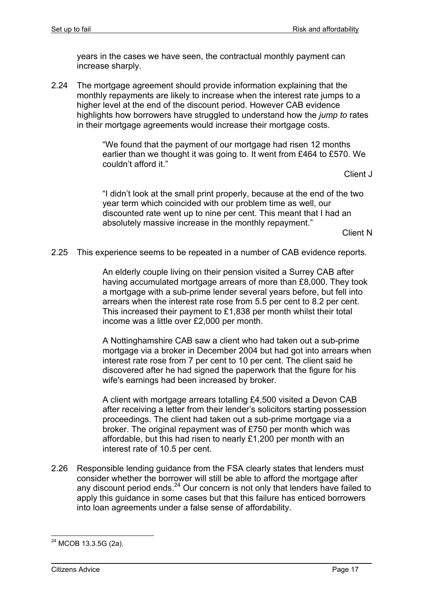years in the cases we have seen, the contractual monthly payment can increase sharply.

2.24 The mortgage agreement should provide information explaining that the monthly repayments are likely to increase when the interest rate jumps to a higher level at the end of the discount period. However CAB evidence highlights how borrowers have struggled to understand how the *jump to* rates in their mortgage agreements would increase their mortgage costs.

> "We found that the payment of our mortgage had risen 12 months earlier than we thought it was going to. It went from £464 to £570. We couldn't afford it."

> > Client J

"I didn't look at the small print properly, because at the end of the two year term which coincided with our problem time as well, our discounted rate went up to nine per cent. This meant that I had an absolutely massive increase in the monthly repayment."

Client N

2.25 This experience seems to be repeated in a number of CAB evidence reports.

An elderly couple living on their pension visited a Surrey CAB after having accumulated mortgage arrears of more than £8,000. They took a mortgage with a sub-prime lender several years before, but fell into arrears when the interest rate rose from 5.5 per cent to 8.2 per cent. This increased their payment to £1,838 per month whilst their total income was a little over £2,000 per month.

A Nottinghamshire CAB saw a client who had taken out a sub-prime mortgage via a broker in December 2004 but had got into arrears when interest rate rose from 7 per cent to 10 per cent. The client said he discovered after he had signed the paperwork that the figure for his wife's earnings had been increased by broker.

A client with mortgage arrears totalling £4,500 visited a Devon CAB after receiving a letter from their lender's solicitors starting possession proceedings. The client had taken out a sub-prime mortgage via a broker. The original repayment was of £750 per month which was affordable, but this had risen to nearly £1,200 per month with an interest rate of 10.5 per cent.

2.26 Responsible lending guidance from the FSA clearly states that lenders must consider whether the borrower will still be able to afford the mortgage after any discount period ends. $^{24}$  Our concern is not only that lenders have failed to apply this guidance in some cases but that this failure has enticed borrowers into loan agreements under a false sense of affordability.

<sup>&</sup>lt;sup>24</sup> MCOB 13.3.5G (2a).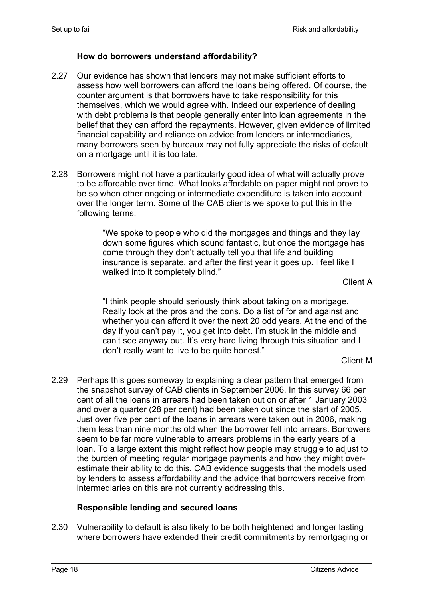#### **How do borrowers understand affordability?**

- 2.27 Our evidence has shown that lenders may not make sufficient efforts to assess how well borrowers can afford the loans being offered. Of course, the counter argument is that borrowers have to take responsibility for this themselves, which we would agree with. Indeed our experience of dealing with debt problems is that people generally enter into loan agreements in the belief that they can afford the repayments. However, given evidence of limited financial capability and reliance on advice from lenders or intermediaries, many borrowers seen by bureaux may not fully appreciate the risks of default on a mortgage until it is too late.
- 2.28 Borrowers might not have a particularly good idea of what will actually prove to be affordable over time. What looks affordable on paper might not prove to be so when other ongoing or intermediate expenditure is taken into account over the longer term. Some of the CAB clients we spoke to put this in the following terms:

"We spoke to people who did the mortgages and things and they lay down some figures which sound fantastic, but once the mortgage has come through they don't actually tell you that life and building insurance is separate, and after the first year it goes up. I feel like I walked into it completely blind."

Client A

"I think people should seriously think about taking on a mortgage. Really look at the pros and the cons. Do a list of for and against and whether you can afford it over the next 20 odd years. At the end of the day if you can't pay it, you get into debt. I'm stuck in the middle and can't see anyway out. It's very hard living through this situation and I don't really want to live to be quite honest."

Client M

2.29 Perhaps this goes someway to explaining a clear pattern that emerged from the snapshot survey of CAB clients in September 2006. In this survey 66 per cent of all the loans in arrears had been taken out on or after 1 January 2003 and over a quarter (28 per cent) had been taken out since the start of 2005. Just over five per cent of the loans in arrears were taken out in 2006, making them less than nine months old when the borrower fell into arrears. Borrowers seem to be far more vulnerable to arrears problems in the early years of a loan. To a large extent this might reflect how people may struggle to adjust to the burden of meeting regular mortgage payments and how they might overestimate their ability to do this. CAB evidence suggests that the models used by lenders to assess affordability and the advice that borrowers receive from intermediaries on this are not currently addressing this.

#### **Responsible lending and secured loans**

2.30 Vulnerability to default is also likely to be both heightened and longer lasting where borrowers have extended their credit commitments by remortgaging or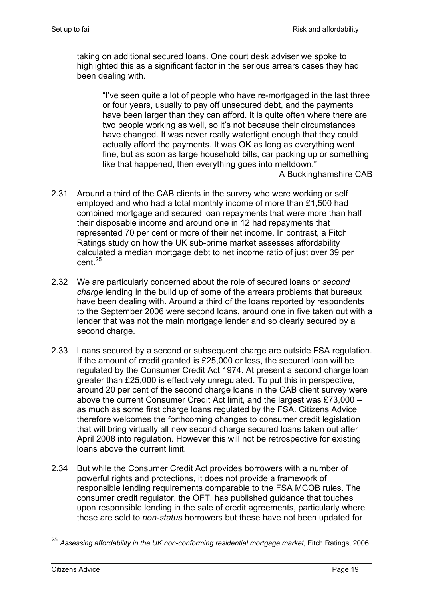taking on additional secured loans. One court desk adviser we spoke to highlighted this as a significant factor in the serious arrears cases they had been dealing with.

"I've seen quite a lot of people who have re-mortgaged in the last three or four years, usually to pay off unsecured debt, and the payments have been larger than they can afford. It is quite often where there are two people working as well, so it's not because their circumstances have changed. It was never really watertight enough that they could actually afford the payments. It was OK as long as everything went fine, but as soon as large household bills, car packing up or something like that happened, then everything goes into meltdown."

A Buckinghamshire CAB

- 2.31 Around a third of the CAB clients in the survey who were working or self employed and who had a total monthly income of more than £1,500 had combined mortgage and secured loan repayments that were more than half their disposable income and around one in 12 had repayments that represented 70 per cent or more of their net income. In contrast, a Fitch Ratings study on how the UK sub-prime market assesses affordability calculated a median mortgage debt to net income ratio of just over 39 per  $cent<sup>25</sup>$
- 2.32 We are particularly concerned about the role of secured loans or *second charge* lending in the build up of some of the arrears problems that bureaux have been dealing with. Around a third of the loans reported by respondents to the September 2006 were second loans, around one in five taken out with a lender that was not the main mortgage lender and so clearly secured by a second charge.
- 2.33 Loans secured by a second or subsequent charge are outside FSA regulation. If the amount of credit granted is £25,000 or less, the secured loan will be regulated by the Consumer Credit Act 1974. At present a second charge loan greater than £25,000 is effectively unregulated. To put this in perspective, around 20 per cent of the second charge loans in the CAB client survey were above the current Consumer Credit Act limit, and the largest was £73,000 – as much as some first charge loans regulated by the FSA. Citizens Advice therefore welcomes the forthcoming changes to consumer credit legislation that will bring virtually all new second charge secured loans taken out after April 2008 into regulation. However this will not be retrospective for existing loans above the current limit.
- 2.34 But while the Consumer Credit Act provides borrowers with a number of powerful rights and protections, it does not provide a framework of responsible lending requirements comparable to the FSA MCOB rules. The consumer credit regulator, the OFT, has published guidance that touches upon responsible lending in the sale of credit agreements, particularly where these are sold to *non-status* borrowers but these have not been updated for

<sup>25</sup> *Assessing affordability in the UK non-conforming residential mortgage market,* Fitch Ratings, 2006.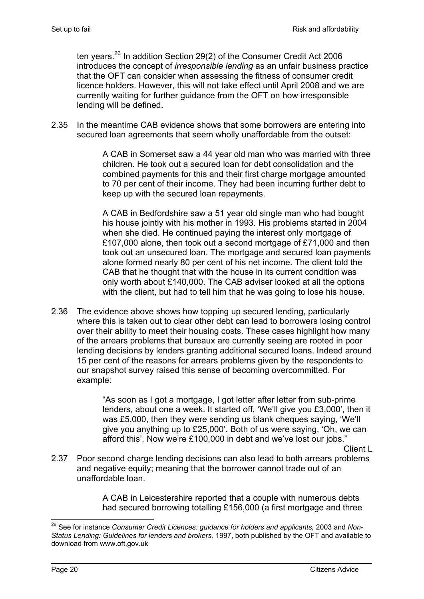ten years.26 In addition Section 29(2) of the Consumer Credit Act 2006 introduces the concept of *irresponsible lending* as an unfair business practice that the OFT can consider when assessing the fitness of consumer credit licence holders. However, this will not take effect until April 2008 and we are currently waiting for further guidance from the OFT on how irresponsible lending will be defined.

2.35 In the meantime CAB evidence shows that some borrowers are entering into secured loan agreements that seem wholly unaffordable from the outset:

> A CAB in Somerset saw a 44 year old man who was married with three children. He took out a secured loan for debt consolidation and the combined payments for this and their first charge mortgage amounted to 70 per cent of their income. They had been incurring further debt to keep up with the secured loan repayments.

> A CAB in Bedfordshire saw a 51 year old single man who had bought his house jointly with his mother in 1993. His problems started in 2004 when she died. He continued paying the interest only mortgage of £107,000 alone, then took out a second mortgage of £71,000 and then took out an unsecured loan. The mortgage and secured loan payments alone formed nearly 80 per cent of his net income. The client told the CAB that he thought that with the house in its current condition was only worth about £140,000. The CAB adviser looked at all the options with the client, but had to tell him that he was going to lose his house.

2.36 The evidence above shows how topping up secured lending, particularly where this is taken out to clear other debt can lead to borrowers losing control over their ability to meet their housing costs. These cases highlight how many of the arrears problems that bureaux are currently seeing are rooted in poor lending decisions by lenders granting additional secured loans. Indeed around 15 per cent of the reasons for arrears problems given by the respondents to our snapshot survey raised this sense of becoming overcommitted. For example:

> "As soon as I got a mortgage, I got letter after letter from sub-prime lenders, about one a week. It started off, 'We'll give you £3,000', then it was £5,000, then they were sending us blank cheques saying, 'We'll give you anything up to £25,000'. Both of us were saying, 'Oh, we can afford this'. Now we're £100,000 in debt and we've lost our jobs."

> > Client L

2.37 Poor second charge lending decisions can also lead to both arrears problems and negative equity; meaning that the borrower cannot trade out of an unaffordable loan.

> A CAB in Leicestershire reported that a couple with numerous debts had secured borrowing totalling £156,000 (a first mortgage and three

<sup>&</sup>lt;sup>26</sup> See for instance *Consumer Credit Licences: guidance for holders and applicants, 2003 and Non-Status Lending: Guidelines for lenders and brokers,* 1997, both published by the OFT and available to download from www.oft.gov.uk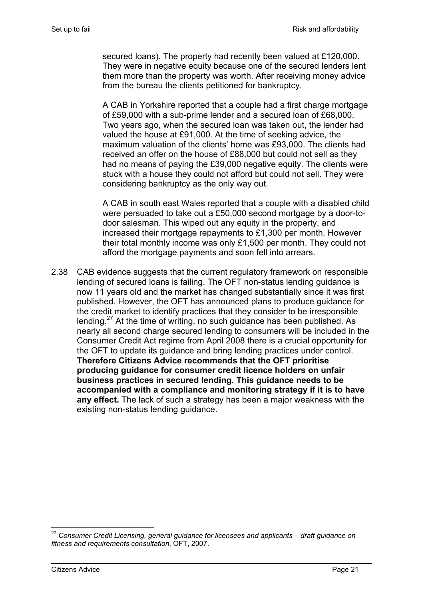secured loans). The property had recently been valued at £120,000. They were in negative equity because one of the secured lenders lent them more than the property was worth. After receiving money advice from the bureau the clients petitioned for bankruptcy.

A CAB in Yorkshire reported that a couple had a first charge mortgage of £59,000 with a sub-prime lender and a secured loan of £68,000. Two years ago, when the secured loan was taken out, the lender had valued the house at £91,000. At the time of seeking advice, the maximum valuation of the clients' home was £93,000. The clients had received an offer on the house of £88,000 but could not sell as they had no means of paying the £39,000 negative equity. The clients were stuck with a house they could not afford but could not sell. They were considering bankruptcy as the only way out.

A CAB in south east Wales reported that a couple with a disabled child were persuaded to take out a £50,000 second mortgage by a door-todoor salesman. This wiped out any equity in the property, and increased their mortgage repayments to £1,300 per month. However their total monthly income was only £1,500 per month. They could not afford the mortgage payments and soon fell into arrears.

2.38 CAB evidence suggests that the current regulatory framework on responsible lending of secured loans is failing. The OFT non-status lending guidance is now 11 years old and the market has changed substantially since it was first published. However, the OFT has announced plans to produce guidance for the credit market to identify practices that they consider to be irresponsible lending.<sup>27</sup> At the time of writing, no such guidance has been published. As nearly all second charge secured lending to consumers will be included in the Consumer Credit Act regime from April 2008 there is a crucial opportunity for the OFT to update its guidance and bring lending practices under control. **Therefore Citizens Advice recommends that the OFT prioritise producing guidance for consumer credit licence holders on unfair business practices in secured lending. This guidance needs to be accompanied with a compliance and monitoring strategy if it is to have any effect.** The lack of such a strategy has been a major weakness with the existing non-status lending guidance.

<sup>27</sup> *Consumer Credit Licensing, general guidance for licensees and applicants – draft guidance on fitness and requirements consultation*, OFT, 2007.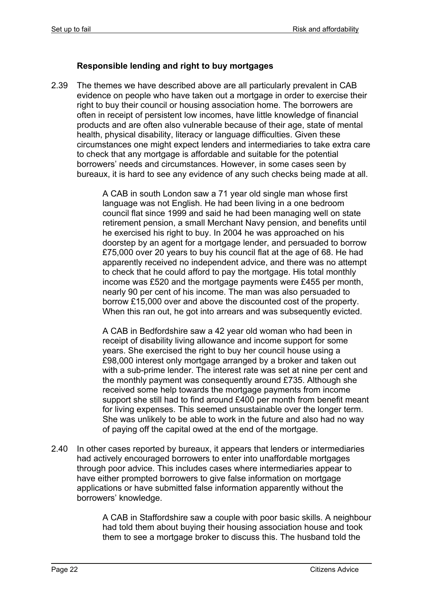#### **Responsible lending and right to buy mortgages**

2.39 The themes we have described above are all particularly prevalent in CAB evidence on people who have taken out a mortgage in order to exercise their right to buy their council or housing association home. The borrowers are often in receipt of persistent low incomes, have little knowledge of financial products and are often also vulnerable because of their age, state of mental health, physical disability, literacy or language difficulties. Given these circumstances one might expect lenders and intermediaries to take extra care to check that any mortgage is affordable and suitable for the potential borrowers' needs and circumstances. However, in some cases seen by bureaux, it is hard to see any evidence of any such checks being made at all.

> A CAB in south London saw a 71 year old single man whose first language was not English. He had been living in a one bedroom council flat since 1999 and said he had been managing well on state retirement pension, a small Merchant Navy pension, and benefits until he exercised his right to buy. In 2004 he was approached on his doorstep by an agent for a mortgage lender, and persuaded to borrow £75,000 over 20 years to buy his council flat at the age of 68. He had apparently received no independent advice, and there was no attempt to check that he could afford to pay the mortgage. His total monthly income was £520 and the mortgage payments were £455 per month, nearly 90 per cent of his income. The man was also persuaded to borrow £15,000 over and above the discounted cost of the property. When this ran out, he got into arrears and was subsequently evicted.

> A CAB in Bedfordshire saw a 42 year old woman who had been in receipt of disability living allowance and income support for some years. She exercised the right to buy her council house using a £98,000 interest only mortgage arranged by a broker and taken out with a sub-prime lender. The interest rate was set at nine per cent and the monthly payment was consequently around £735. Although she received some help towards the mortgage payments from income support she still had to find around £400 per month from benefit meant for living expenses. This seemed unsustainable over the longer term. She was unlikely to be able to work in the future and also had no way of paying off the capital owed at the end of the mortgage.

2.40 In other cases reported by bureaux, it appears that lenders or intermediaries had actively encouraged borrowers to enter into unaffordable mortgages through poor advice. This includes cases where intermediaries appear to have either prompted borrowers to give false information on mortgage applications or have submitted false information apparently without the borrowers' knowledge.

> A CAB in Staffordshire saw a couple with poor basic skills. A neighbour had told them about buying their housing association house and took them to see a mortgage broker to discuss this. The husband told the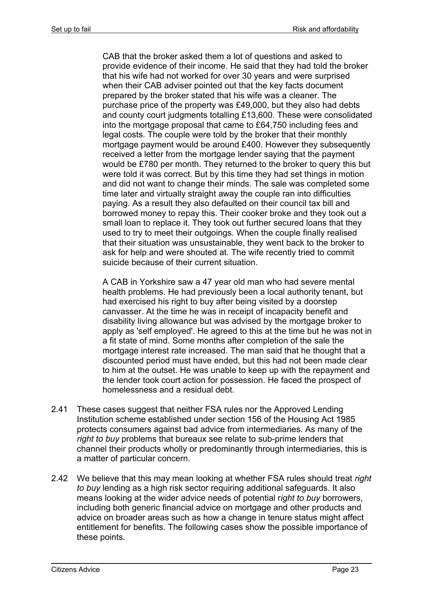CAB that the broker asked them a lot of questions and asked to provide evidence of their income. He said that they had told the broker that his wife had not worked for over 30 years and were surprised when their CAB adviser pointed out that the key facts document prepared by the broker stated that his wife was a cleaner. The purchase price of the property was £49,000, but they also had debts and county court judgments totalling £13,600. These were consolidated into the mortgage proposal that came to £64,750 including fees and legal costs. The couple were told by the broker that their monthly mortgage payment would be around £400. However they subsequently received a letter from the mortgage lender saying that the payment would be £780 per month. They returned to the broker to query this but were told it was correct. But by this time they had set things in motion and did not want to change their minds. The sale was completed some time later and virtually straight away the couple ran into difficulties paying. As a result they also defaulted on their council tax bill and borrowed money to repay this. Their cooker broke and they took out a small loan to replace it. They took out further secured loans that they used to try to meet their outgoings. When the couple finally realised that their situation was unsustainable, they went back to the broker to ask for help and were shouted at. The wife recently tried to commit suicide because of their current situation.

A CAB in Yorkshire saw a 47 year old man who had severe mental health problems. He had previously been a local authority tenant, but had exercised his right to buy after being visited by a doorstep canvasser. At the time he was in receipt of incapacity benefit and disability living allowance but was advised by the mortgage broker to apply as 'self employed'. He agreed to this at the time but he was not in a fit state of mind. Some months after completion of the sale the mortgage interest rate increased. The man said that he thought that a discounted period must have ended, but this had not been made clear to him at the outset. He was unable to keep up with the repayment and the lender took court action for possession. He faced the prospect of homelessness and a residual debt.

- 2.41 These cases suggest that neither FSA rules nor the Approved Lending Institution scheme established under section 156 of the Housing Act 1985 protects consumers against bad advice from intermediaries. As many of the *right to buy* problems that bureaux see relate to sub-prime lenders that channel their products wholly or predominantly through intermediaries, this is a matter of particular concern.
- 2.42 We believe that this may mean looking at whether FSA rules should treat *right to buy* lending as a high risk sector requiring additional safeguards. It also means looking at the wider advice needs of potential r*ight to buy* borrowers, including both generic financial advice on mortgage and other products and advice on broader areas such as how a change in tenure status might affect entitlement for benefits. The following cases show the possible importance of these points.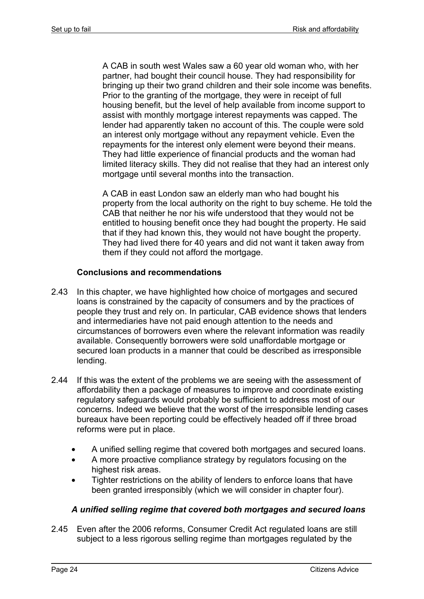A CAB in south west Wales saw a 60 year old woman who, with her partner, had bought their council house. They had responsibility for bringing up their two grand children and their sole income was benefits. Prior to the granting of the mortgage, they were in receipt of full housing benefit, but the level of help available from income support to assist with monthly mortgage interest repayments was capped. The lender had apparently taken no account of this. The couple were sold an interest only mortgage without any repayment vehicle. Even the repayments for the interest only element were beyond their means. They had little experience of financial products and the woman had limited literacy skills. They did not realise that they had an interest only mortgage until several months into the transaction.

A CAB in east London saw an elderly man who had bought his property from the local authority on the right to buy scheme. He told the CAB that neither he nor his wife understood that they would not be entitled to housing benefit once they had bought the property. He said that if they had known this, they would not have bought the property. They had lived there for 40 years and did not want it taken away from them if they could not afford the mortgage.

#### **Conclusions and recommendations**

- 2.43 In this chapter, we have highlighted how choice of mortgages and secured loans is constrained by the capacity of consumers and by the practices of people they trust and rely on. In particular, CAB evidence shows that lenders and intermediaries have not paid enough attention to the needs and circumstances of borrowers even where the relevant information was readily available. Consequently borrowers were sold unaffordable mortgage or secured loan products in a manner that could be described as irresponsible lending.
- 2.44 If this was the extent of the problems we are seeing with the assessment of affordability then a package of measures to improve and coordinate existing regulatory safeguards would probably be sufficient to address most of our concerns. Indeed we believe that the worst of the irresponsible lending cases bureaux have been reporting could be effectively headed off if three broad reforms were put in place.
	- A unified selling regime that covered both mortgages and secured loans.
	- A more proactive compliance strategy by regulators focusing on the highest risk areas.
	- Tighter restrictions on the ability of lenders to enforce loans that have been granted irresponsibly (which we will consider in chapter four).

#### *A unified selling regime that covered both mortgages and secured loans*

2.45 Even after the 2006 reforms, Consumer Credit Act regulated loans are still subject to a less rigorous selling regime than mortgages regulated by the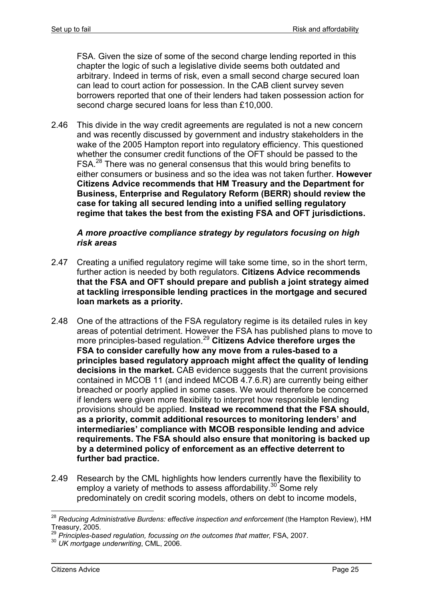FSA. Given the size of some of the second charge lending reported in this chapter the logic of such a legislative divide seems both outdated and arbitrary. Indeed in terms of risk, even a small second charge secured loan can lead to court action for possession. In the CAB client survey seven borrowers reported that one of their lenders had taken possession action for second charge secured loans for less than £10,000.

2.46 This divide in the way credit agreements are regulated is not a new concern and was recently discussed by government and industry stakeholders in the wake of the 2005 Hampton report into regulatory efficiency. This questioned whether the consumer credit functions of the OFT should be passed to the FSA.<sup>28</sup> There was no general consensus that this would bring benefits to either consumers or business and so the idea was not taken further. **However Citizens Advice recommends that HM Treasury and the Department for Business, Enterprise and Regulatory Reform (BERR) should review the case for taking all secured lending into a unified selling regulatory regime that takes the best from the existing FSA and OFT jurisdictions.**

#### *A more proactive compliance strategy by regulators focusing on high risk areas*

- 2.47 Creating a unified regulatory regime will take some time, so in the short term, further action is needed by both regulators. **Citizens Advice recommends that the FSA and OFT should prepare and publish a joint strategy aimed at tackling irresponsible lending practices in the mortgage and secured loan markets as a priority.**
- 2.48 One of the attractions of the FSA regulatory regime is its detailed rules in key areas of potential detriment. However the FSA has published plans to move to more principles-based regulation.<sup>29</sup> **Citizens Advice therefore urges the FSA to consider carefully how any move from a rules-based to a principles based regulatory approach might affect the quality of lending decisions in the market.** CAB evidence suggests that the current provisions contained in MCOB 11 (and indeed MCOB 4.7.6.R) are currently being either breached or poorly applied in some cases. We would therefore be concerned if lenders were given more flexibility to interpret how responsible lending provisions should be applied. **Instead we recommend that the FSA should, as a priority, commit additional resources to monitoring lenders' and intermediaries' compliance with MCOB responsible lending and advice requirements. The FSA should also ensure that monitoring is backed up by a determined policy of enforcement as an effective deterrent to further bad practice.**
- 2.49 Research by the CML highlights how lenders currently have the flexibility to employ a variety of methods to assess affordability.<sup>30</sup> Some rely predominately on credit scoring models, others on debt to income models,

<sup>28</sup> *Reducing Administrative Burdens: effective inspection and enforcement* (the Hampton Review), HM Treasury, 2005.

<sup>29</sup> *Principles-based regulation, focussing on the outcomes that matter,* FSA, 2007.

<sup>30</sup> *UK mortgage underwriting*, CML, 2006.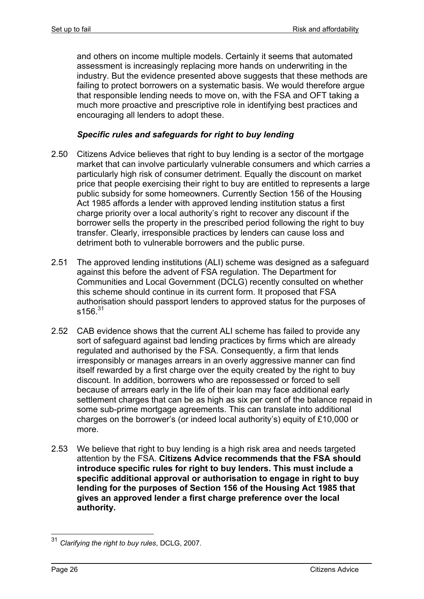and others on income multiple models. Certainly it seems that automated assessment is increasingly replacing more hands on underwriting in the industry. But the evidence presented above suggests that these methods are failing to protect borrowers on a systematic basis. We would therefore argue that responsible lending needs to move on, with the FSA and OFT taking a much more proactive and prescriptive role in identifying best practices and encouraging all lenders to adopt these.

#### *Specific rules and safeguards for right to buy lending*

- 2.50 Citizens Advice believes that right to buy lending is a sector of the mortgage market that can involve particularly vulnerable consumers and which carries a particularly high risk of consumer detriment. Equally the discount on market price that people exercising their right to buy are entitled to represents a large public subsidy for some homeowners. Currently Section 156 of the Housing Act 1985 affords a lender with approved lending institution status a first charge priority over a local authority's right to recover any discount if the borrower sells the property in the prescribed period following the right to buy transfer. Clearly, irresponsible practices by lenders can cause loss and detriment both to vulnerable borrowers and the public purse.
- 2.51 The approved lending institutions (ALI) scheme was designed as a safeguard against this before the advent of FSA regulation. The Department for Communities and Local Government (DCLG) recently consulted on whether this scheme should continue in its current form. It proposed that FSA authorisation should passport lenders to approved status for the purposes of  $s156^{31}$
- 2.52 CAB evidence shows that the current ALI scheme has failed to provide any sort of safeguard against bad lending practices by firms which are already regulated and authorised by the FSA. Consequently, a firm that lends irresponsibly or manages arrears in an overly aggressive manner can find itself rewarded by a first charge over the equity created by the right to buy discount. In addition, borrowers who are repossessed or forced to sell because of arrears early in the life of their loan may face additional early settlement charges that can be as high as six per cent of the balance repaid in some sub-prime mortgage agreements. This can translate into additional charges on the borrower's (or indeed local authority's) equity of £10,000 or more.
- 2.53 We believe that right to buy lending is a high risk area and needs targeted attention by the FSA. **Citizens Advice recommends that the FSA should introduce specific rules for right to buy lenders. This must include a specific additional approval or authorisation to engage in right to buy lending for the purposes of Section 156 of the Housing Act 1985 that gives an approved lender a first charge preference over the local authority.**

<sup>31</sup> *Clarifying the right to buy rules*, DCLG, 2007.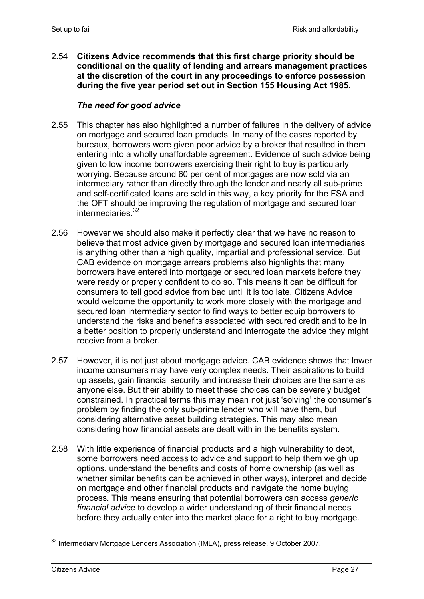2.54 **Citizens Advice recommends that this first charge priority should be conditional on the quality of lending and arrears management practices at the discretion of the court in any proceedings to enforce possession during the five year period set out in Section 155 Housing Act 1985**.

#### *The need for good advice*

- 2.55 This chapter has also highlighted a number of failures in the delivery of advice on mortgage and secured loan products. In many of the cases reported by bureaux, borrowers were given poor advice by a broker that resulted in them entering into a wholly unaffordable agreement. Evidence of such advice being given to low income borrowers exercising their right to buy is particularly worrying. Because around 60 per cent of mortgages are now sold via an intermediary rather than directly through the lender and nearly all sub-prime and self-certificated loans are sold in this way, a key priority for the FSA and the OFT should be improving the regulation of mortgage and secured loan intermediaries.<sup>32</sup>
- 2.56 However we should also make it perfectly clear that we have no reason to believe that most advice given by mortgage and secured loan intermediaries is anything other than a high quality, impartial and professional service. But CAB evidence on mortgage arrears problems also highlights that many borrowers have entered into mortgage or secured loan markets before they were ready or properly confident to do so. This means it can be difficult for consumers to tell good advice from bad until it is too late. Citizens Advice would welcome the opportunity to work more closely with the mortgage and secured loan intermediary sector to find ways to better equip borrowers to understand the risks and benefits associated with secured credit and to be in a better position to properly understand and interrogate the advice they might receive from a broker.
- 2.57 However, it is not just about mortgage advice. CAB evidence shows that lower income consumers may have very complex needs. Their aspirations to build up assets, gain financial security and increase their choices are the same as anyone else. But their ability to meet these choices can be severely budget constrained. In practical terms this may mean not just 'solving' the consumer's problem by finding the only sub-prime lender who will have them, but considering alternative asset building strategies. This may also mean considering how financial assets are dealt with in the benefits system.
- 2.58 With little experience of financial products and a high vulnerability to debt, some borrowers need access to advice and support to help them weigh up options, understand the benefits and costs of home ownership (as well as whether similar benefits can be achieved in other ways), interpret and decide on mortgage and other financial products and navigate the home buying process. This means ensuring that potential borrowers can access *generic financial advice* to develop a wider understanding of their financial needs before they actually enter into the market place for a right to buy mortgage.

<sup>1</sup>  $32$  Intermediary Mortgage Lenders Association (IMLA), press release, 9 October 2007.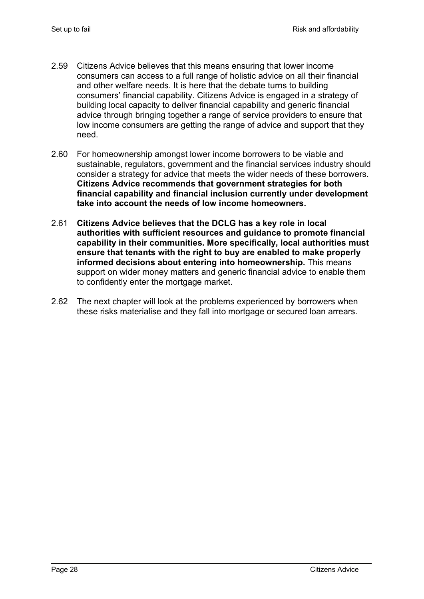- 2.59 Citizens Advice believes that this means ensuring that lower income consumers can access to a full range of holistic advice on all their financial and other welfare needs. It is here that the debate turns to building consumers' financial capability. Citizens Advice is engaged in a strategy of building local capacity to deliver financial capability and generic financial advice through bringing together a range of service providers to ensure that low income consumers are getting the range of advice and support that they need.
- 2.60 For homeownership amongst lower income borrowers to be viable and sustainable, regulators, government and the financial services industry should consider a strategy for advice that meets the wider needs of these borrowers. **Citizens Advice recommends that government strategies for both financial capability and financial inclusion currently under development take into account the needs of low income homeowners.**
- 2.61 **Citizens Advice believes that the DCLG has a key role in local authorities with sufficient resources and guidance to promote financial capability in their communities. More specifically, local authorities must ensure that tenants with the right to buy are enabled to make properly informed decisions about entering into homeownership.** This means support on wider money matters and generic financial advice to enable them to confidently enter the mortgage market.
- 2.62 The next chapter will look at the problems experienced by borrowers when these risks materialise and they fall into mortgage or secured loan arrears.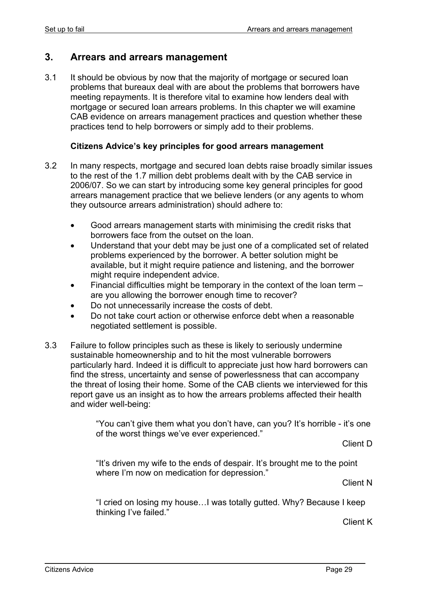### **3. Arrears and arrears management**

3.1 It should be obvious by now that the majority of mortgage or secured loan problems that bureaux deal with are about the problems that borrowers have meeting repayments. It is therefore vital to examine how lenders deal with mortgage or secured loan arrears problems. In this chapter we will examine CAB evidence on arrears management practices and question whether these practices tend to help borrowers or simply add to their problems.

#### **Citizens Advice's key principles for good arrears management**

- 3.2 In many respects, mortgage and secured loan debts raise broadly similar issues to the rest of the 1.7 million debt problems dealt with by the CAB service in 2006/07. So we can start by introducing some key general principles for good arrears management practice that we believe lenders (or any agents to whom they outsource arrears administration) should adhere to:
	- Good arrears management starts with minimising the credit risks that borrowers face from the outset on the loan.
	- Understand that your debt may be just one of a complicated set of related problems experienced by the borrower. A better solution might be available, but it might require patience and listening, and the borrower might require independent advice.
	- Financial difficulties might be temporary in the context of the loan term  $$ are you allowing the borrower enough time to recover?
	- Do not unnecessarily increase the costs of debt.
	- Do not take court action or otherwise enforce debt when a reasonable negotiated settlement is possible.
- 3.3 Failure to follow principles such as these is likely to seriously undermine sustainable homeownership and to hit the most vulnerable borrowers particularly hard. Indeed it is difficult to appreciate just how hard borrowers can find the stress, uncertainty and sense of powerlessness that can accompany the threat of losing their home. Some of the CAB clients we interviewed for this report gave us an insight as to how the arrears problems affected their health and wider well-being:

"You can't give them what you don't have, can you? It's horrible - it's one of the worst things we've ever experienced."

Client D

"It's driven my wife to the ends of despair. It's brought me to the point where I'm now on medication for depression."

Client N

"I cried on losing my house…I was totally gutted. Why? Because I keep thinking I've failed."

Client K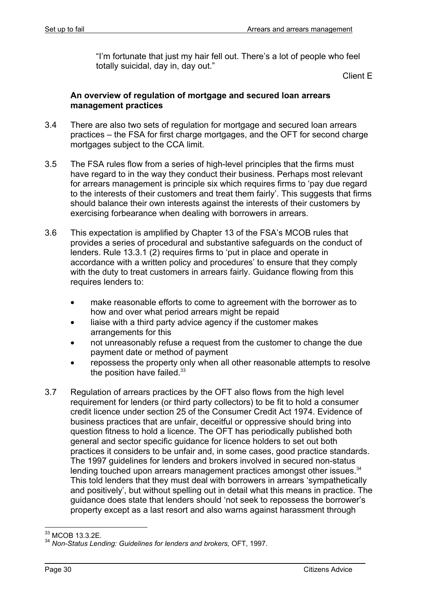"I'm fortunate that just my hair fell out. There's a lot of people who feel totally suicidal, day in, day out."

Client E

#### **An overview of regulation of mortgage and secured loan arrears management practices**

- 3.4 There are also two sets of regulation for mortgage and secured loan arrears practices – the FSA for first charge mortgages, and the OFT for second charge mortgages subject to the CCA limit.
- 3.5 The FSA rules flow from a series of high-level principles that the firms must have regard to in the way they conduct their business. Perhaps most relevant for arrears management is principle six which requires firms to 'pay due regard to the interests of their customers and treat them fairly'. This suggests that firms should balance their own interests against the interests of their customers by exercising forbearance when dealing with borrowers in arrears.
- 3.6 This expectation is amplified by Chapter 13 of the FSA's MCOB rules that provides a series of procedural and substantive safeguards on the conduct of lenders. Rule 13.3.1 (2) requires firms to 'put in place and operate in accordance with a written policy and procedures' to ensure that they comply with the duty to treat customers in arrears fairly. Guidance flowing from this requires lenders to:
	- make reasonable efforts to come to agreement with the borrower as to how and over what period arrears might be repaid
	- liaise with a third party advice agency if the customer makes arrangements for this
	- not unreasonably refuse a request from the customer to change the due payment date or method of payment
	- repossess the property only when all other reasonable attempts to resolve the position have failed.<sup>33</sup>
- 3.7 Regulation of arrears practices by the OFT also flows from the high level requirement for lenders (or third party collectors) to be fit to hold a consumer credit licence under section 25 of the Consumer Credit Act 1974. Evidence of business practices that are unfair, deceitful or oppressive should bring into question fitness to hold a licence. The OFT has periodically published both general and sector specific guidance for licence holders to set out both practices it considers to be unfair and, in some cases, good practice standards. The 1997 guidelines for lenders and brokers involved in secured non-status lending touched upon arrears management practices amongst other issues.<sup>34</sup> This told lenders that they must deal with borrowers in arrears 'sympathetically and positively', but without spelling out in detail what this means in practice. The guidance does state that lenders should 'not seek to repossess the borrower's property except as a last resort and also warns against harassment through

<sup>1</sup> <sup>33</sup> MCOB 13.3.2E.

<sup>34</sup> *Non-Status Lending: Guidelines for lenders and brokers,* OFT, 1997.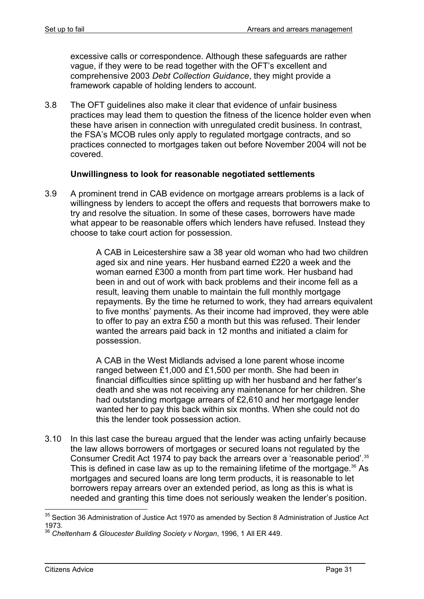excessive calls or correspondence. Although these safeguards are rather vague, if they were to be read together with the OFT's excellent and comprehensive 2003 *Debt Collection Guidance*, they might provide a framework capable of holding lenders to account.

3.8 The OFT guidelines also make it clear that evidence of unfair business practices may lead them to question the fitness of the licence holder even when these have arisen in connection with unregulated credit business. In contrast, the FSA's MCOB rules only apply to regulated mortgage contracts, and so practices connected to mortgages taken out before November 2004 will not be covered.

#### **Unwillingness to look for reasonable negotiated settlements**

3.9 A prominent trend in CAB evidence on mortgage arrears problems is a lack of willingness by lenders to accept the offers and requests that borrowers make to try and resolve the situation. In some of these cases, borrowers have made what appear to be reasonable offers which lenders have refused. Instead they choose to take court action for possession.

> A CAB in Leicestershire saw a 38 year old woman who had two children aged six and nine years. Her husband earned £220 a week and the woman earned £300 a month from part time work. Her husband had been in and out of work with back problems and their income fell as a result, leaving them unable to maintain the full monthly mortgage repayments. By the time he returned to work, they had arrears equivalent to five months' payments. As their income had improved, they were able to offer to pay an extra £50 a month but this was refused. Their lender wanted the arrears paid back in 12 months and initiated a claim for possession.

A CAB in the West Midlands advised a lone parent whose income ranged between £1,000 and £1,500 per month. She had been in financial difficulties since splitting up with her husband and her father's death and she was not receiving any maintenance for her children. She had outstanding mortgage arrears of £2,610 and her mortgage lender wanted her to pay this back within six months. When she could not do this the lender took possession action.

3.10 In this last case the bureau argued that the lender was acting unfairly because the law allows borrowers of mortgages or secured loans not regulated by the Consumer Credit Act 1974 to pay back the arrears over a 'reasonable period'.<sup>35</sup> This is defined in case law as up to the remaining lifetime of the mortgage.<sup>36</sup> As mortgages and secured loans are long term products, it is reasonable to let borrowers repay arrears over an extended period, as long as this is what is needed and granting this time does not seriously weaken the lender's position.

 $35$  Section 36 Administration of Justice Act 1970 as amended by Section 8 Administration of Justice Act 1973.

<sup>36</sup> *Cheltenham & Gloucester Building Society v Norgan*, 1996, 1 All ER 449.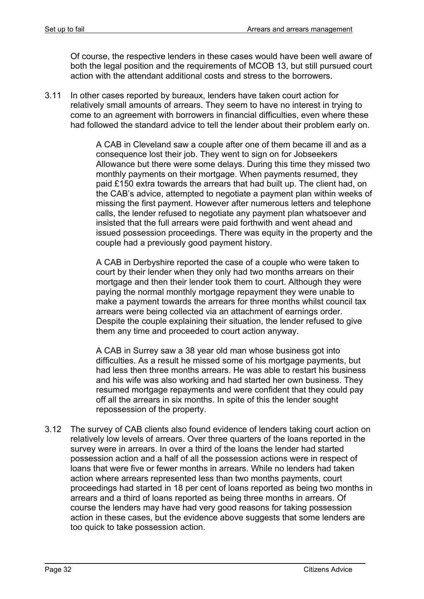Of course, the respective lenders in these cases would have been well aware of both the legal position and the requirements of MCOB 13, but still pursued court action with the attendant additional costs and stress to the borrowers.

3.11 In other cases reported by bureaux, lenders have taken court action for relatively small amounts of arrears. They seem to have no interest in trying to come to an agreement with borrowers in financial difficulties, even where these had followed the standard advice to tell the lender about their problem early on.

> A CAB in Cleveland saw a couple after one of them became ill and as a consequence lost their job. They went to sign on for Jobseekers Allowance but there were some delays. During this time they missed two monthly payments on their mortgage. When payments resumed, they paid £150 extra towards the arrears that had built up. The client had, on the CAB's advice, attempted to negotiate a payment plan within weeks of missing the first payment. However after numerous letters and telephone calls, the lender refused to negotiate any payment plan whatsoever and insisted that the full arrears were paid forthwith and went ahead and issued possession proceedings. There was equity in the property and the couple had a previously good payment history.

A CAB in Derbyshire reported the case of a couple who were taken to court by their lender when they only had two months arrears on their mortgage and then their lender took them to court. Although they were paying the normal monthly mortgage repayment they were unable to make a payment towards the arrears for three months whilst council tax arrears were being collected via an attachment of earnings order. Despite the couple explaining their situation, the lender refused to give them any time and proceeded to court action anyway.

A CAB in Surrey saw a 38 year old man whose business got into difficulties. As a result he missed some of his mortgage payments, but had less then three months arrears. He was able to restart his business and his wife was also working and had started her own business. They resumed mortgage repayments and were confident that they could pay off all the arrears in six months. In spite of this the lender sought repossession of the property.

3.12 The survey of CAB clients also found evidence of lenders taking court action on relatively low levels of arrears. Over three quarters of the loans reported in the survey were in arrears. In over a third of the loans the lender had started possession action and a half of all the possession actions were in respect of loans that were five or fewer months in arrears. While no lenders had taken action where arrears represented less than two months payments, court proceedings had started in 18 per cent of loans reported as being two months in arrears and a third of loans reported as being three months in arrears. Of course the lenders may have had very good reasons for taking possession action in these cases, but the evidence above suggests that some lenders are too quick to take possession action.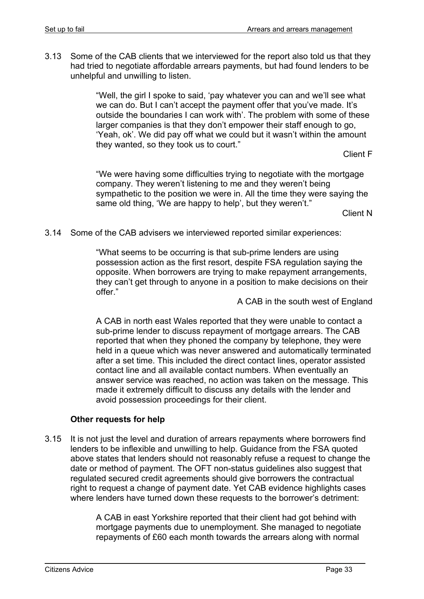3.13 Some of the CAB clients that we interviewed for the report also told us that they had tried to negotiate affordable arrears payments, but had found lenders to be unhelpful and unwilling to listen.

> "Well, the girl I spoke to said, 'pay whatever you can and we'll see what we can do. But I can't accept the payment offer that you've made. It's outside the boundaries I can work with'. The problem with some of these larger companies is that they don't empower their staff enough to go, 'Yeah, ok'. We did pay off what we could but it wasn't within the amount they wanted, so they took us to court."

> > Client F

"We were having some difficulties trying to negotiate with the mortgage company. They weren't listening to me and they weren't being sympathetic to the position we were in. All the time they were saying the same old thing, 'We are happy to help', but they weren't."

Client N

3.14 Some of the CAB advisers we interviewed reported similar experiences:

"What seems to be occurring is that sub-prime lenders are using possession action as the first resort, despite FSA regulation saying the opposite. When borrowers are trying to make repayment arrangements, they can't get through to anyone in a position to make decisions on their offer."

A CAB in the south west of England

A CAB in north east Wales reported that they were unable to contact a sub-prime lender to discuss repayment of mortgage arrears. The CAB reported that when they phoned the company by telephone, they were held in a queue which was never answered and automatically terminated after a set time. This included the direct contact lines, operator assisted contact line and all available contact numbers. When eventually an answer service was reached, no action was taken on the message. This made it extremely difficult to discuss any details with the lender and avoid possession proceedings for their client.

### **Other requests for help**

3.15 It is not just the level and duration of arrears repayments where borrowers find lenders to be inflexible and unwilling to help. Guidance from the FSA quoted above states that lenders should not reasonably refuse a request to change the date or method of payment. The OFT non-status guidelines also suggest that regulated secured credit agreements should give borrowers the contractual right to request a change of payment date. Yet CAB evidence highlights cases where lenders have turned down these requests to the borrower's detriment:

> A CAB in east Yorkshire reported that their client had got behind with mortgage payments due to unemployment. She managed to negotiate repayments of £60 each month towards the arrears along with normal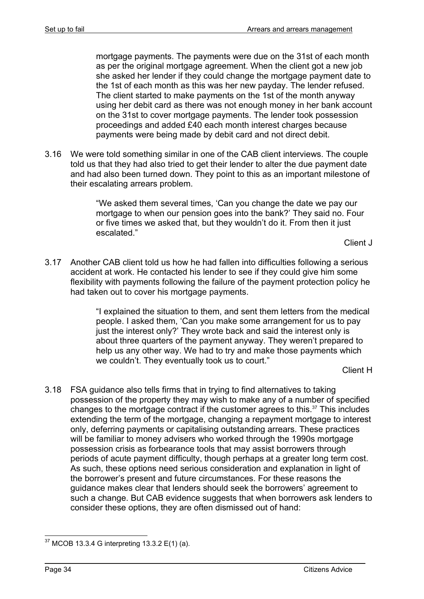mortgage payments. The payments were due on the 31st of each month as per the original mortgage agreement. When the client got a new job she asked her lender if they could change the mortgage payment date to the 1st of each month as this was her new payday. The lender refused. The client started to make payments on the 1st of the month anyway using her debit card as there was not enough money in her bank account on the 31st to cover mortgage payments. The lender took possession proceedings and added £40 each month interest charges because payments were being made by debit card and not direct debit.

3.16 We were told something similar in one of the CAB client interviews. The couple told us that they had also tried to get their lender to alter the due payment date and had also been turned down. They point to this as an important milestone of their escalating arrears problem.

> "We asked them several times, 'Can you change the date we pay our mortgage to when our pension goes into the bank?' They said no. Four or five times we asked that, but they wouldn't do it. From then it just escalated."

> > Client J

3.17 Another CAB client told us how he had fallen into difficulties following a serious accident at work. He contacted his lender to see if they could give him some flexibility with payments following the failure of the payment protection policy he had taken out to cover his mortgage payments.

> "I explained the situation to them, and sent them letters from the medical people. I asked them, 'Can you make some arrangement for us to pay just the interest only?' They wrote back and said the interest only is about three quarters of the payment anyway. They weren't prepared to help us any other way. We had to try and make those payments which we couldn't. They eventually took us to court."

> > Client H

3.18 FSA guidance also tells firms that in trying to find alternatives to taking possession of the property they may wish to make any of a number of specified changes to the mortgage contract if the customer agrees to this. $37$  This includes extending the term of the mortgage, changing a repayment mortgage to interest only, deferring payments or capitalising outstanding arrears. These practices will be familiar to money advisers who worked through the 1990s mortgage possession crisis as forbearance tools that may assist borrowers through periods of acute payment difficulty, though perhaps at a greater long term cost. As such, these options need serious consideration and explanation in light of the borrower's present and future circumstances. For these reasons the guidance makes clear that lenders should seek the borrowers' agreement to such a change. But CAB evidence suggests that when borrowers ask lenders to consider these options, they are often dismissed out of hand:

<sup>1</sup>  $37$  MCOB 13.3.4 G interpreting 13.3.2 E(1) (a).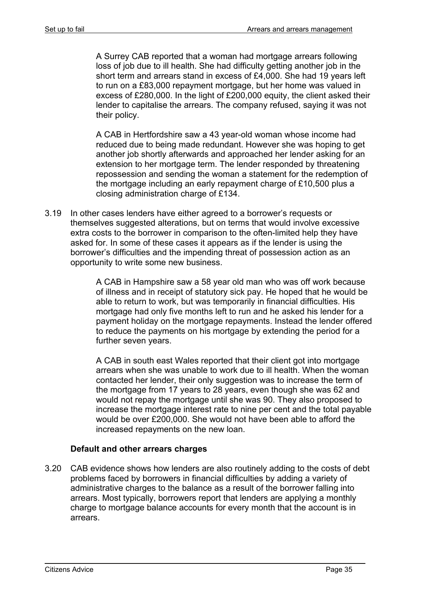A Surrey CAB reported that a woman had mortgage arrears following loss of job due to ill health. She had difficulty getting another job in the short term and arrears stand in excess of £4,000. She had 19 years left to run on a £83,000 repayment mortgage, but her home was valued in excess of £280,000. In the light of £200,000 equity, the client asked their lender to capitalise the arrears. The company refused, saying it was not their policy.

A CAB in Hertfordshire saw a 43 year-old woman whose income had reduced due to being made redundant. However she was hoping to get another job shortly afterwards and approached her lender asking for an extension to her mortgage term. The lender responded by threatening repossession and sending the woman a statement for the redemption of the mortgage including an early repayment charge of £10,500 plus a closing administration charge of £134.

3.19 In other cases lenders have either agreed to a borrower's requests or themselves suggested alterations, but on terms that would involve excessive extra costs to the borrower in comparison to the often-limited help they have asked for. In some of these cases it appears as if the lender is using the borrower's difficulties and the impending threat of possession action as an opportunity to write some new business.

> A CAB in Hampshire saw a 58 year old man who was off work because of illness and in receipt of statutory sick pay. He hoped that he would be able to return to work, but was temporarily in financial difficulties. His mortgage had only five months left to run and he asked his lender for a payment holiday on the mortgage repayments. Instead the lender offered to reduce the payments on his mortgage by extending the period for a further seven years.

> A CAB in south east Wales reported that their client got into mortgage arrears when she was unable to work due to ill health. When the woman contacted her lender, their only suggestion was to increase the term of the mortgage from 17 years to 28 years, even though she was 62 and would not repay the mortgage until she was 90. They also proposed to increase the mortgage interest rate to nine per cent and the total payable would be over £200,000. She would not have been able to afford the increased repayments on the new loan.

### **Default and other arrears charges**

3.20 CAB evidence shows how lenders are also routinely adding to the costs of debt problems faced by borrowers in financial difficulties by adding a variety of administrative charges to the balance as a result of the borrower falling into arrears. Most typically, borrowers report that lenders are applying a monthly charge to mortgage balance accounts for every month that the account is in arrears.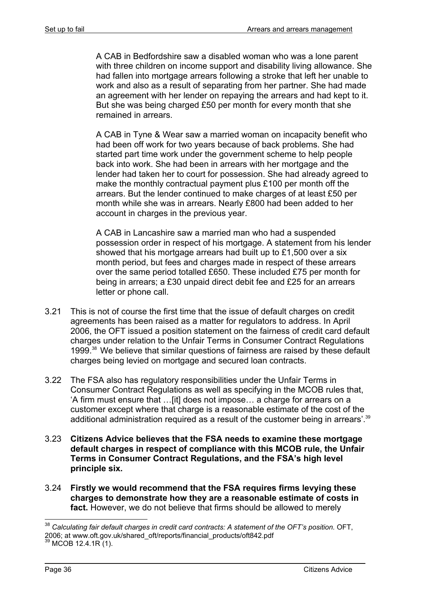A CAB in Bedfordshire saw a disabled woman who was a lone parent with three children on income support and disability living allowance. She had fallen into mortgage arrears following a stroke that left her unable to work and also as a result of separating from her partner. She had made an agreement with her lender on repaying the arrears and had kept to it. But she was being charged £50 per month for every month that she remained in arrears.

A CAB in Tyne & Wear saw a married woman on incapacity benefit who had been off work for two years because of back problems. She had started part time work under the government scheme to help people back into work. She had been in arrears with her mortgage and the lender had taken her to court for possession. She had already agreed to make the monthly contractual payment plus £100 per month off the arrears. But the lender continued to make charges of at least £50 per month while she was in arrears. Nearly £800 had been added to her account in charges in the previous year.

A CAB in Lancashire saw a married man who had a suspended possession order in respect of his mortgage. A statement from his lender showed that his mortgage arrears had built up to £1,500 over a six month period, but fees and charges made in respect of these arrears over the same period totalled £650. These included £75 per month for being in arrears; a £30 unpaid direct debit fee and £25 for an arrears letter or phone call.

- 3.21 This is not of course the first time that the issue of default charges on credit agreements has been raised as a matter for regulators to address. In April 2006, the OFT issued a position statement on the fairness of credit card default charges under relation to the Unfair Terms in Consumer Contract Regulations 1999.38 We believe that similar questions of fairness are raised by these default charges being levied on mortgage and secured loan contracts.
- 3.22 The FSA also has regulatory responsibilities under the Unfair Terms in Consumer Contract Regulations as well as specifying in the MCOB rules that, 'A firm must ensure that …[it] does not impose… a charge for arrears on a customer except where that charge is a reasonable estimate of the cost of the additional administration required as a result of the customer being in arrears'.<sup>39</sup>
- 3.23 **Citizens Advice believes that the FSA needs to examine these mortgage default charges in respect of compliance with this MCOB rule, the Unfair Terms in Consumer Contract Regulations, and the FSA's high level principle six.**
- 3.24 **Firstly we would recommend that the FSA requires firms levying these charges to demonstrate how they are a reasonable estimate of costs in**  fact. However, we do not believe that firms should be allowed to merely

<sup>&</sup>lt;sup>38</sup> Calculating fair default charges in credit card contracts: A statement of the OFT's position. OFT, 2006; at www.oft.gov.uk/shared\_oft/reports/financial\_products/oft842.pdf<br><sup>39</sup> MCOB 12.4.1R (1).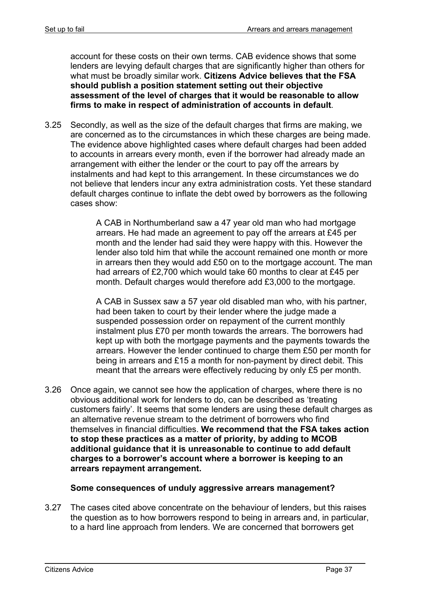account for these costs on their own terms. CAB evidence shows that some lenders are levying default charges that are significantly higher than others for what must be broadly similar work. **Citizens Advice believes that the FSA should publish a position statement setting out their objective assessment of the level of charges that it would be reasonable to allow firms to make in respect of administration of accounts in default**.

3.25 Secondly, as well as the size of the default charges that firms are making, we are concerned as to the circumstances in which these charges are being made. The evidence above highlighted cases where default charges had been added to accounts in arrears every month, even if the borrower had already made an arrangement with either the lender or the court to pay off the arrears by instalments and had kept to this arrangement. In these circumstances we do not believe that lenders incur any extra administration costs. Yet these standard default charges continue to inflate the debt owed by borrowers as the following cases show:

> A CAB in Northumberland saw a 47 year old man who had mortgage arrears. He had made an agreement to pay off the arrears at £45 per month and the lender had said they were happy with this. However the lender also told him that while the account remained one month or more in arrears then they would add £50 on to the mortgage account. The man had arrears of £2,700 which would take 60 months to clear at £45 per month. Default charges would therefore add £3,000 to the mortgage.

> A CAB in Sussex saw a 57 year old disabled man who, with his partner, had been taken to court by their lender where the judge made a suspended possession order on repayment of the current monthly instalment plus £70 per month towards the arrears. The borrowers had kept up with both the mortgage payments and the payments towards the arrears. However the lender continued to charge them £50 per month for being in arrears and £15 a month for non-payment by direct debit. This meant that the arrears were effectively reducing by only £5 per month.

3.26 Once again, we cannot see how the application of charges, where there is no obvious additional work for lenders to do, can be described as 'treating customers fairly'. It seems that some lenders are using these default charges as an alternative revenue stream to the detriment of borrowers who find themselves in financial difficulties. **We recommend that the FSA takes action to stop these practices as a matter of priority, by adding to MCOB additional guidance that it is unreasonable to continue to add default charges to a borrower's account where a borrower is keeping to an arrears repayment arrangement.**

### **Some consequences of unduly aggressive arrears management?**

3.27 The cases cited above concentrate on the behaviour of lenders, but this raises the question as to how borrowers respond to being in arrears and, in particular, to a hard line approach from lenders. We are concerned that borrowers get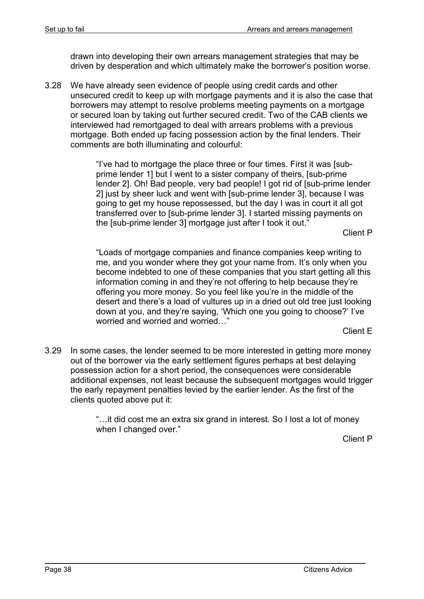drawn into developing their own arrears management strategies that may be driven by desperation and which ultimately make the borrower's position worse.

3.28 We have already seen evidence of people using credit cards and other unsecured credit to keep up with mortgage payments and it is also the case that borrowers may attempt to resolve problems meeting payments on a mortgage or secured loan by taking out further secured credit. Two of the CAB clients we interviewed had remortgaged to deal with arrears problems with a previous mortgage. Both ended up facing possession action by the final lenders. Their comments are both illuminating and colourful:

> "I've had to mortgage the place three or four times. First it was [subprime lender 1] but I went to a sister company of theirs, [sub-prime lender 2]. Oh! Bad people, very bad people! I got rid of [sub-prime lender 2] just by sheer luck and went with [sub-prime lender 3], because I was going to get my house repossessed, but the day I was in court it all got transferred over to [sub-prime lender 3]. I started missing payments on the [sub-prime lender 3] mortgage just after I took it out."

Client P

"Loads of mortgage companies and finance companies keep writing to me, and you wonder where they got your name from. It's only when you become indebted to one of these companies that you start getting all this information coming in and they're not offering to help because they're offering you more money. So you feel like you're in the middle of the desert and there's a load of vultures up in a dried out old tree just looking down at you, and they're saying, 'Which one you going to choose?' I've worried and worried and worried…"

Client E

3.29 In some cases, the lender seemed to be more interested in getting more money out of the borrower via the early settlement figures perhaps at best delaying possession action for a short period, the consequences were considerable additional expenses, not least because the subsequent mortgages would trigger the early repayment penalties levied by the earlier lender. As the first of the clients quoted above put it:

> "…it did cost me an extra six grand in interest. So I lost a lot of money when I changed over."

> > Client P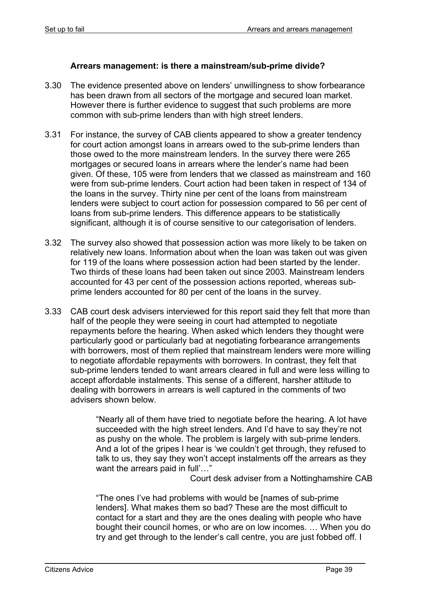#### **Arrears management: is there a mainstream/sub-prime divide?**

- 3.30 The evidence presented above on lenders' unwillingness to show forbearance has been drawn from all sectors of the mortgage and secured loan market. However there is further evidence to suggest that such problems are more common with sub-prime lenders than with high street lenders.
- 3.31 For instance, the survey of CAB clients appeared to show a greater tendency for court action amongst loans in arrears owed to the sub-prime lenders than those owed to the more mainstream lenders. In the survey there were 265 mortgages or secured loans in arrears where the lender's name had been given. Of these, 105 were from lenders that we classed as mainstream and 160 were from sub-prime lenders. Court action had been taken in respect of 134 of the loans in the survey. Thirty nine per cent of the loans from mainstream lenders were subject to court action for possession compared to 56 per cent of loans from sub-prime lenders. This difference appears to be statistically significant, although it is of course sensitive to our categorisation of lenders.
- 3.32 The survey also showed that possession action was more likely to be taken on relatively new loans. Information about when the loan was taken out was given for 119 of the loans where possession action had been started by the lender. Two thirds of these loans had been taken out since 2003. Mainstream lenders accounted for 43 per cent of the possession actions reported, whereas subprime lenders accounted for 80 per cent of the loans in the survey.
- 3.33 CAB court desk advisers interviewed for this report said they felt that more than half of the people they were seeing in court had attempted to negotiate repayments before the hearing. When asked which lenders they thought were particularly good or particularly bad at negotiating forbearance arrangements with borrowers, most of them replied that mainstream lenders were more willing to negotiate affordable repayments with borrowers. In contrast, they felt that sub-prime lenders tended to want arrears cleared in full and were less willing to accept affordable instalments. This sense of a different, harsher attitude to dealing with borrowers in arrears is well captured in the comments of two advisers shown below.

"Nearly all of them have tried to negotiate before the hearing. A lot have succeeded with the high street lenders. And I'd have to say they're not as pushy on the whole. The problem is largely with sub-prime lenders. And a lot of the gripes I hear is 'we couldn't get through, they refused to talk to us, they say they won't accept instalments off the arrears as they want the arrears paid in full'..."

Court desk adviser from a Nottinghamshire CAB

"The ones I've had problems with would be [names of sub-prime lenders]. What makes them so bad? These are the most difficult to contact for a start and they are the ones dealing with people who have bought their council homes, or who are on low incomes. … When you do try and get through to the lender's call centre, you are just fobbed off. I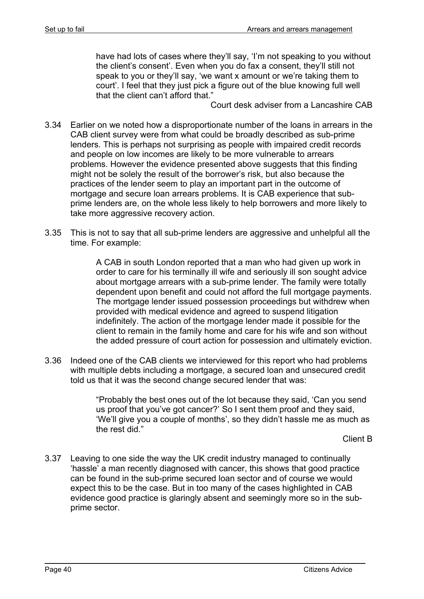have had lots of cases where they'll say, 'I'm not speaking to you without the client's consent'. Even when you do fax a consent, they'll still not speak to you or they'll say, 'we want x amount or we're taking them to court'. I feel that they just pick a figure out of the blue knowing full well that the client can't afford that."

Court desk adviser from a Lancashire CAB

- 3.34 Earlier on we noted how a disproportionate number of the loans in arrears in the CAB client survey were from what could be broadly described as sub-prime lenders. This is perhaps not surprising as people with impaired credit records and people on low incomes are likely to be more vulnerable to arrears problems. However the evidence presented above suggests that this finding might not be solely the result of the borrower's risk, but also because the practices of the lender seem to play an important part in the outcome of mortgage and secure loan arrears problems. It is CAB experience that subprime lenders are, on the whole less likely to help borrowers and more likely to take more aggressive recovery action.
- 3.35 This is not to say that all sub-prime lenders are aggressive and unhelpful all the time. For example:

A CAB in south London reported that a man who had given up work in order to care for his terminally ill wife and seriously ill son sought advice about mortgage arrears with a sub-prime lender. The family were totally dependent upon benefit and could not afford the full mortgage payments. The mortgage lender issued possession proceedings but withdrew when provided with medical evidence and agreed to suspend litigation indefinitely. The action of the mortgage lender made it possible for the client to remain in the family home and care for his wife and son without the added pressure of court action for possession and ultimately eviction.

3.36 Indeed one of the CAB clients we interviewed for this report who had problems with multiple debts including a mortgage, a secured loan and unsecured credit told us that it was the second change secured lender that was:

> "Probably the best ones out of the lot because they said, 'Can you send us proof that you've got cancer?' So I sent them proof and they said, 'We'll give you a couple of months', so they didn't hassle me as much as the rest did."

> > Client B

3.37 Leaving to one side the way the UK credit industry managed to continually 'hassle' a man recently diagnosed with cancer, this shows that good practice can be found in the sub-prime secured loan sector and of course we would expect this to be the case. But in too many of the cases highlighted in CAB evidence good practice is glaringly absent and seemingly more so in the subprime sector.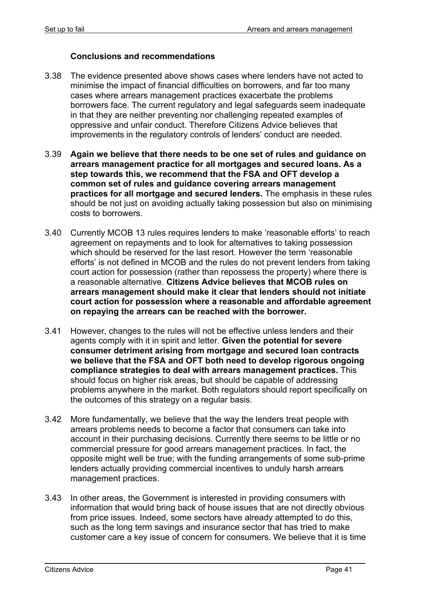#### **Conclusions and recommendations**

- 3.38 The evidence presented above shows cases where lenders have not acted to minimise the impact of financial difficulties on borrowers, and far too many cases where arrears management practices exacerbate the problems borrowers face. The current regulatory and legal safeguards seem inadequate in that they are neither preventing nor challenging repeated examples of oppressive and unfair conduct. Therefore Citizens Advice believes that improvements in the regulatory controls of lenders' conduct are needed.
- 3.39 **Again we believe that there needs to be one set of rules and guidance on arrears management practice for all mortgages and secured loans. As a step towards this, we recommend that the FSA and OFT develop a common set of rules and guidance covering arrears management practices for all mortgage and secured lenders.** The emphasis in these rules should be not just on avoiding actually taking possession but also on minimising costs to borrowers.
- 3.40 Currently MCOB 13 rules requires lenders to make 'reasonable efforts' to reach agreement on repayments and to look for alternatives to taking possession which should be reserved for the last resort. However the term 'reasonable efforts' is not defined in MCOB and the rules do not prevent lenders from taking court action for possession (rather than repossess the property) where there is a reasonable alternative. **Citizens Advice believes that MCOB rules on arrears management should make it clear that lenders should not initiate court action for possession where a reasonable and affordable agreement on repaying the arrears can be reached with the borrower.**
- 3.41 However, changes to the rules will not be effective unless lenders and their agents comply with it in spirit and letter. **Given the potential for severe consumer detriment arising from mortgage and secured loan contracts we believe that the FSA and OFT both need to develop rigorous ongoing compliance strategies to deal with arrears management practices.** This should focus on higher risk areas, but should be capable of addressing problems anywhere in the market. Both regulators should report specifically on the outcomes of this strategy on a regular basis.
- 3.42 More fundamentally, we believe that the way the lenders treat people with arrears problems needs to become a factor that consumers can take into account in their purchasing decisions. Currently there seems to be little or no commercial pressure for good arrears management practices. In fact, the opposite might well be true; with the funding arrangements of some sub-prime lenders actually providing commercial incentives to unduly harsh arrears management practices.
- 3.43 In other areas, the Government is interested in providing consumers with information that would bring back of house issues that are not directly obvious from price issues. Indeed, some sectors have already attempted to do this, such as the long term savings and insurance sector that has tried to make customer care a key issue of concern for consumers. We believe that it is time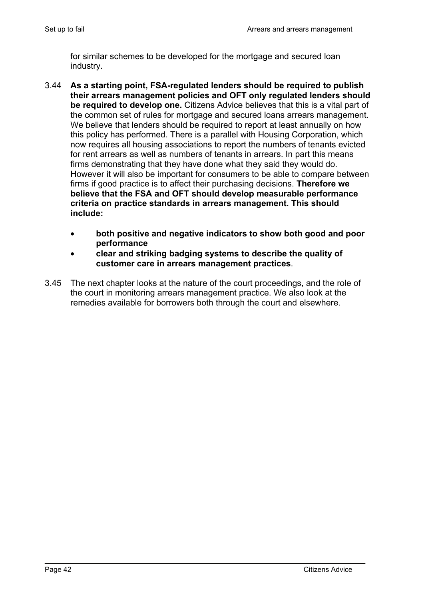for similar schemes to be developed for the mortgage and secured loan industry.

- 3.44 **As a starting point, FSA-regulated lenders should be required to publish their arrears management policies and OFT only regulated lenders should be required to develop one.** Citizens Advice believes that this is a vital part of the common set of rules for mortgage and secured loans arrears management. We believe that lenders should be required to report at least annually on how this policy has performed. There is a parallel with Housing Corporation, which now requires all housing associations to report the numbers of tenants evicted for rent arrears as well as numbers of tenants in arrears. In part this means firms demonstrating that they have done what they said they would do. However it will also be important for consumers to be able to compare between firms if good practice is to affect their purchasing decisions. **Therefore we believe that the FSA and OFT should develop measurable performance criteria on practice standards in arrears management. This should include:** 
	- **both positive and negative indicators to show both good and poor performance**
	- **clear and striking badging systems to describe the quality of customer care in arrears management practices**.
- 3.45 The next chapter looks at the nature of the court proceedings, and the role of the court in monitoring arrears management practice. We also look at the remedies available for borrowers both through the court and elsewhere.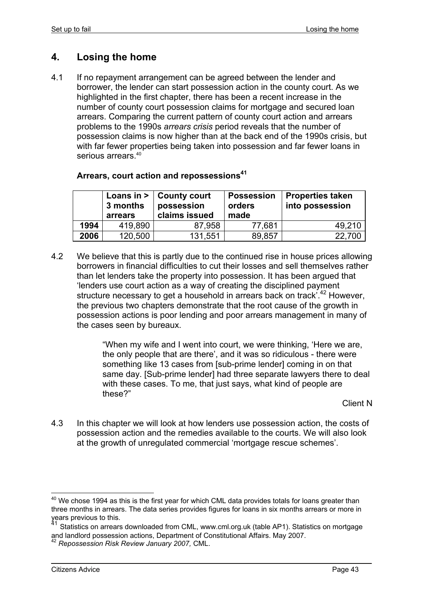# **4. Losing the home**

4.1 If no repayment arrangement can be agreed between the lender and borrower, the lender can start possession action in the county court. As we highlighted in the first chapter, there has been a recent increase in the number of county court possession claims for mortgage and secured loan arrears. Comparing the current pattern of county court action and arrears problems to the 1990s *arrears crisis* period reveals that the number of possession claims is now higher than at the back end of the 1990s crisis, but with far fewer properties being taken into possession and far fewer loans in serious arrears.<sup>40</sup>

## **Arrears, court action and repossessions<sup>41</sup>**

|      | 3 months<br>arrears | Loans in $>$   County court<br>possession<br>claims issued | <b>Possession</b><br>orders<br>made | Properties taken<br>into possession |
|------|---------------------|------------------------------------------------------------|-------------------------------------|-------------------------------------|
| 1994 | 419,890             | 87,958                                                     | 77,681                              | 49.210                              |
| 2006 | 120,500             | 131,551                                                    | 89,857                              | 22,700                              |

4.2 We believe that this is partly due to the continued rise in house prices allowing borrowers in financial difficulties to cut their losses and sell themselves rather than let lenders take the property into possession. It has been argued that 'lenders use court action as a way of creating the disciplined payment structure necessary to get a household in arrears back on track<sup>3</sup>.<sup>42</sup> However, the previous two chapters demonstrate that the root cause of the growth in possession actions is poor lending and poor arrears management in many of the cases seen by bureaux.

> "When my wife and I went into court, we were thinking, 'Here we are, the only people that are there', and it was so ridiculous - there were something like 13 cases from [sub-prime lender] coming in on that same day. [Sub-prime lender] had three separate lawyers there to deal with these cases. To me, that just says, what kind of people are these?"

Client N

4.3 In this chapter we will look at how lenders use possession action, the costs of possession action and the remedies available to the courts. We will also look at the growth of unregulated commercial 'mortgage rescue schemes'.

<sup>1</sup>  $40$  We chose 1994 as this is the first year for which CML data provides totals for loans greater than three months in arrears. The data series provides figures for loans in six months arrears or more in years previous to this.

Statistics on arrears downloaded from CML, www.cml.org.uk (table AP1). Statistics on mortgage and landlord possession actions, Department of Constitutional Affairs. May 2007.

<sup>42</sup> *Repossession Risk Review January 2007,* CML.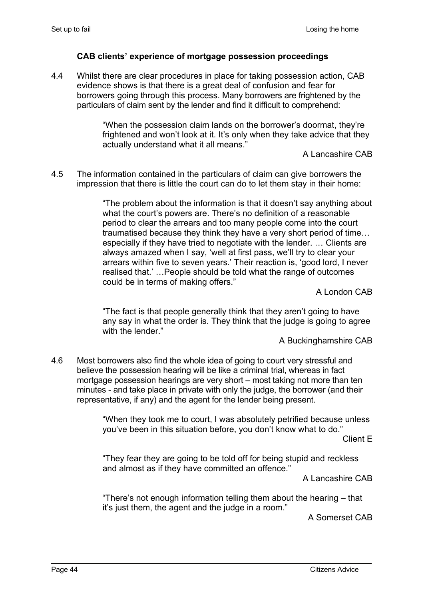## **CAB clients' experience of mortgage possession proceedings**

4.4 Whilst there are clear procedures in place for taking possession action, CAB evidence shows is that there is a great deal of confusion and fear for borrowers going through this process. Many borrowers are frightened by the particulars of claim sent by the lender and find it difficult to comprehend:

> "When the possession claim lands on the borrower's doormat, they're frightened and won't look at it. It's only when they take advice that they actually understand what it all means."

> > A Lancashire CAB

4.5 The information contained in the particulars of claim can give borrowers the impression that there is little the court can do to let them stay in their home:

> "The problem about the information is that it doesn't say anything about what the court's powers are. There's no definition of a reasonable period to clear the arrears and too many people come into the court traumatised because they think they have a very short period of time… especially if they have tried to negotiate with the lender. … Clients are always amazed when I say, 'well at first pass, we'll try to clear your arrears within five to seven years.' Their reaction is, 'good lord, I never realised that.' …People should be told what the range of outcomes could be in terms of making offers."

> > A London CAB

"The fact is that people generally think that they aren't going to have any say in what the order is. They think that the judge is going to agree with the lender."

A Buckinghamshire CAB

4.6 Most borrowers also find the whole idea of going to court very stressful and believe the possession hearing will be like a criminal trial, whereas in fact mortgage possession hearings are very short – most taking not more than ten minutes - and take place in private with only the judge, the borrower (and their representative, if any) and the agent for the lender being present.

> "When they took me to court, I was absolutely petrified because unless you've been in this situation before, you don't know what to do."

> > Client E

"They fear they are going to be told off for being stupid and reckless and almost as if they have committed an offence."

A Lancashire CAB

"There's not enough information telling them about the hearing – that it's just them, the agent and the judge in a room."

A Somerset CAB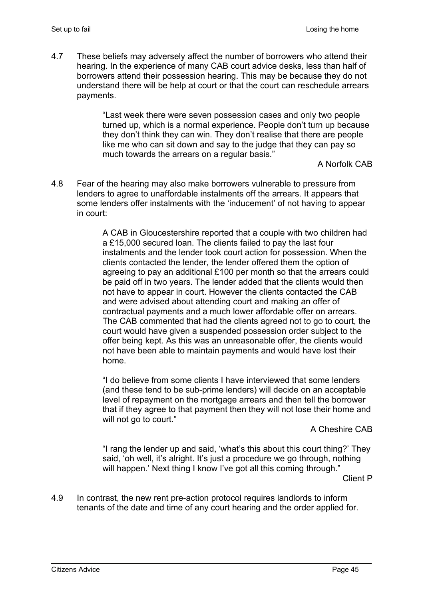4.7 These beliefs may adversely affect the number of borrowers who attend their hearing. In the experience of many CAB court advice desks, less than half of borrowers attend their possession hearing. This may be because they do not understand there will be help at court or that the court can reschedule arrears payments.

> "Last week there were seven possession cases and only two people turned up, which is a normal experience. People don't turn up because they don't think they can win. They don't realise that there are people like me who can sit down and say to the judge that they can pay so much towards the arrears on a regular basis."

A Norfolk CAB

4.8 Fear of the hearing may also make borrowers vulnerable to pressure from lenders to agree to unaffordable instalments off the arrears. It appears that some lenders offer instalments with the 'inducement' of not having to appear in court:

> A CAB in Gloucestershire reported that a couple with two children had a £15,000 secured loan. The clients failed to pay the last four instalments and the lender took court action for possession. When the clients contacted the lender, the lender offered them the option of agreeing to pay an additional £100 per month so that the arrears could be paid off in two years. The lender added that the clients would then not have to appear in court. However the clients contacted the CAB and were advised about attending court and making an offer of contractual payments and a much lower affordable offer on arrears. The CAB commented that had the clients agreed not to go to court, the court would have given a suspended possession order subject to the offer being kept. As this was an unreasonable offer, the clients would not have been able to maintain payments and would have lost their home.

> "I do believe from some clients I have interviewed that some lenders (and these tend to be sub-prime lenders) will decide on an acceptable level of repayment on the mortgage arrears and then tell the borrower that if they agree to that payment then they will not lose their home and will not go to court."

#### A Cheshire CAB

"I rang the lender up and said, 'what's this about this court thing?' They said, 'oh well, it's alright. It's just a procedure we go through, nothing will happen.' Next thing I know I've got all this coming through."

Client P

4.9 In contrast, the new rent pre-action protocol requires landlords to inform tenants of the date and time of any court hearing and the order applied for.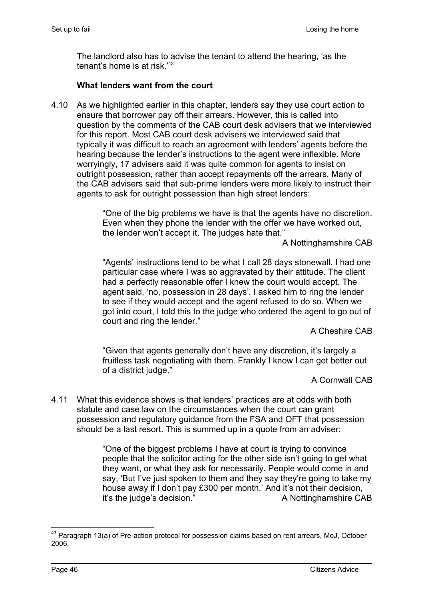The landlord also has to advise the tenant to attend the hearing, 'as the tenant's home is at risk.'43

## **What lenders want from the court**

4.10 As we highlighted earlier in this chapter, lenders say they use court action to ensure that borrower pay off their arrears. However, this is called into question by the comments of the CAB court desk advisers that we interviewed for this report. Most CAB court desk advisers we interviewed said that typically it was difficult to reach an agreement with lenders' agents before the hearing because the lender's instructions to the agent were inflexible. More worryingly, 17 advisers said it was quite common for agents to insist on outright possession, rather than accept repayments off the arrears. Many of the CAB advisers said that sub-prime lenders were more likely to instruct their agents to ask for outright possession than high street lenders:

> "One of the big problems we have is that the agents have no discretion. Even when they phone the lender with the offer we have worked out, the lender won't accept it. The judges hate that."

A Nottinghamshire CAB

"Agents' instructions tend to be what I call 28 days stonewall. I had one particular case where I was so aggravated by their attitude. The client had a perfectly reasonable offer I knew the court would accept. The agent said, 'no, possession in 28 days'. I asked him to ring the lender to see if they would accept and the agent refused to do so. When we got into court, I told this to the judge who ordered the agent to go out of court and ring the lender."

A Cheshire CAB

"Given that agents generally don't have any discretion, it's largely a fruitless task negotiating with them. Frankly I know I can get better out of a district judge."

A Cornwall CAB

4.11 What this evidence shows is that lenders' practices are at odds with both statute and case law on the circumstances when the court can grant possession and regulatory guidance from the FSA and OFT that possession should be a last resort. This is summed up in a quote from an adviser:

> "One of the biggest problems I have at court is trying to convince people that the solicitor acting for the other side isn't going to get what they want, or what they ask for necessarily. People would come in and say, 'But I've just spoken to them and they say they're going to take my house away if I don't pay £300 per month.' And it's not their decision, it's the judge's decision." A Nottinghamshire CAB

<sup>1</sup> <sup>43</sup> Paragraph 13(a) of Pre-action protocol for possession claims based on rent arrears, MoJ, October 2006.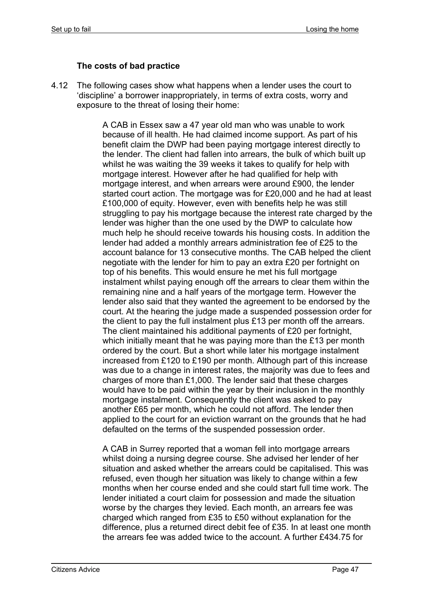## **The costs of bad practice**

4.12 The following cases show what happens when a lender uses the court to 'discipline' a borrower inappropriately, in terms of extra costs, worry and exposure to the threat of losing their home:

> A CAB in Essex saw a 47 year old man who was unable to work because of ill health. He had claimed income support. As part of his benefit claim the DWP had been paying mortgage interest directly to the lender. The client had fallen into arrears, the bulk of which built up whilst he was waiting the 39 weeks it takes to qualify for help with mortgage interest. However after he had qualified for help with mortgage interest, and when arrears were around £900, the lender started court action. The mortgage was for £20,000 and he had at least £100,000 of equity. However, even with benefits help he was still struggling to pay his mortgage because the interest rate charged by the lender was higher than the one used by the DWP to calculate how much help he should receive towards his housing costs. In addition the lender had added a monthly arrears administration fee of £25 to the account balance for 13 consecutive months. The CAB helped the client negotiate with the lender for him to pay an extra £20 per fortnight on top of his benefits. This would ensure he met his full mortgage instalment whilst paying enough off the arrears to clear them within the remaining nine and a half years of the mortgage term. However the lender also said that they wanted the agreement to be endorsed by the court. At the hearing the judge made a suspended possession order for the client to pay the full instalment plus £13 per month off the arrears. The client maintained his additional payments of £20 per fortnight, which initially meant that he was paying more than the £13 per month ordered by the court. But a short while later his mortgage instalment increased from £120 to £190 per month. Although part of this increase was due to a change in interest rates, the majority was due to fees and charges of more than £1,000. The lender said that these charges would have to be paid within the year by their inclusion in the monthly mortgage instalment. Consequently the client was asked to pay another £65 per month, which he could not afford. The lender then applied to the court for an eviction warrant on the grounds that he had defaulted on the terms of the suspended possession order.

> A CAB in Surrey reported that a woman fell into mortgage arrears whilst doing a nursing degree course. She advised her lender of her situation and asked whether the arrears could be capitalised. This was refused, even though her situation was likely to change within a few months when her course ended and she could start full time work. The lender initiated a court claim for possession and made the situation worse by the charges they levied. Each month, an arrears fee was charged which ranged from £35 to £50 without explanation for the difference, plus a returned direct debit fee of £35. In at least one month the arrears fee was added twice to the account. A further £434.75 for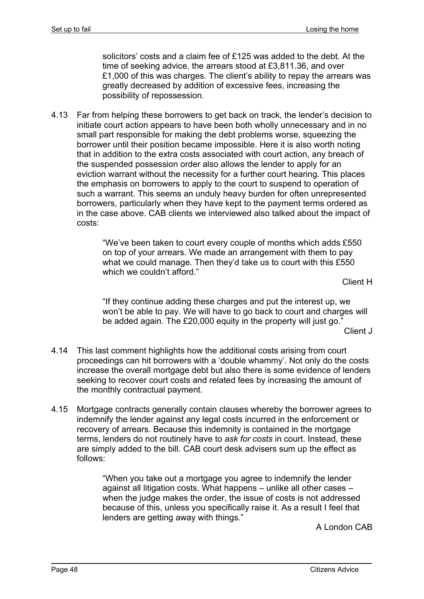solicitors' costs and a claim fee of £125 was added to the debt. At the time of seeking advice, the arrears stood at £3,811.36, and over £1,000 of this was charges. The client's ability to repay the arrears was greatly decreased by addition of excessive fees, increasing the possibility of repossession.

4.13 Far from helping these borrowers to get back on track, the lender's decision to initiate court action appears to have been both wholly unnecessary and in no small part responsible for making the debt problems worse, squeezing the borrower until their position became impossible. Here it is also worth noting that in addition to the extra costs associated with court action, any breach of the suspended possession order also allows the lender to apply for an eviction warrant without the necessity for a further court hearing. This places the emphasis on borrowers to apply to the court to suspend to operation of such a warrant. This seems an unduly heavy burden for often unrepresented borrowers, particularly when they have kept to the payment terms ordered as in the case above. CAB clients we interviewed also talked about the impact of costs:

> "We've been taken to court every couple of months which adds £550 on top of your arrears. We made an arrangement with them to pay what we could manage. Then they'd take us to court with this £550 which we couldn't afford."

Client H

"If they continue adding these charges and put the interest up, we won't be able to pay. We will have to go back to court and charges will be added again. The £20,000 equity in the property will just go."

Client J

- 4.14 This last comment highlights how the additional costs arising from court proceedings can hit borrowers with a 'double whammy'. Not only do the costs increase the overall mortgage debt but also there is some evidence of lenders seeking to recover court costs and related fees by increasing the amount of the monthly contractual payment.
- 4.15 Mortgage contracts generally contain clauses whereby the borrower agrees to indemnify the lender against any legal costs incurred in the enforcement or recovery of arrears. Because this indemnity is contained in the mortgage terms, lenders do not routinely have to *ask for costs* in court. Instead, these are simply added to the bill. CAB court desk advisers sum up the effect as follows:

"When you take out a mortgage you agree to indemnify the lender against all litigation costs. What happens – unlike all other cases – when the judge makes the order, the issue of costs is not addressed because of this, unless you specifically raise it. As a result I feel that lenders are getting away with things."

A London CAB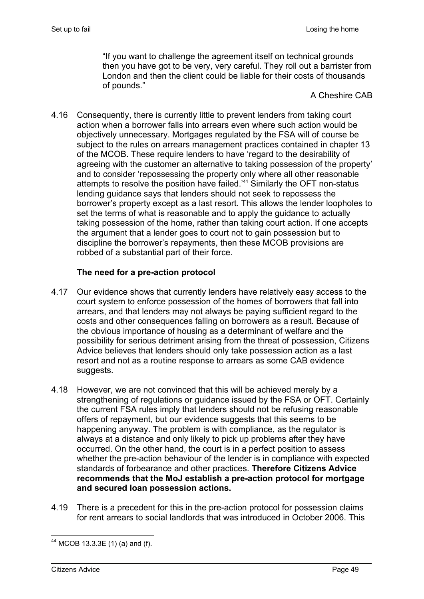"If you want to challenge the agreement itself on technical grounds then you have got to be very, very careful. They roll out a barrister from London and then the client could be liable for their costs of thousands of pounds."

A Cheshire CAB

4.16 Consequently, there is currently little to prevent lenders from taking court action when a borrower falls into arrears even where such action would be objectively unnecessary. Mortgages regulated by the FSA will of course be subject to the rules on arrears management practices contained in chapter 13 of the MCOB. These require lenders to have 'regard to the desirability of agreeing with the customer an alternative to taking possession of the property' and to consider 'repossessing the property only where all other reasonable attempts to resolve the position have failed.'44 Similarly the OFT non-status lending guidance says that lenders should not seek to repossess the borrower's property except as a last resort. This allows the lender loopholes to set the terms of what is reasonable and to apply the guidance to actually taking possession of the home, rather than taking court action. If one accepts the argument that a lender goes to court not to gain possession but to discipline the borrower's repayments, then these MCOB provisions are robbed of a substantial part of their force.

## **The need for a pre-action protocol**

- 4.17 Our evidence shows that currently lenders have relatively easy access to the court system to enforce possession of the homes of borrowers that fall into arrears, and that lenders may not always be paying sufficient regard to the costs and other consequences falling on borrowers as a result. Because of the obvious importance of housing as a determinant of welfare and the possibility for serious detriment arising from the threat of possession, Citizens Advice believes that lenders should only take possession action as a last resort and not as a routine response to arrears as some CAB evidence suggests.
- 4.18 However, we are not convinced that this will be achieved merely by a strengthening of regulations or guidance issued by the FSA or OFT. Certainly the current FSA rules imply that lenders should not be refusing reasonable offers of repayment, but our evidence suggests that this seems to be happening anyway. The problem is with compliance, as the regulator is always at a distance and only likely to pick up problems after they have occurred. On the other hand, the court is in a perfect position to assess whether the pre-action behaviour of the lender is in compliance with expected standards of forbearance and other practices. **Therefore Citizens Advice recommends that the MoJ establish a pre-action protocol for mortgage and secured loan possession actions.**
- 4.19 There is a precedent for this in the pre-action protocol for possession claims for rent arrears to social landlords that was introduced in October 2006. This

<sup>1</sup>  $44$  MCOB 13.3.3E (1) (a) and (f).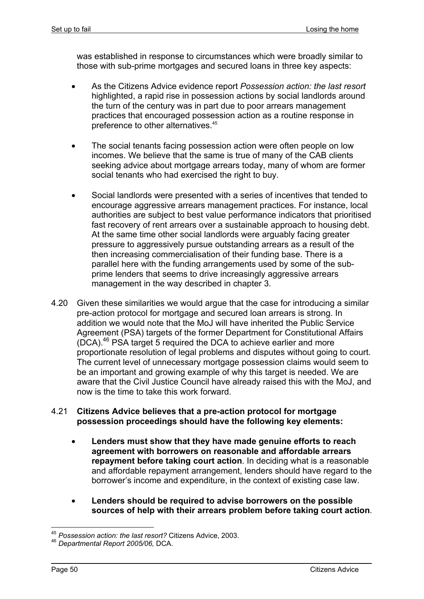was established in response to circumstances which were broadly similar to those with sub-prime mortgages and secured loans in three key aspects:

- As the Citizens Advice evidence report *Possession action: the last resort* highlighted, a rapid rise in possession actions by social landlords around the turn of the century was in part due to poor arrears management practices that encouraged possession action as a routine response in preference to other alternatives.<sup>45</sup>
- The social tenants facing possession action were often people on low incomes. We believe that the same is true of many of the CAB clients seeking advice about mortgage arrears today, many of whom are former social tenants who had exercised the right to buy.
- Social landlords were presented with a series of incentives that tended to encourage aggressive arrears management practices. For instance, local authorities are subject to best value performance indicators that prioritised fast recovery of rent arrears over a sustainable approach to housing debt. At the same time other social landlords were arguably facing greater pressure to aggressively pursue outstanding arrears as a result of the then increasing commercialisation of their funding base. There is a parallel here with the funding arrangements used by some of the subprime lenders that seems to drive increasingly aggressive arrears management in the way described in chapter 3.
- 4.20 Given these similarities we would argue that the case for introducing a similar pre-action protocol for mortgage and secured loan arrears is strong. In addition we would note that the MoJ will have inherited the Public Service Agreement (PSA) targets of the former Department for Constitutional Affairs (DCA).46 PSA target 5 required the DCA to achieve earlier and more proportionate resolution of legal problems and disputes without going to court. The current level of unnecessary mortgage possession claims would seem to be an important and growing example of why this target is needed. We are aware that the Civil Justice Council have already raised this with the MoJ, and now is the time to take this work forward.

### 4.21 **Citizens Advice believes that a pre-action protocol for mortgage possession proceedings should have the following key elements:**

- **Lenders must show that they have made genuine efforts to reach agreement with borrowers on reasonable and affordable arrears repayment before taking court action**. In deciding what is a reasonable and affordable repayment arrangement, lenders should have regard to the borrower's income and expenditure, in the context of existing case law.
- **Lenders should be required to advise borrowers on the possible sources of help with their arrears problem before taking court action**.

<sup>1</sup> <sup>45</sup> *Possession action: the last resort?* Citizens Advice, 2003.

<sup>46</sup> *Departmental Report 2005/06,* DCA.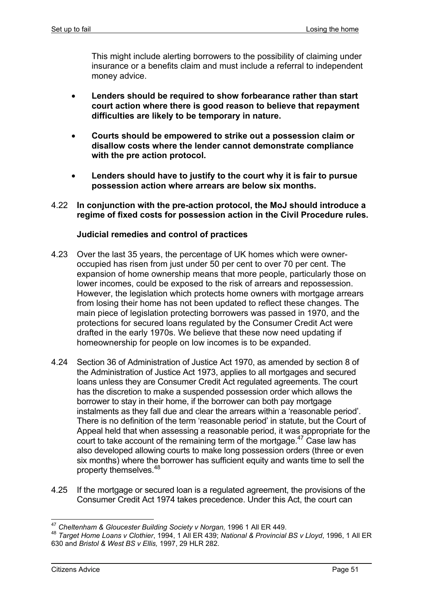This might include alerting borrowers to the possibility of claiming under insurance or a benefits claim and must include a referral to independent money advice.

- **Lenders should be required to show forbearance rather than start court action where there is good reason to believe that repayment difficulties are likely to be temporary in nature.**
- **Courts should be empowered to strike out a possession claim or disallow costs where the lender cannot demonstrate compliance with the pre action protocol.**
- **Lenders should have to justify to the court why it is fair to pursue possession action where arrears are below six months.**
- 4.22 **In conjunction with the pre-action protocol, the MoJ should introduce a regime of fixed costs for possession action in the Civil Procedure rules.**

#### **Judicial remedies and control of practices**

- 4.23 Over the last 35 years, the percentage of UK homes which were owneroccupied has risen from just under 50 per cent to over 70 per cent. The expansion of home ownership means that more people, particularly those on lower incomes, could be exposed to the risk of arrears and repossession. However, the legislation which protects home owners with mortgage arrears from losing their home has not been updated to reflect these changes. The main piece of legislation protecting borrowers was passed in 1970, and the protections for secured loans regulated by the Consumer Credit Act were drafted in the early 1970s. We believe that these now need updating if homeownership for people on low incomes is to be expanded.
- 4.24 Section 36 of Administration of Justice Act 1970, as amended by section 8 of the Administration of Justice Act 1973, applies to all mortgages and secured loans unless they are Consumer Credit Act regulated agreements. The court has the discretion to make a suspended possession order which allows the borrower to stay in their home, if the borrower can both pay mortgage instalments as they fall due and clear the arrears within a 'reasonable period'. There is no definition of the term 'reasonable period' in statute, but the Court of Appeal held that when assessing a reasonable period, it was appropriate for the court to take account of the remaining term of the mortgage.<sup>47</sup> Case law has also developed allowing courts to make long possession orders (three or even six months) where the borrower has sufficient equity and wants time to sell the property themselves.<sup>48</sup>
- 4.25 If the mortgage or secured loan is a regulated agreement, the provisions of the Consumer Credit Act 1974 takes precedence. Under this Act, the court can

<sup>1</sup> <sup>47</sup> *Cheltenham & Gloucester Building Society v Norgan,* 1996 1 All ER 449.

<sup>48</sup> *Target Home Loans v Clothier*, 1994, 1 All ER 439; *National & Provincial BS v Lloyd*, 1996, 1 All ER 630 and *Bristol & West BS v Ellis,* 1997, 29 HLR 282.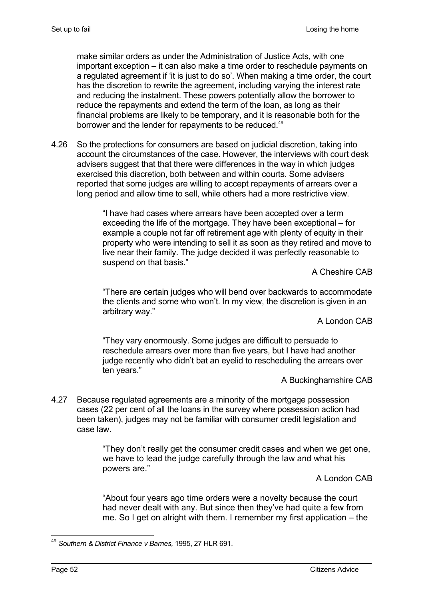make similar orders as under the Administration of Justice Acts, with one important exception – it can also make a time order to reschedule payments on a regulated agreement if 'it is just to do so'. When making a time order, the court has the discretion to rewrite the agreement, including varying the interest rate and reducing the instalment. These powers potentially allow the borrower to reduce the repayments and extend the term of the loan, as long as their financial problems are likely to be temporary, and it is reasonable both for the borrower and the lender for repayments to be reduced.<sup>49</sup>

4.26 So the protections for consumers are based on judicial discretion, taking into account the circumstances of the case. However, the interviews with court desk advisers suggest that that there were differences in the way in which judges exercised this discretion, both between and within courts. Some advisers reported that some judges are willing to accept repayments of arrears over a long period and allow time to sell, while others had a more restrictive view.

> "I have had cases where arrears have been accepted over a term exceeding the life of the mortgage. They have been exceptional – for example a couple not far off retirement age with plenty of equity in their property who were intending to sell it as soon as they retired and move to live near their family. The judge decided it was perfectly reasonable to suspend on that basis."

A Cheshire CAB

"There are certain judges who will bend over backwards to accommodate the clients and some who won't. In my view, the discretion is given in an arbitrary way."

A London CAB

"They vary enormously. Some judges are difficult to persuade to reschedule arrears over more than five years, but I have had another judge recently who didn't bat an eyelid to rescheduling the arrears over ten years."

A Buckinghamshire CAB

4.27 Because regulated agreements are a minority of the mortgage possession cases (22 per cent of all the loans in the survey where possession action had been taken), judges may not be familiar with consumer credit legislation and case law.

> "They don't really get the consumer credit cases and when we get one, we have to lead the judge carefully through the law and what his powers are."

> > A London CAB

"About four years ago time orders were a novelty because the court had never dealt with any. But since then they've had quite a few from me. So I get on alright with them. I remember my first application – the

<sup>1</sup> <sup>49</sup> *Southern & District Finance v Barnes,* 1995, 27 HLR 691.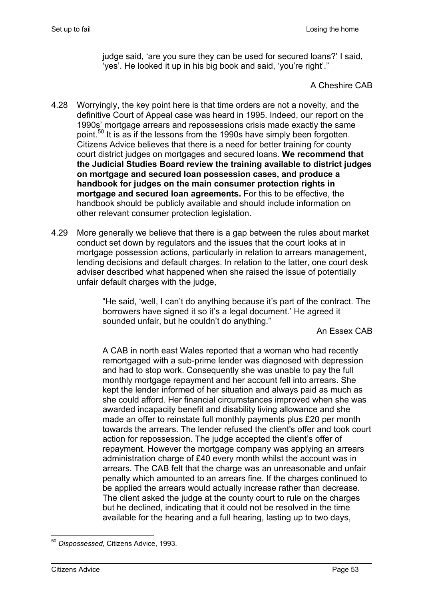judge said, 'are you sure they can be used for secured loans?' I said, 'yes'. He looked it up in his big book and said, 'you're right'."

A Cheshire CAB

- 4.28 Worryingly, the key point here is that time orders are not a novelty, and the definitive Court of Appeal case was heard in 1995. Indeed, our report on the 1990s' mortgage arrears and repossessions crisis made exactly the same point.<sup>50</sup> It is as if the lessons from the 1990s have simply been forgotten. Citizens Advice believes that there is a need for better training for county court district judges on mortgages and secured loans. **We recommend that the Judicial Studies Board review the training available to district judges on mortgage and secured loan possession cases, and produce a handbook for judges on the main consumer protection rights in mortgage and secured loan agreements.** For this to be effective, the handbook should be publicly available and should include information on other relevant consumer protection legislation.
- 4.29 More generally we believe that there is a gap between the rules about market conduct set down by regulators and the issues that the court looks at in mortgage possession actions, particularly in relation to arrears management, lending decisions and default charges. In relation to the latter, one court desk adviser described what happened when she raised the issue of potentially unfair default charges with the judge,

"He said, 'well, I can't do anything because it's part of the contract. The borrowers have signed it so it's a legal document.' He agreed it sounded unfair, but he couldn't do anything."

An Essex CAB

A CAB in north east Wales reported that a woman who had recently remortgaged with a sub-prime lender was diagnosed with depression and had to stop work. Consequently she was unable to pay the full monthly mortgage repayment and her account fell into arrears. She kept the lender informed of her situation and always paid as much as she could afford. Her financial circumstances improved when she was awarded incapacity benefit and disability living allowance and she made an offer to reinstate full monthly payments plus £20 per month towards the arrears. The lender refused the client's offer and took court action for repossession. The judge accepted the client's offer of repayment. However the mortgage company was applying an arrears administration charge of £40 every month whilst the account was in arrears. The CAB felt that the charge was an unreasonable and unfair penalty which amounted to an arrears fine. If the charges continued to be applied the arrears would actually increase rather than decrease. The client asked the judge at the county court to rule on the charges but he declined, indicating that it could not be resolved in the time available for the hearing and a full hearing, lasting up to two days,

<sup>1</sup> <sup>50</sup> *Dispossessed,* Citizens Advice, 1993.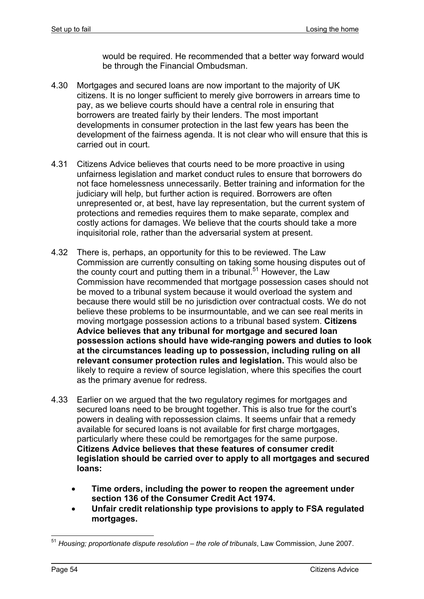would be required. He recommended that a better way forward would be through the Financial Ombudsman.

- 4.30 Mortgages and secured loans are now important to the majority of UK citizens. It is no longer sufficient to merely give borrowers in arrears time to pay, as we believe courts should have a central role in ensuring that borrowers are treated fairly by their lenders. The most important developments in consumer protection in the last few years has been the development of the fairness agenda. It is not clear who will ensure that this is carried out in court.
- 4.31 Citizens Advice believes that courts need to be more proactive in using unfairness legislation and market conduct rules to ensure that borrowers do not face homelessness unnecessarily. Better training and information for the judiciary will help, but further action is required. Borrowers are often unrepresented or, at best, have lay representation, but the current system of protections and remedies requires them to make separate, complex and costly actions for damages. We believe that the courts should take a more inquisitorial role, rather than the adversarial system at present.
- 4.32 There is, perhaps, an opportunity for this to be reviewed. The Law Commission are currently consulting on taking some housing disputes out of the county court and putting them in a tribunal.<sup>51</sup> However, the Law Commission have recommended that mortgage possession cases should not be moved to a tribunal system because it would overload the system and because there would still be no jurisdiction over contractual costs. We do not believe these problems to be insurmountable, and we can see real merits in moving mortgage possession actions to a tribunal based system. **Citizens Advice believes that any tribunal for mortgage and secured loan possession actions should have wide-ranging powers and duties to look at the circumstances leading up to possession, including ruling on all relevant consumer protection rules and legislation.** This would also be likely to require a review of source legislation, where this specifies the court as the primary avenue for redress.
- 4.33 Earlier on we argued that the two regulatory regimes for mortgages and secured loans need to be brought together. This is also true for the court's powers in dealing with repossession claims. It seems unfair that a remedy available for secured loans is not available for first charge mortgages, particularly where these could be remortgages for the same purpose. **Citizens Advice believes that these features of consumer credit legislation should be carried over to apply to all mortgages and secured loans:**
	- **Time orders, including the power to reopen the agreement under section 136 of the Consumer Credit Act 1974.**
	- **Unfair credit relationship type provisions to apply to FSA regulated mortgages.**

<sup>51</sup> *Housing; proportionate dispute resolution – the role of tribunals*, Law Commission, June 2007.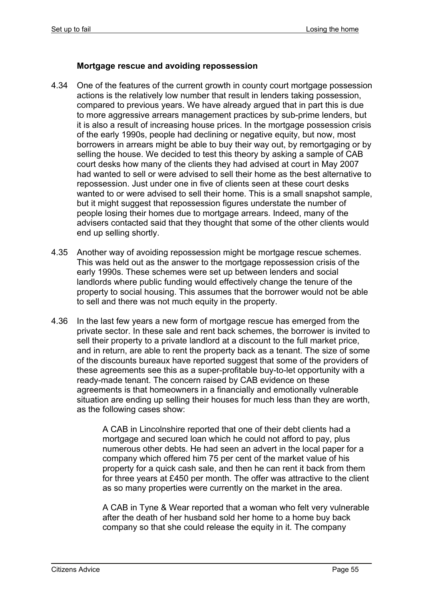## **Mortgage rescue and avoiding repossession**

- 4.34 One of the features of the current growth in county court mortgage possession actions is the relatively low number that result in lenders taking possession, compared to previous years. We have already argued that in part this is due to more aggressive arrears management practices by sub-prime lenders, but it is also a result of increasing house prices. In the mortgage possession crisis of the early 1990s, people had declining or negative equity, but now, most borrowers in arrears might be able to buy their way out, by remortgaging or by selling the house. We decided to test this theory by asking a sample of CAB court desks how many of the clients they had advised at court in May 2007 had wanted to sell or were advised to sell their home as the best alternative to repossession. Just under one in five of clients seen at these court desks wanted to or were advised to sell their home. This is a small snapshot sample, but it might suggest that repossession figures understate the number of people losing their homes due to mortgage arrears. Indeed, many of the advisers contacted said that they thought that some of the other clients would end up selling shortly.
- 4.35 Another way of avoiding repossession might be mortgage rescue schemes. This was held out as the answer to the mortgage repossession crisis of the early 1990s. These schemes were set up between lenders and social landlords where public funding would effectively change the tenure of the property to social housing. This assumes that the borrower would not be able to sell and there was not much equity in the property.
- 4.36 In the last few years a new form of mortgage rescue has emerged from the private sector. In these sale and rent back schemes, the borrower is invited to sell their property to a private landlord at a discount to the full market price, and in return, are able to rent the property back as a tenant. The size of some of the discounts bureaux have reported suggest that some of the providers of these agreements see this as a super-profitable buy-to-let opportunity with a ready-made tenant. The concern raised by CAB evidence on these agreements is that homeowners in a financially and emotionally vulnerable situation are ending up selling their houses for much less than they are worth, as the following cases show:

A CAB in Lincolnshire reported that one of their debt clients had a mortgage and secured loan which he could not afford to pay, plus numerous other debts. He had seen an advert in the local paper for a company which offered him 75 per cent of the market value of his property for a quick cash sale, and then he can rent it back from them for three years at £450 per month. The offer was attractive to the client as so many properties were currently on the market in the area.

A CAB in Tyne & Wear reported that a woman who felt very vulnerable after the death of her husband sold her home to a home buy back company so that she could release the equity in it. The company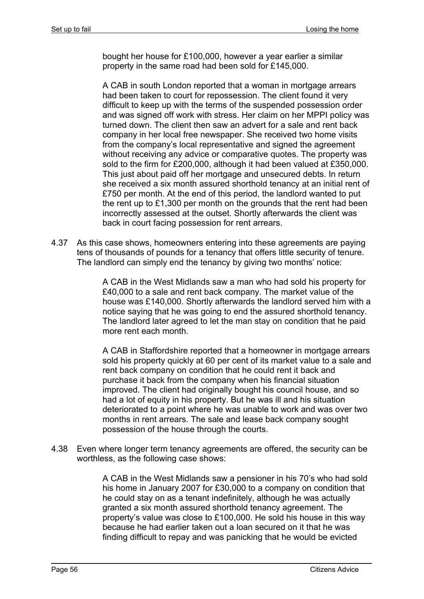bought her house for £100,000, however a year earlier a similar property in the same road had been sold for £145,000.

A CAB in south London reported that a woman in mortgage arrears had been taken to court for repossession. The client found it very difficult to keep up with the terms of the suspended possession order and was signed off work with stress. Her claim on her MPPI policy was turned down. The client then saw an advert for a sale and rent back company in her local free newspaper. She received two home visits from the company's local representative and signed the agreement without receiving any advice or comparative quotes. The property was sold to the firm for £200,000, although it had been valued at £350,000. This just about paid off her mortgage and unsecured debts. In return she received a six month assured shorthold tenancy at an initial rent of £750 per month. At the end of this period, the landlord wanted to put the rent up to £1,300 per month on the grounds that the rent had been incorrectly assessed at the outset. Shortly afterwards the client was back in court facing possession for rent arrears.

4.37 As this case shows, homeowners entering into these agreements are paying tens of thousands of pounds for a tenancy that offers little security of tenure. The landlord can simply end the tenancy by giving two months' notice:

> A CAB in the West Midlands saw a man who had sold his property for £40,000 to a sale and rent back company. The market value of the house was £140,000. Shortly afterwards the landlord served him with a notice saying that he was going to end the assured shorthold tenancy. The landlord later agreed to let the man stay on condition that he paid more rent each month.

> A CAB in Staffordshire reported that a homeowner in mortgage arrears sold his property quickly at 60 per cent of its market value to a sale and rent back company on condition that he could rent it back and purchase it back from the company when his financial situation improved. The client had originally bought his council house, and so had a lot of equity in his property. But he was ill and his situation deteriorated to a point where he was unable to work and was over two months in rent arrears. The sale and lease back company sought possession of the house through the courts.

4.38 Even where longer term tenancy agreements are offered, the security can be worthless, as the following case shows:

> A CAB in the West Midlands saw a pensioner in his 70's who had sold his home in January 2007 for £30,000 to a company on condition that he could stay on as a tenant indefinitely, although he was actually granted a six month assured shorthold tenancy agreement. The property's value was close to £100,000. He sold his house in this way because he had earlier taken out a loan secured on it that he was finding difficult to repay and was panicking that he would be evicted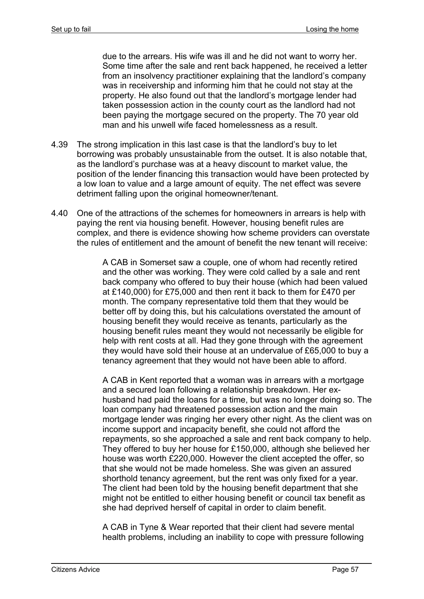due to the arrears. His wife was ill and he did not want to worry her. Some time after the sale and rent back happened, he received a letter from an insolvency practitioner explaining that the landlord's company was in receivership and informing him that he could not stay at the property. He also found out that the landlord's mortgage lender had taken possession action in the county court as the landlord had not been paying the mortgage secured on the property. The 70 year old man and his unwell wife faced homelessness as a result.

- 4.39 The strong implication in this last case is that the landlord's buy to let borrowing was probably unsustainable from the outset. It is also notable that, as the landlord's purchase was at a heavy discount to market value, the position of the lender financing this transaction would have been protected by a low loan to value and a large amount of equity. The net effect was severe detriment falling upon the original homeowner/tenant.
- 4.40 One of the attractions of the schemes for homeowners in arrears is help with paying the rent via housing benefit. However, housing benefit rules are complex, and there is evidence showing how scheme providers can overstate the rules of entitlement and the amount of benefit the new tenant will receive:

A CAB in Somerset saw a couple, one of whom had recently retired and the other was working. They were cold called by a sale and rent back company who offered to buy their house (which had been valued at £140,000) for £75,000 and then rent it back to them for £470 per month. The company representative told them that they would be better off by doing this, but his calculations overstated the amount of housing benefit they would receive as tenants, particularly as the housing benefit rules meant they would not necessarily be eligible for help with rent costs at all. Had they gone through with the agreement they would have sold their house at an undervalue of £65,000 to buy a tenancy agreement that they would not have been able to afford.

A CAB in Kent reported that a woman was in arrears with a mortgage and a secured loan following a relationship breakdown. Her exhusband had paid the loans for a time, but was no longer doing so. The loan company had threatened possession action and the main mortgage lender was ringing her every other night. As the client was on income support and incapacity benefit, she could not afford the repayments, so she approached a sale and rent back company to help. They offered to buy her house for £150,000, although she believed her house was worth £220,000. However the client accepted the offer, so that she would not be made homeless. She was given an assured shorthold tenancy agreement, but the rent was only fixed for a year. The client had been told by the housing benefit department that she might not be entitled to either housing benefit or council tax benefit as she had deprived herself of capital in order to claim benefit.

A CAB in Tyne & Wear reported that their client had severe mental health problems, including an inability to cope with pressure following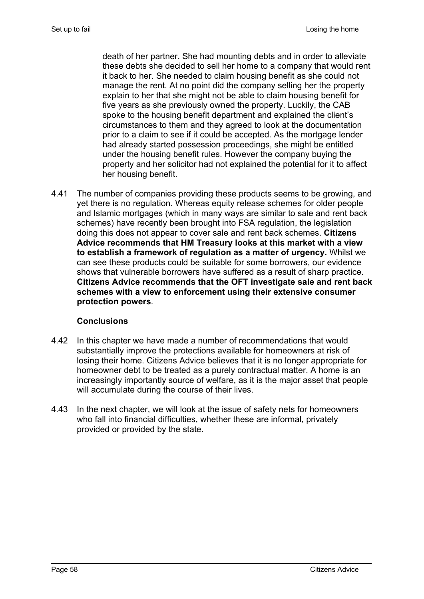death of her partner. She had mounting debts and in order to alleviate these debts she decided to sell her home to a company that would rent it back to her. She needed to claim housing benefit as she could not manage the rent. At no point did the company selling her the property explain to her that she might not be able to claim housing benefit for five years as she previously owned the property. Luckily, the CAB spoke to the housing benefit department and explained the client's circumstances to them and they agreed to look at the documentation prior to a claim to see if it could be accepted. As the mortgage lender had already started possession proceedings, she might be entitled under the housing benefit rules. However the company buying the property and her solicitor had not explained the potential for it to affect her housing benefit.

4.41 The number of companies providing these products seems to be growing, and yet there is no regulation. Whereas equity release schemes for older people and Islamic mortgages (which in many ways are similar to sale and rent back schemes) have recently been brought into FSA regulation, the legislation doing this does not appear to cover sale and rent back schemes. **Citizens Advice recommends that HM Treasury looks at this market with a view to establish a framework of regulation as a matter of urgency.** Whilst we can see these products could be suitable for some borrowers, our evidence shows that vulnerable borrowers have suffered as a result of sharp practice. **Citizens Advice recommends that the OFT investigate sale and rent back schemes with a view to enforcement using their extensive consumer protection powers**.

# **Conclusions**

- 4.42 In this chapter we have made a number of recommendations that would substantially improve the protections available for homeowners at risk of losing their home. Citizens Advice believes that it is no longer appropriate for homeowner debt to be treated as a purely contractual matter. A home is an increasingly importantly source of welfare, as it is the major asset that people will accumulate during the course of their lives.
- 4.43 In the next chapter, we will look at the issue of safety nets for homeowners who fall into financial difficulties, whether these are informal, privately provided or provided by the state.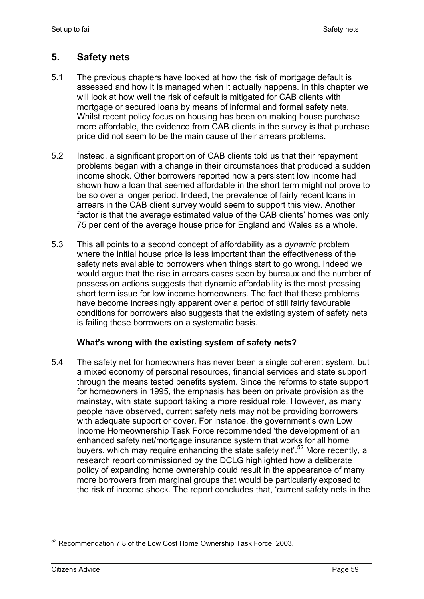# **5. Safety nets**

- 5.1 The previous chapters have looked at how the risk of mortgage default is assessed and how it is managed when it actually happens. In this chapter we will look at how well the risk of default is mitigated for CAB clients with mortgage or secured loans by means of informal and formal safety nets. Whilst recent policy focus on housing has been on making house purchase more affordable, the evidence from CAB clients in the survey is that purchase price did not seem to be the main cause of their arrears problems.
- 5.2 Instead, a significant proportion of CAB clients told us that their repayment problems began with a change in their circumstances that produced a sudden income shock. Other borrowers reported how a persistent low income had shown how a loan that seemed affordable in the short term might not prove to be so over a longer period. Indeed, the prevalence of fairly recent loans in arrears in the CAB client survey would seem to support this view. Another factor is that the average estimated value of the CAB clients' homes was only 75 per cent of the average house price for England and Wales as a whole.
- 5.3 This all points to a second concept of affordability as a *dynamic* problem where the initial house price is less important than the effectiveness of the safety nets available to borrowers when things start to go wrong. Indeed we would argue that the rise in arrears cases seen by bureaux and the number of possession actions suggests that dynamic affordability is the most pressing short term issue for low income homeowners. The fact that these problems have become increasingly apparent over a period of still fairly favourable conditions for borrowers also suggests that the existing system of safety nets is failing these borrowers on a systematic basis.

### **What's wrong with the existing system of safety nets?**

5.4 The safety net for homeowners has never been a single coherent system, but a mixed economy of personal resources, financial services and state support through the means tested benefits system. Since the reforms to state support for homeowners in 1995, the emphasis has been on private provision as the mainstay, with state support taking a more residual role. However, as many people have observed, current safety nets may not be providing borrowers with adequate support or cover. For instance, the government's own Low Income Homeownership Task Force recommended 'the development of an enhanced safety net/mortgage insurance system that works for all home buyers, which may require enhancing the state safety net<sup>'.52</sup> More recently, a research report commissioned by the DCLG highlighted how a deliberate policy of expanding home ownership could result in the appearance of many more borrowers from marginal groups that would be particularly exposed to the risk of income shock. The report concludes that, 'current safety nets in the

<sup>1</sup>  $52$  Recommendation 7.8 of the Low Cost Home Ownership Task Force, 2003.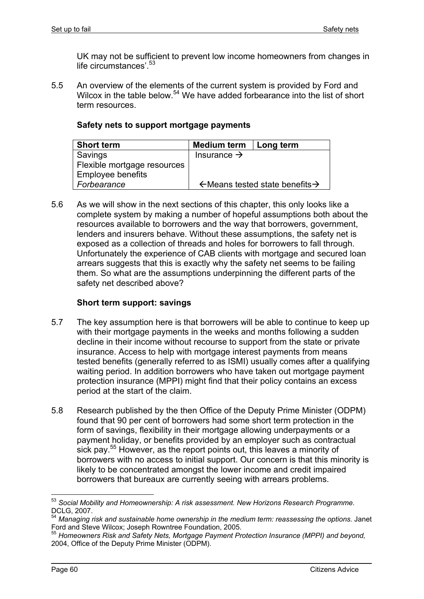UK may not be sufficient to prevent low income homeowners from changes in life circumstances'.<sup>53</sup>

5.5 An overview of the elements of the current system is provided by Ford and Wilcox in the table below.<sup>54</sup> We have added forbearance into the list of short term resources.

|  |  |  |  | Safety nets to support mortgage payments |
|--|--|--|--|------------------------------------------|
|--|--|--|--|------------------------------------------|

| <b>Short term</b>           | <b>Medium term</b>                                     | Long term |
|-----------------------------|--------------------------------------------------------|-----------|
| Savings                     | Insurance $\rightarrow$                                |           |
| Flexible mortgage resources |                                                        |           |
| <b>Employee benefits</b>    |                                                        |           |
| Forbearance                 | $\leftarrow$ Means tested state benefits $\rightarrow$ |           |

5.6 As we will show in the next sections of this chapter, this only looks like a complete system by making a number of hopeful assumptions both about the resources available to borrowers and the way that borrowers, government, lenders and insurers behave. Without these assumptions, the safety net is exposed as a collection of threads and holes for borrowers to fall through. Unfortunately the experience of CAB clients with mortgage and secured loan arrears suggests that this is exactly why the safety net seems to be failing them. So what are the assumptions underpinning the different parts of the safety net described above?

## **Short term support: savings**

- 5.7 The key assumption here is that borrowers will be able to continue to keep up with their mortgage payments in the weeks and months following a sudden decline in their income without recourse to support from the state or private insurance. Access to help with mortgage interest payments from means tested benefits (generally referred to as ISMI) usually comes after a qualifying waiting period. In addition borrowers who have taken out mortgage payment protection insurance (MPPI) might find that their policy contains an excess period at the start of the claim.
- 5.8 Research published by the then Office of the Deputy Prime Minister (ODPM) found that 90 per cent of borrowers had some short term protection in the form of savings, flexibility in their mortgage allowing underpayments or a payment holiday, or benefits provided by an employer such as contractual sick pay.<sup>55</sup> However, as the report points out, this leaves a minority of borrowers with no access to initial support. Our concern is that this minority is likely to be concentrated amongst the lower income and credit impaired borrowers that bureaux are currently seeing with arrears problems.

<sup>53</sup> *Social Mobility and Homeownership: A risk assessment. New Horizons Research Programme.* DCLG, 2007.

<sup>54</sup> *Managing risk and sustainable home ownership in the medium term: reassessing the options.* Janet Ford and Steve Wilcox; Joseph Rowntree Foundation, 2005.

<sup>55</sup> *Homeowners Risk and Safety Nets, Mortgage Payment Protection Insurance (MPPI) and beyond,*  2004, Office of the Deputy Prime Minister (ODPM).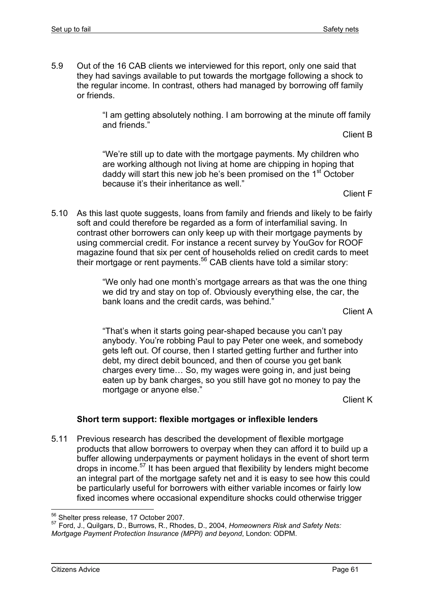5.9 Out of the 16 CAB clients we interviewed for this report, only one said that they had savings available to put towards the mortgage following a shock to the regular income. In contrast, others had managed by borrowing off family or friends.

> "I am getting absolutely nothing. I am borrowing at the minute off family and friends."

Client B

"We're still up to date with the mortgage payments. My children who are working although not living at home are chipping in hoping that daddy will start this new job he's been promised on the 1<sup>st</sup> October because it's their inheritance as well."

Client F

5.10 As this last quote suggests, loans from family and friends and likely to be fairly soft and could therefore be regarded as a form of interfamilial saving. In contrast other borrowers can only keep up with their mortgage payments by using commercial credit. For instance a recent survey by YouGov for ROOF magazine found that six per cent of households relied on credit cards to meet their mortgage or rent payments.<sup>56</sup> CAB clients have told a similar story:

> "We only had one month's mortgage arrears as that was the one thing we did try and stay on top of. Obviously everything else, the car, the bank loans and the credit cards, was behind*.*"

Client A

"That's when it starts going pear-shaped because you can't pay anybody. You're robbing Paul to pay Peter one week, and somebody gets left out. Of course, then I started getting further and further into debt, my direct debit bounced, and then of course you get bank charges every time… So, my wages were going in, and just being eaten up by bank charges, so you still have got no money to pay the mortgage or anyone else."

Client K

# **Short term support: flexible mortgages or inflexible lenders**

5.11 Previous research has described the development of flexible mortgage products that allow borrowers to overpay when they can afford it to build up a buffer allowing underpayments or payment holidays in the event of short term drops in income.57 It has been argued that flexibility by lenders might become an integral part of the mortgage safety net and it is easy to see how this could be particularly useful for borrowers with either variable incomes or fairly low fixed incomes where occasional expenditure shocks could otherwise trigger

<sup>56</sup> Shelter press release, 17 October 2007.

<sup>57</sup> Ford, J., Quilgars, D., Burrows, R., Rhodes, D., 2004, *Homeowners Risk and Safety Nets: Mortgage Payment Protection Insurance (MPPI) and beyond*, London: ODPM.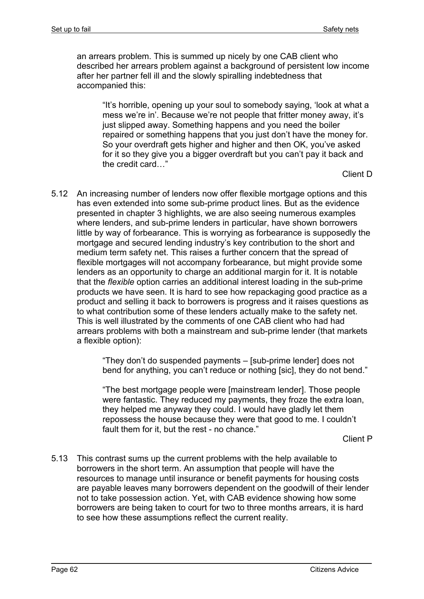an arrears problem. This is summed up nicely by one CAB client who described her arrears problem against a background of persistent low income after her partner fell ill and the slowly spiralling indebtedness that accompanied this:

"It's horrible, opening up your soul to somebody saying, 'look at what a mess we're in'. Because we're not people that fritter money away, it's just slipped away. Something happens and you need the boiler repaired or something happens that you just don't have the money for. So your overdraft gets higher and higher and then OK, you've asked for it so they give you a bigger overdraft but you can't pay it back and the credit card…"

Client D

5.12 An increasing number of lenders now offer flexible mortgage options and this has even extended into some sub-prime product lines. But as the evidence presented in chapter 3 highlights, we are also seeing numerous examples where lenders, and sub-prime lenders in particular, have shown borrowers little by way of forbearance. This is worrying as forbearance is supposedly the mortgage and secured lending industry's key contribution to the short and medium term safety net. This raises a further concern that the spread of flexible mortgages will not accompany forbearance, but might provide some lenders as an opportunity to charge an additional margin for it. It is notable that the *flexible* option carries an additional interest loading in the sub-prime products we have seen. It is hard to see how repackaging good practice as a product and selling it back to borrowers is progress and it raises questions as to what contribution some of these lenders actually make to the safety net. This is well illustrated by the comments of one CAB client who had had arrears problems with both a mainstream and sub-prime lender (that markets a flexible option):

> "They don't do suspended payments – [sub-prime lender] does not bend for anything, you can't reduce or nothing [sic], they do not bend."

"The best mortgage people were [mainstream lender]. Those people were fantastic. They reduced my payments, they froze the extra loan, they helped me anyway they could. I would have gladly let them repossess the house because they were that good to me. I couldn't fault them for it, but the rest - no chance."

Client P

5.13 This contrast sums up the current problems with the help available to borrowers in the short term. An assumption that people will have the resources to manage until insurance or benefit payments for housing costs are payable leaves many borrowers dependent on the goodwill of their lender not to take possession action. Yet, with CAB evidence showing how some borrowers are being taken to court for two to three months arrears, it is hard to see how these assumptions reflect the current reality.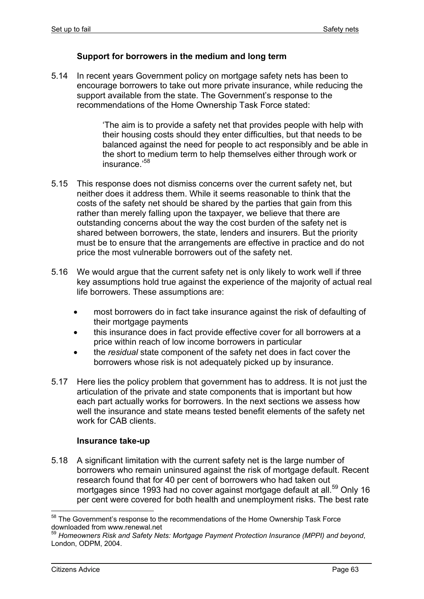### **Support for borrowers in the medium and long term**

5.14 In recent years Government policy on mortgage safety nets has been to encourage borrowers to take out more private insurance, while reducing the support available from the state. The Government's response to the recommendations of the Home Ownership Task Force stated:

> 'The aim is to provide a safety net that provides people with help with their housing costs should they enter difficulties, but that needs to be balanced against the need for people to act responsibly and be able in the short to medium term to help themselves either through work or insurance.'58

- 5.15 This response does not dismiss concerns over the current safety net, but neither does it address them. While it seems reasonable to think that the costs of the safety net should be shared by the parties that gain from this rather than merely falling upon the taxpayer, we believe that there are outstanding concerns about the way the cost burden of the safety net is shared between borrowers, the state, lenders and insurers. But the priority must be to ensure that the arrangements are effective in practice and do not price the most vulnerable borrowers out of the safety net.
- 5.16 We would argue that the current safety net is only likely to work well if three key assumptions hold true against the experience of the majority of actual real life borrowers. These assumptions are:
	- most borrowers do in fact take insurance against the risk of defaulting of their mortgage payments
	- this insurance does in fact provide effective cover for all borrowers at a price within reach of low income borrowers in particular
	- the *residual* state component of the safety net does in fact cover the borrowers whose risk is not adequately picked up by insurance.
- 5.17 Here lies the policy problem that government has to address. It is not just the articulation of the private and state components that is important but how each part actually works for borrowers. In the next sections we assess how well the insurance and state means tested benefit elements of the safety net work for CAB clients.

#### **Insurance take-up**

5.18 A significant limitation with the current safety net is the large number of borrowers who remain uninsured against the risk of mortgage default. Recent research found that for 40 per cent of borrowers who had taken out mortgages since 1993 had no cover against mortgage default at all.<sup>59</sup> Only 16 per cent were covered for both health and unemployment risks. The best rate

<sup>&</sup>lt;sup>58</sup> The Government's response to the recommendations of the Home Ownership Task Force downloaded from www.renewal.net

<sup>59</sup> *Homeowners Risk and Safety Nets: Mortgage Payment Protection Insurance (MPPI) and beyond*, London, ODPM, 2004.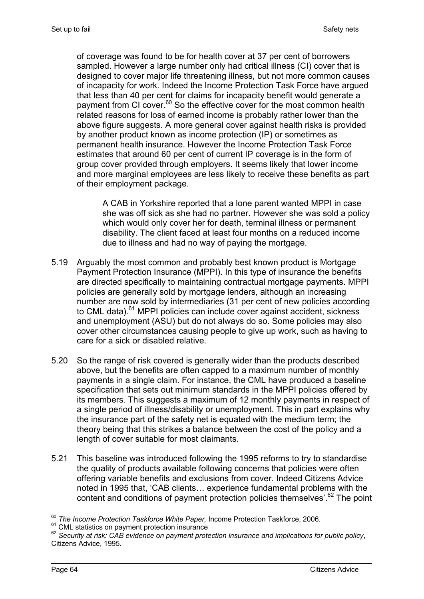of coverage was found to be for health cover at 37 per cent of borrowers sampled. However a large number only had critical illness (CI) cover that is designed to cover major life threatening illness, but not more common causes of incapacity for work. Indeed the Income Protection Task Force have argued that less than 40 per cent for claims for incapacity benefit would generate a payment from CI cover.<sup>60</sup> So the effective cover for the most common health related reasons for loss of earned income is probably rather lower than the above figure suggests. A more general cover against health risks is provided by another product known as income protection (IP) or sometimes as permanent health insurance. However the Income Protection Task Force estimates that around 60 per cent of current IP coverage is in the form of group cover provided through employers. It seems likely that lower income and more marginal employees are less likely to receive these benefits as part of their employment package.

A CAB in Yorkshire reported that a lone parent wanted MPPI in case she was off sick as she had no partner. However she was sold a policy which would only cover her for death, terminal illness or permanent disability. The client faced at least four months on a reduced income due to illness and had no way of paying the mortgage.

- 5.19 Arguably the most common and probably best known product is Mortgage Payment Protection Insurance (MPPI). In this type of insurance the benefits are directed specifically to maintaining contractual mortgage payments. MPPI policies are generally sold by mortgage lenders, although an increasing number are now sold by intermediaries (31 per cent of new policies according to CML data).<sup>61</sup> MPPI policies can include cover against accident, sickness and unemployment (ASU) but do not always do so. Some policies may also cover other circumstances causing people to give up work, such as having to care for a sick or disabled relative.
- 5.20 So the range of risk covered is generally wider than the products described above, but the benefits are often capped to a maximum number of monthly payments in a single claim. For instance, the CML have produced a baseline specification that sets out minimum standards in the MPPI policies offered by its members. This suggests a maximum of 12 monthly payments in respect of a single period of illness/disability or unemployment. This in part explains why the insurance part of the safety net is equated with the medium term; the theory being that this strikes a balance between the cost of the policy and a length of cover suitable for most claimants.
- 5.21 This baseline was introduced following the 1995 reforms to try to standardise the quality of products available following concerns that policies were often offering variable benefits and exclusions from cover. Indeed Citizens Advice noted in 1995 that, 'CAB clients… experience fundamental problems with the content and conditions of payment protection policies themselves'.<sup>62</sup> The point

<sup>60</sup> *The Income Protection Taskforce White Paper,* Income Protection Taskforce, 2006.

<sup>&</sup>lt;sup>61</sup> CML statistics on payment protection insurance<br><sup>62</sup> Security at risk: CAB evidence on payment protection insurance and implications for public policy, Citizens Advice, 1995.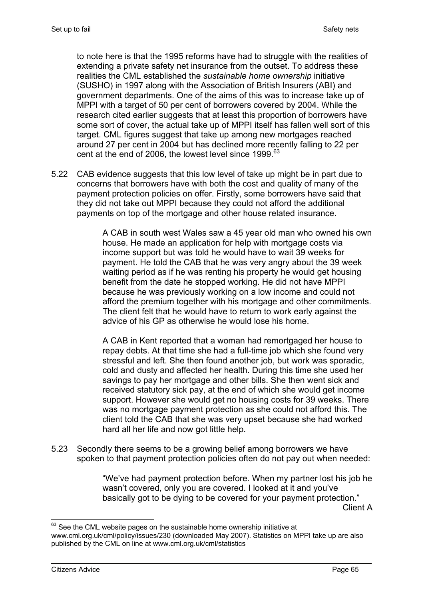to note here is that the 1995 reforms have had to struggle with the realities of extending a private safety net insurance from the outset. To address these realities the CML established the *sustainable home ownership* initiative (SUSHO) in 1997 along with the Association of British Insurers (ABI) and government departments. One of the aims of this was to increase take up of MPPI with a target of 50 per cent of borrowers covered by 2004. While the research cited earlier suggests that at least this proportion of borrowers have some sort of cover, the actual take up of MPPI itself has fallen well sort of this target. CML figures suggest that take up among new mortgages reached around 27 per cent in 2004 but has declined more recently falling to 22 per cent at the end of 2006, the lowest level since 1999.<sup>63</sup>

5.22 CAB evidence suggests that this low level of take up might be in part due to concerns that borrowers have with both the cost and quality of many of the payment protection policies on offer. Firstly, some borrowers have said that they did not take out MPPI because they could not afford the additional payments on top of the mortgage and other house related insurance.

> A CAB in south west Wales saw a 45 year old man who owned his own house. He made an application for help with mortgage costs via income support but was told he would have to wait 39 weeks for payment. He told the CAB that he was very angry about the 39 week waiting period as if he was renting his property he would get housing benefit from the date he stopped working. He did not have MPPI because he was previously working on a low income and could not afford the premium together with his mortgage and other commitments. The client felt that he would have to return to work early against the advice of his GP as otherwise he would lose his home.

A CAB in Kent reported that a woman had remortgaged her house to repay debts. At that time she had a full-time job which she found very stressful and left. She then found another job, but work was sporadic, cold and dusty and affected her health. During this time she used her savings to pay her mortgage and other bills. She then went sick and received statutory sick pay, at the end of which she would get income support. However she would get no housing costs for 39 weeks. There was no mortgage payment protection as she could not afford this. The client told the CAB that she was very upset because she had worked hard all her life and now got little help.

5.23 Secondly there seems to be a growing belief among borrowers we have spoken to that payment protection policies often do not pay out when needed:

> "We've had payment protection before. When my partner lost his job he wasn't covered, only you are covered. I looked at it and you've basically got to be dying to be covered for your payment protection." Client A

 $63$  See the CML website pages on the sustainable home ownership initiative at www.cml.org.uk/cml/policy/issues/230 (downloaded May 2007). Statistics on MPPI take up are also published by the CML on line at www.cml.org.uk/cml/statistics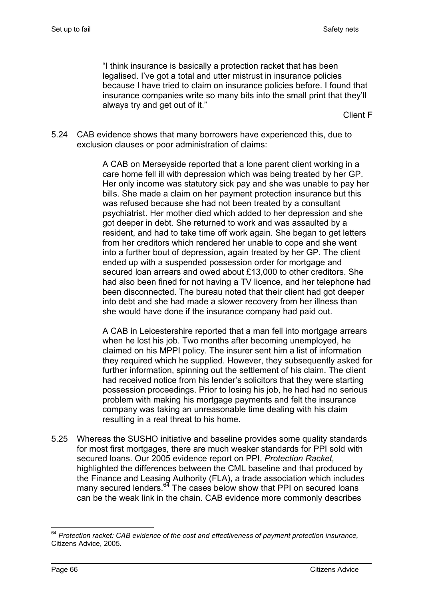"I think insurance is basically a protection racket that has been legalised. I've got a total and utter mistrust in insurance policies because I have tried to claim on insurance policies before. I found that insurance companies write so many bits into the small print that they'll always try and get out of it."

Client F

5.24 CAB evidence shows that many borrowers have experienced this, due to exclusion clauses or poor administration of claims:

> A CAB on Merseyside reported that a lone parent client working in a care home fell ill with depression which was being treated by her GP. Her only income was statutory sick pay and she was unable to pay her bills. She made a claim on her payment protection insurance but this was refused because she had not been treated by a consultant psychiatrist. Her mother died which added to her depression and she got deeper in debt. She returned to work and was assaulted by a resident, and had to take time off work again. She began to get letters from her creditors which rendered her unable to cope and she went into a further bout of depression, again treated by her GP. The client ended up with a suspended possession order for mortgage and secured loan arrears and owed about £13,000 to other creditors. She had also been fined for not having a TV licence, and her telephone had been disconnected. The bureau noted that their client had got deeper into debt and she had made a slower recovery from her illness than she would have done if the insurance company had paid out.

> A CAB in Leicestershire reported that a man fell into mortgage arrears when he lost his job. Two months after becoming unemployed, he claimed on his MPPI policy. The insurer sent him a list of information they required which he supplied. However, they subsequently asked for further information, spinning out the settlement of his claim. The client had received notice from his lender's solicitors that they were starting possession proceedings. Prior to losing his job, he had had no serious problem with making his mortgage payments and felt the insurance company was taking an unreasonable time dealing with his claim resulting in a real threat to his home.

5.25 Whereas the SUSHO initiative and baseline provides some quality standards for most first mortgages, there are much weaker standards for PPI sold with secured loans. Our 2005 evidence report on PPI, *Protection Racket,* highlighted the differences between the CML baseline and that produced by the Finance and Leasing Authority (FLA), a trade association which includes many secured lenders. $64$  The cases below show that PPI on secured loans can be the weak link in the chain. CAB evidence more commonly describes

<sup>1</sup> <sup>64</sup> *Protection racket: CAB evidence of the cost and effectiveness of payment protection insurance,*  Citizens Advice, 2005.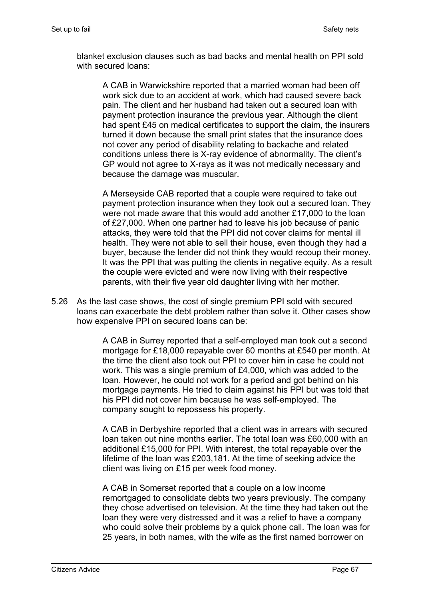blanket exclusion clauses such as bad backs and mental health on PPI sold with secured loans:

A CAB in Warwickshire reported that a married woman had been off work sick due to an accident at work, which had caused severe back pain. The client and her husband had taken out a secured loan with payment protection insurance the previous year. Although the client had spent £45 on medical certificates to support the claim, the insurers turned it down because the small print states that the insurance does not cover any period of disability relating to backache and related conditions unless there is X-ray evidence of abnormality. The client's GP would not agree to X-rays as it was not medically necessary and because the damage was muscular.

A Merseyside CAB reported that a couple were required to take out payment protection insurance when they took out a secured loan. They were not made aware that this would add another £17,000 to the loan of £27,000. When one partner had to leave his job because of panic attacks, they were told that the PPI did not cover claims for mental ill health. They were not able to sell their house, even though they had a buyer, because the lender did not think they would recoup their money. It was the PPI that was putting the clients in negative equity. As a result the couple were evicted and were now living with their respective parents, with their five year old daughter living with her mother.

5.26 As the last case shows, the cost of single premium PPI sold with secured loans can exacerbate the debt problem rather than solve it. Other cases show how expensive PPI on secured loans can be:

> A CAB in Surrey reported that a self-employed man took out a second mortgage for £18,000 repayable over 60 months at £540 per month. At the time the client also took out PPI to cover him in case he could not work. This was a single premium of £4,000, which was added to the loan. However, he could not work for a period and got behind on his mortgage payments. He tried to claim against his PPI but was told that his PPI did not cover him because he was self-employed. The company sought to repossess his property.

> A CAB in Derbyshire reported that a client was in arrears with secured loan taken out nine months earlier. The total loan was £60,000 with an additional £15,000 for PPI. With interest, the total repayable over the lifetime of the loan was £203,181. At the time of seeking advice the client was living on £15 per week food money.

> A CAB in Somerset reported that a couple on a low income remortgaged to consolidate debts two years previously. The company they chose advertised on television. At the time they had taken out the loan they were very distressed and it was a relief to have a company who could solve their problems by a quick phone call. The loan was for 25 years, in both names, with the wife as the first named borrower on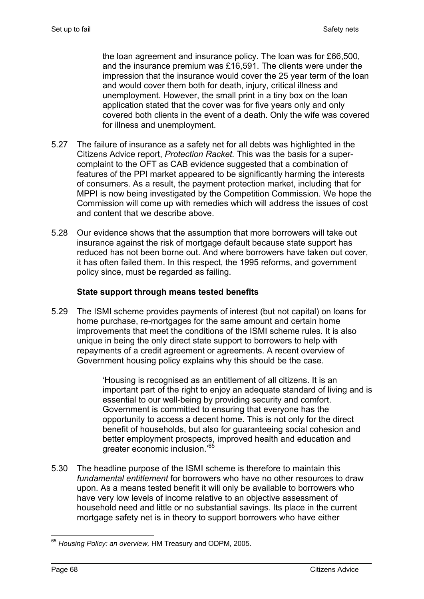the loan agreement and insurance policy. The loan was for £66,500, and the insurance premium was £16,591. The clients were under the impression that the insurance would cover the 25 year term of the loan and would cover them both for death, injury, critical illness and unemployment. However, the small print in a tiny box on the loan application stated that the cover was for five years only and only covered both clients in the event of a death. Only the wife was covered for illness and unemployment.

- 5.27 The failure of insurance as a safety net for all debts was highlighted in the Citizens Advice report, *Protection Racket.* This was the basis for a supercomplaint to the OFT as CAB evidence suggested that a combination of features of the PPI market appeared to be significantly harming the interests of consumers. As a result, the payment protection market, including that for MPPI is now being investigated by the Competition Commission. We hope the Commission will come up with remedies which will address the issues of cost and content that we describe above.
- 5.28 Our evidence shows that the assumption that more borrowers will take out insurance against the risk of mortgage default because state support has reduced has not been borne out. And where borrowers have taken out cover, it has often failed them. In this respect, the 1995 reforms, and government policy since, must be regarded as failing.

### **State support through means tested benefits**

5.29 The ISMI scheme provides payments of interest (but not capital) on loans for home purchase, re-mortgages for the same amount and certain home improvements that meet the conditions of the ISMI scheme rules. It is also unique in being the only direct state support to borrowers to help with repayments of a credit agreement or agreements. A recent overview of Government housing policy explains why this should be the case.

> 'Housing is recognised as an entitlement of all citizens. It is an important part of the right to enjoy an adequate standard of living and is essential to our well-being by providing security and comfort. Government is committed to ensuring that everyone has the opportunity to access a decent home. This is not only for the direct benefit of households, but also for guaranteeing social cohesion and better employment prospects, improved health and education and greater economic inclusion.'<sup>65</sup>

5.30 The headline purpose of the ISMI scheme is therefore to maintain this *fundamental entitlement* for borrowers who have no other resources to draw upon. As a means tested benefit it will only be available to borrowers who have very low levels of income relative to an objective assessment of household need and little or no substantial savings. Its place in the current mortgage safety net is in theory to support borrowers who have either

<sup>1</sup> <sup>65</sup> *Housing Policy: an overview,* HM Treasury and ODPM, 2005.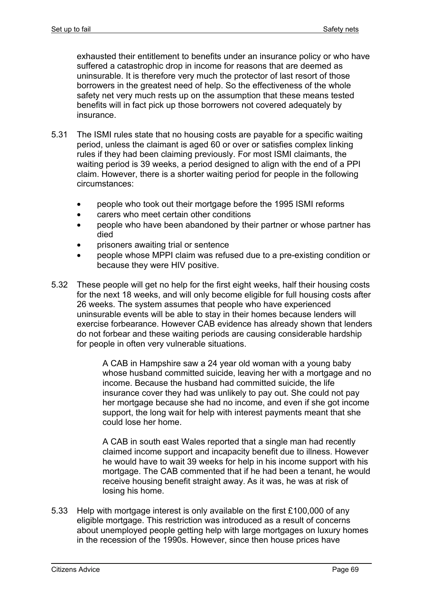exhausted their entitlement to benefits under an insurance policy or who have suffered a catastrophic drop in income for reasons that are deemed as uninsurable. It is therefore very much the protector of last resort of those borrowers in the greatest need of help. So the effectiveness of the whole safety net very much rests up on the assumption that these means tested benefits will in fact pick up those borrowers not covered adequately by insurance.

- 5.31 The ISMI rules state that no housing costs are payable for a specific waiting period, unless the claimant is aged 60 or over or satisfies complex linking rules if they had been claiming previously. For most ISMI claimants, the waiting period is 39 weeks, a period designed to align with the end of a PPI claim. However, there is a shorter waiting period for people in the following circumstances:
	- people who took out their mortgage before the 1995 ISMI reforms
	- carers who meet certain other conditions
	- people who have been abandoned by their partner or whose partner has died
	- prisoners awaiting trial or sentence
	- people whose MPPI claim was refused due to a pre-existing condition or because they were HIV positive.
- 5.32 These people will get no help for the first eight weeks, half their housing costs for the next 18 weeks, and will only become eligible for full housing costs after 26 weeks. The system assumes that people who have experienced uninsurable events will be able to stay in their homes because lenders will exercise forbearance. However CAB evidence has already shown that lenders do not forbear and these waiting periods are causing considerable hardship for people in often very vulnerable situations.

A CAB in Hampshire saw a 24 year old woman with a young baby whose husband committed suicide, leaving her with a mortgage and no income. Because the husband had committed suicide, the life insurance cover they had was unlikely to pay out. She could not pay her mortgage because she had no income, and even if she got income support, the long wait for help with interest payments meant that she could lose her home.

A CAB in south east Wales reported that a single man had recently claimed income support and incapacity benefit due to illness. However he would have to wait 39 weeks for help in his income support with his mortgage. The CAB commented that if he had been a tenant, he would receive housing benefit straight away. As it was, he was at risk of losing his home.

5.33 Help with mortgage interest is only available on the first £100,000 of any eligible mortgage. This restriction was introduced as a result of concerns about unemployed people getting help with large mortgages on luxury homes in the recession of the 1990s. However, since then house prices have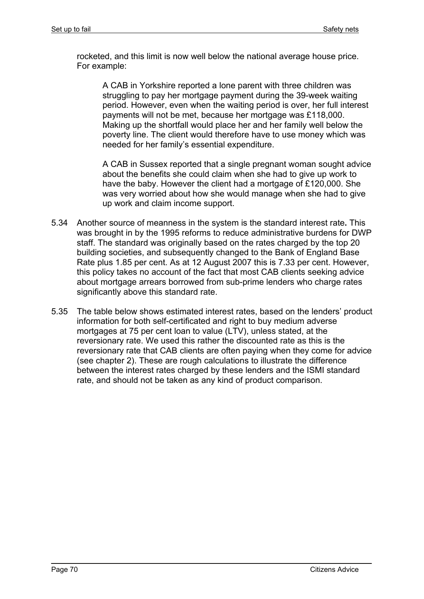rocketed, and this limit is now well below the national average house price. For example:

A CAB in Yorkshire reported a lone parent with three children was struggling to pay her mortgage payment during the 39-week waiting period. However, even when the waiting period is over, her full interest payments will not be met, because her mortgage was £118,000. Making up the shortfall would place her and her family well below the poverty line. The client would therefore have to use money which was needed for her family's essential expenditure.

A CAB in Sussex reported that a single pregnant woman sought advice about the benefits she could claim when she had to give up work to have the baby. However the client had a mortgage of £120,000. She was very worried about how she would manage when she had to give up work and claim income support.

- 5.34 Another source of meanness in the system is the standard interest rate**.** This was brought in by the 1995 reforms to reduce administrative burdens for DWP staff. The standard was originally based on the rates charged by the top 20 building societies, and subsequently changed to the Bank of England Base Rate plus 1.85 per cent. As at 12 August 2007 this is 7.33 per cent. However, this policy takes no account of the fact that most CAB clients seeking advice about mortgage arrears borrowed from sub-prime lenders who charge rates significantly above this standard rate.
- 5.35 The table below shows estimated interest rates, based on the lenders' product information for both self-certificated and right to buy medium adverse mortgages at 75 per cent loan to value (LTV), unless stated, at the reversionary rate. We used this rather the discounted rate as this is the reversionary rate that CAB clients are often paying when they come for advice (see chapter 2). These are rough calculations to illustrate the difference between the interest rates charged by these lenders and the ISMI standard rate, and should not be taken as any kind of product comparison.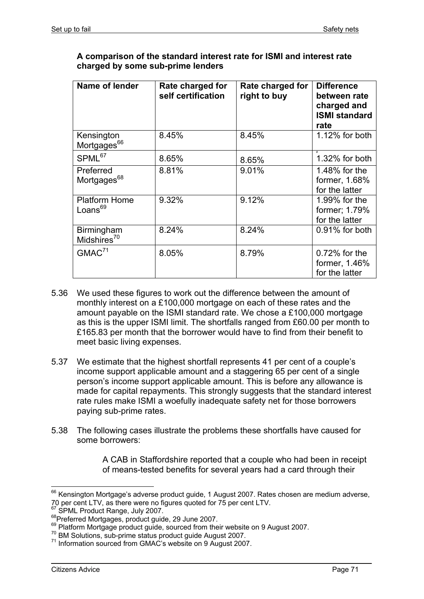| A comparison of the standard interest rate for ISMI and interest rate |
|-----------------------------------------------------------------------|
| charged by some sub-prime lenders                                     |

| Name of lender                              | Rate charged for<br>self certification | Rate charged for<br>right to buy | <b>Difference</b><br>between rate<br>charged and<br><b>ISMI standard</b><br>rate |
|---------------------------------------------|----------------------------------------|----------------------------------|----------------------------------------------------------------------------------|
| Kensington<br>Mortgages <sup>66</sup>       | 8.45%                                  | 8.45%                            | 1.12% for both                                                                   |
| SPML <sup>67</sup>                          | 8.65%                                  | 8.65%                            | $1.32\%$ for both                                                                |
| Preferred<br>Mortgages <sup>68</sup>        | 8.81%                                  | 9.01%                            | 1.48% for the<br>former, 1.68%<br>for the latter                                 |
| <b>Platform Home</b><br>Loans <sup>69</sup> | 9.32%                                  | 9.12%                            | 1.99% for the<br>former; 1.79%<br>for the latter                                 |
| Birmingham<br>Midshires $70$                | 8.24%                                  | 8.24%                            | $0.91\%$ for both                                                                |
| GMAC <sup>71</sup>                          | 8.05%                                  | 8.79%                            | $0.72\%$ for the<br>former, 1.46%<br>for the latter                              |

- 5.36 We used these figures to work out the difference between the amount of monthly interest on a £100,000 mortgage on each of these rates and the amount payable on the ISMI standard rate. We chose a £100,000 mortgage as this is the upper ISMI limit. The shortfalls ranged from £60.00 per month to £165.83 per month that the borrower would have to find from their benefit to meet basic living expenses.
- 5.37 We estimate that the highest shortfall represents 41 per cent of a couple's income support applicable amount and a staggering 65 per cent of a single person's income support applicable amount. This is before any allowance is made for capital repayments. This strongly suggests that the standard interest rate rules make ISMI a woefully inadequate safety net for those borrowers paying sub-prime rates.
- 5.38 The following cases illustrate the problems these shortfalls have caused for some borrowers:

A CAB in Staffordshire reported that a couple who had been in receipt of means-tested benefits for several years had a card through their

1

 $<sup>66</sup>$  Kensington Mortgage's adverse product guide, 1 August 2007. Rates chosen are medium adverse,</sup> 70 per cent LTV, as there were no figures quoted for 75 per cent LTV.<br><sup>67</sup> SPML Product Range, July 2007.

<sup>&</sup>lt;sup>68</sup> Preferred Mortgages, product guide, 29 June 2007.<br><sup>69</sup> Platform Mortgage product guide, sourced from their website on 9 August 2007.<br><sup>70</sup> BM Solutions, sub-prime status product guide August 2007.<br><sup>71</sup> Information sou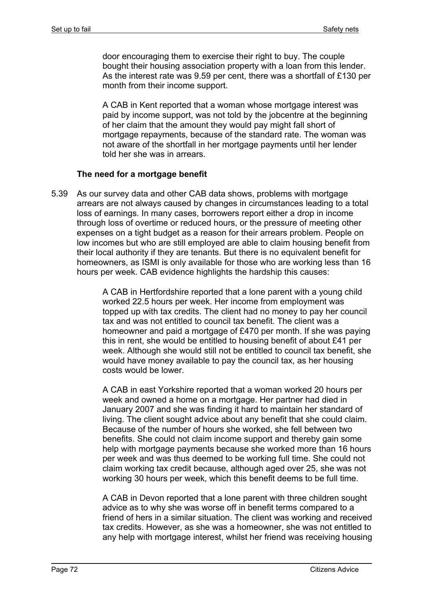door encouraging them to exercise their right to buy. The couple bought their housing association property with a loan from this lender. As the interest rate was 9.59 per cent, there was a shortfall of £130 per month from their income support.

A CAB in Kent reported that a woman whose mortgage interest was paid by income support, was not told by the jobcentre at the beginning of her claim that the amount they would pay might fall short of mortgage repayments, because of the standard rate. The woman was not aware of the shortfall in her mortgage payments until her lender told her she was in arrears.

#### **The need for a mortgage benefit**

5.39 As our survey data and other CAB data shows, problems with mortgage arrears are not always caused by changes in circumstances leading to a total loss of earnings. In many cases, borrowers report either a drop in income through loss of overtime or reduced hours, or the pressure of meeting other expenses on a tight budget as a reason for their arrears problem. People on low incomes but who are still employed are able to claim housing benefit from their local authority if they are tenants. But there is no equivalent benefit for homeowners, as ISMI is only available for those who are working less than 16 hours per week. CAB evidence highlights the hardship this causes:

> A CAB in Hertfordshire reported that a lone parent with a young child worked 22.5 hours per week. Her income from employment was topped up with tax credits. The client had no money to pay her council tax and was not entitled to council tax benefit. The client was a homeowner and paid a mortgage of £470 per month. If she was paying this in rent, she would be entitled to housing benefit of about £41 per week. Although she would still not be entitled to council tax benefit, she would have money available to pay the council tax, as her housing costs would be lower.

> A CAB in east Yorkshire reported that a woman worked 20 hours per week and owned a home on a mortgage. Her partner had died in January 2007 and she was finding it hard to maintain her standard of living. The client sought advice about any benefit that she could claim. Because of the number of hours she worked, she fell between two benefits. She could not claim income support and thereby gain some help with mortgage payments because she worked more than 16 hours per week and was thus deemed to be working full time. She could not claim working tax credit because, although aged over 25, she was not working 30 hours per week, which this benefit deems to be full time.

> A CAB in Devon reported that a lone parent with three children sought advice as to why she was worse off in benefit terms compared to a friend of hers in a similar situation. The client was working and received tax credits. However, as she was a homeowner, she was not entitled to any help with mortgage interest, whilst her friend was receiving housing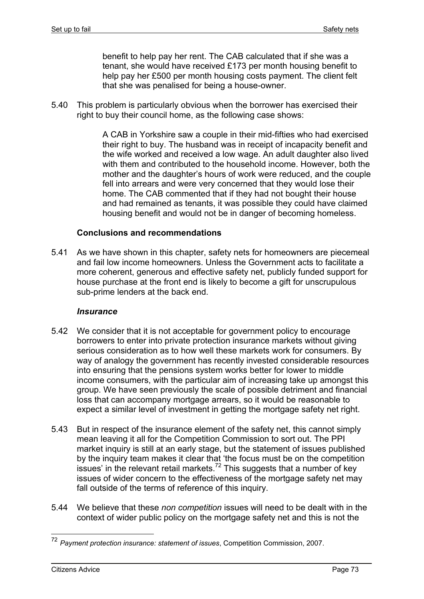benefit to help pay her rent. The CAB calculated that if she was a tenant, she would have received £173 per month housing benefit to help pay her £500 per month housing costs payment. The client felt that she was penalised for being a house-owner.

5.40 This problem is particularly obvious when the borrower has exercised their right to buy their council home, as the following case shows:

> A CAB in Yorkshire saw a couple in their mid-fifties who had exercised their right to buy. The husband was in receipt of incapacity benefit and the wife worked and received a low wage. An adult daughter also lived with them and contributed to the household income. However, both the mother and the daughter's hours of work were reduced, and the couple fell into arrears and were very concerned that they would lose their home. The CAB commented that if they had not bought their house and had remained as tenants, it was possible they could have claimed housing benefit and would not be in danger of becoming homeless.

#### **Conclusions and recommendations**

5.41 As we have shown in this chapter, safety nets for homeowners are piecemeal and fail low income homeowners. Unless the Government acts to facilitate a more coherent, generous and effective safety net, publicly funded support for house purchase at the front end is likely to become a gift for unscrupulous sub-prime lenders at the back end.

#### *Insurance*

- 5.42 We consider that it is not acceptable for government policy to encourage borrowers to enter into private protection insurance markets without giving serious consideration as to how well these markets work for consumers. By way of analogy the government has recently invested considerable resources into ensuring that the pensions system works better for lower to middle income consumers, with the particular aim of increasing take up amongst this group. We have seen previously the scale of possible detriment and financial loss that can accompany mortgage arrears, so it would be reasonable to expect a similar level of investment in getting the mortgage safety net right.
- 5.43 But in respect of the insurance element of the safety net, this cannot simply mean leaving it all for the Competition Commission to sort out. The PPI market inquiry is still at an early stage, but the statement of issues published by the inquiry team makes it clear that 'the focus must be on the competition issues' in the relevant retail markets.<sup>72</sup> This suggests that a number of key issues of wider concern to the effectiveness of the mortgage safety net may fall outside of the terms of reference of this inquiry.
- 5.44 We believe that these *non competition* issues will need to be dealt with in the context of wider public policy on the mortgage safety net and this is not the

1

<sup>72</sup> *Payment protection insurance: statement of issues*, Competition Commission, 2007.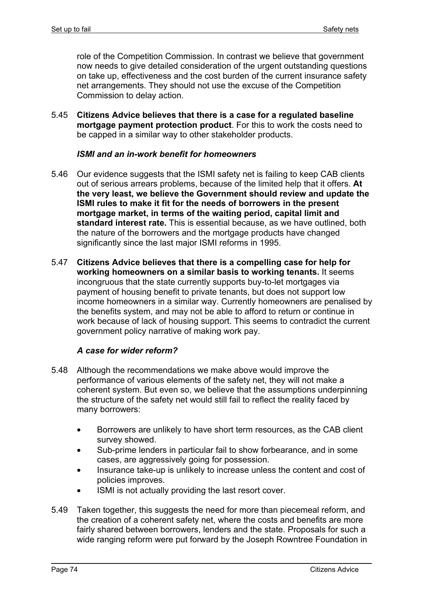role of the Competition Commission. In contrast we believe that government now needs to give detailed consideration of the urgent outstanding questions on take up, effectiveness and the cost burden of the current insurance safety net arrangements. They should not use the excuse of the Competition Commission to delay action.

5.45 **Citizens Advice believes that there is a case for a regulated baseline mortgage payment protection product**. For this to work the costs need to be capped in a similar way to other stakeholder products.

#### *ISMI and an in-work benefit for homeowners*

- 5.46 Our evidence suggests that the ISMI safety net is failing to keep CAB clients out of serious arrears problems, because of the limited help that it offers. **At the very least, we believe the Government should review and update the ISMI rules to make it fit for the needs of borrowers in the present mortgage market, in terms of the waiting period, capital limit and standard interest rate.** This is essential because, as we have outlined, both the nature of the borrowers and the mortgage products have changed significantly since the last major ISMI reforms in 1995.
- 5.47 **Citizens Advice believes that there is a compelling case for help for working homeowners on a similar basis to working tenants.** It seems incongruous that the state currently supports buy-to-let mortgages via payment of housing benefit to private tenants, but does not support low income homeowners in a similar way. Currently homeowners are penalised by the benefits system, and may not be able to afford to return or continue in work because of lack of housing support. This seems to contradict the current government policy narrative of making work pay.

#### *A case for wider reform?*

- 5.48 Although the recommendations we make above would improve the performance of various elements of the safety net, they will not make a coherent system. But even so, we believe that the assumptions underpinning the structure of the safety net would still fail to reflect the reality faced by many borrowers:
	- Borrowers are unlikely to have short term resources, as the CAB client survey showed.
	- Sub-prime lenders in particular fail to show forbearance, and in some cases, are aggressively going for possession.
	- Insurance take-up is unlikely to increase unless the content and cost of policies improves.
	- ISMI is not actually providing the last resort cover.
- 5.49 Taken together, this suggests the need for more than piecemeal reform, and the creation of a coherent safety net, where the costs and benefits are more fairly shared between borrowers, lenders and the state. Proposals for such a wide ranging reform were put forward by the Joseph Rowntree Foundation in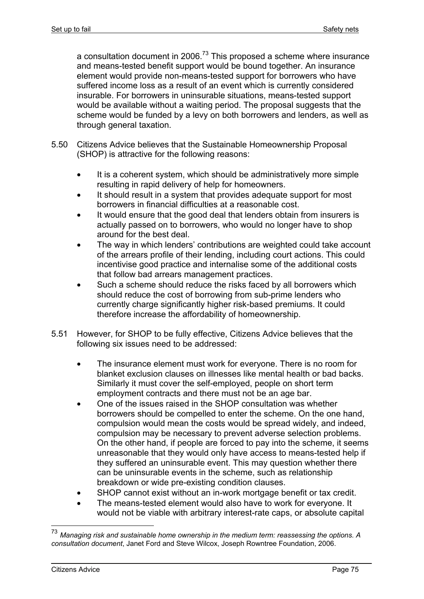a consultation document in 2006.<sup>73</sup> This proposed a scheme where insurance and means-tested benefit support would be bound together. An insurance element would provide non-means-tested support for borrowers who have suffered income loss as a result of an event which is currently considered insurable. For borrowers in uninsurable situations, means-tested support would be available without a waiting period. The proposal suggests that the scheme would be funded by a levy on both borrowers and lenders, as well as through general taxation.

- 5.50 Citizens Advice believes that the Sustainable Homeownership Proposal (SHOP) is attractive for the following reasons:
	- It is a coherent system, which should be administratively more simple resulting in rapid delivery of help for homeowners.
	- It should result in a system that provides adequate support for most borrowers in financial difficulties at a reasonable cost.
	- It would ensure that the good deal that lenders obtain from insurers is actually passed on to borrowers, who would no longer have to shop around for the best deal.
	- The way in which lenders' contributions are weighted could take account of the arrears profile of their lending, including court actions. This could incentivise good practice and internalise some of the additional costs that follow bad arrears management practices.
	- Such a scheme should reduce the risks faced by all borrowers which should reduce the cost of borrowing from sub-prime lenders who currently charge significantly higher risk-based premiums. It could therefore increase the affordability of homeownership.
- 5.51 However, for SHOP to be fully effective, Citizens Advice believes that the following six issues need to be addressed:
	- The insurance element must work for everyone. There is no room for blanket exclusion clauses on illnesses like mental health or bad backs. Similarly it must cover the self-employed, people on short term employment contracts and there must not be an age bar.
	- One of the issues raised in the SHOP consultation was whether borrowers should be compelled to enter the scheme. On the one hand, compulsion would mean the costs would be spread widely, and indeed, compulsion may be necessary to prevent adverse selection problems. On the other hand, if people are forced to pay into the scheme, it seems unreasonable that they would only have access to means-tested help if they suffered an uninsurable event. This may question whether there can be uninsurable events in the scheme, such as relationship breakdown or wide pre-existing condition clauses.
	- SHOP cannot exist without an in-work mortgage benefit or tax credit.
	- The means-tested element would also have to work for everyone. It would not be viable with arbitrary interest-rate caps, or absolute capital

<u>.</u>

<sup>73</sup> *Managing risk and sustainable home ownership in the medium term: reassessing the options. A consultation document*, Janet Ford and Steve Wilcox, Joseph Rowntree Foundation, 2006.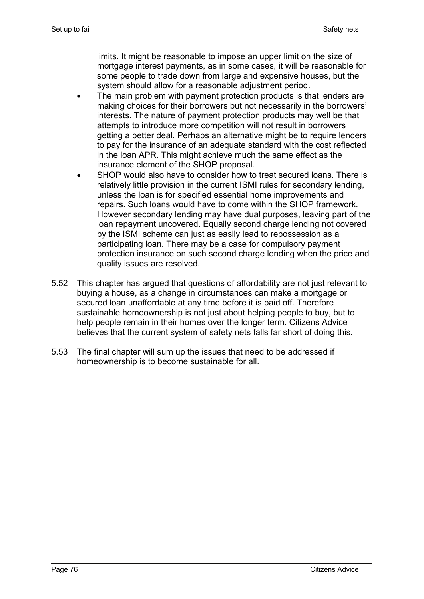limits. It might be reasonable to impose an upper limit on the size of mortgage interest payments, as in some cases, it will be reasonable for some people to trade down from large and expensive houses, but the system should allow for a reasonable adjustment period.

- The main problem with payment protection products is that lenders are making choices for their borrowers but not necessarily in the borrowers' interests. The nature of payment protection products may well be that attempts to introduce more competition will not result in borrowers getting a better deal. Perhaps an alternative might be to require lenders to pay for the insurance of an adequate standard with the cost reflected in the loan APR. This might achieve much the same effect as the insurance element of the SHOP proposal.
- SHOP would also have to consider how to treat secured loans. There is relatively little provision in the current ISMI rules for secondary lending, unless the loan is for specified essential home improvements and repairs. Such loans would have to come within the SHOP framework. However secondary lending may have dual purposes, leaving part of the loan repayment uncovered. Equally second charge lending not covered by the ISMI scheme can just as easily lead to repossession as a participating loan. There may be a case for compulsory payment protection insurance on such second charge lending when the price and quality issues are resolved.
- 5.52 This chapter has argued that questions of affordability are not just relevant to buying a house, as a change in circumstances can make a mortgage or secured loan unaffordable at any time before it is paid off. Therefore sustainable homeownership is not just about helping people to buy, but to help people remain in their homes over the longer term. Citizens Advice believes that the current system of safety nets falls far short of doing this.
- 5.53 The final chapter will sum up the issues that need to be addressed if homeownership is to become sustainable for all.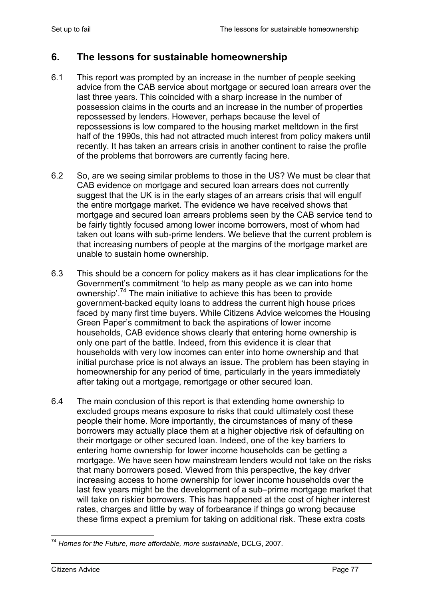# **6. The lessons for sustainable homeownership**

- 6.1 This report was prompted by an increase in the number of people seeking advice from the CAB service about mortgage or secured loan arrears over the last three years. This coincided with a sharp increase in the number of possession claims in the courts and an increase in the number of properties repossessed by lenders. However, perhaps because the level of repossessions is low compared to the housing market meltdown in the first half of the 1990s, this had not attracted much interest from policy makers until recently. It has taken an arrears crisis in another continent to raise the profile of the problems that borrowers are currently facing here.
- 6.2 So, are we seeing similar problems to those in the US? We must be clear that CAB evidence on mortgage and secured loan arrears does not currently suggest that the UK is in the early stages of an arrears crisis that will engulf the entire mortgage market. The evidence we have received shows that mortgage and secured loan arrears problems seen by the CAB service tend to be fairly tightly focused among lower income borrowers, most of whom had taken out loans with sub-prime lenders. We believe that the current problem is that increasing numbers of people at the margins of the mortgage market are unable to sustain home ownership.
- 6.3 This should be a concern for policy makers as it has clear implications for the Government's commitment 'to help as many people as we can into home ownership<sup>'.74</sup> The main initiative to achieve this has been to provide government-backed equity loans to address the current high house prices faced by many first time buyers. While Citizens Advice welcomes the Housing Green Paper's commitment to back the aspirations of lower income households, CAB evidence shows clearly that entering home ownership is only one part of the battle. Indeed, from this evidence it is clear that households with very low incomes can enter into home ownership and that initial purchase price is not always an issue. The problem has been staying in homeownership for any period of time, particularly in the years immediately after taking out a mortgage, remortgage or other secured loan.
- 6.4 The main conclusion of this report is that extending home ownership to excluded groups means exposure to risks that could ultimately cost these people their home. More importantly, the circumstances of many of these borrowers may actually place them at a higher objective risk of defaulting on their mortgage or other secured loan. Indeed, one of the key barriers to entering home ownership for lower income households can be getting a mortgage. We have seen how mainstream lenders would not take on the risks that many borrowers posed. Viewed from this perspective, the key driver increasing access to home ownership for lower income households over the last few years might be the development of a sub–prime mortgage market that will take on riskier borrowers. This has happened at the cost of higher interest rates, charges and little by way of forbearance if things go wrong because these firms expect a premium for taking on additional risk. These extra costs

<sup>1</sup> <sup>74</sup> *Homes for the Future, more affordable, more sustainable*, DCLG, 2007.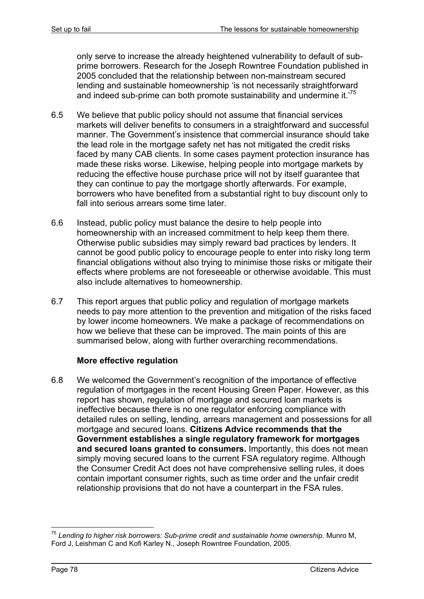only serve to increase the already heightened vulnerability to default of subprime borrowers. Research for the Joseph Rowntree Foundation published in 2005 concluded that the relationship between non-mainstream secured lending and sustainable homeownership 'is not necessarily straightforward and indeed sub-prime can both promote sustainability and undermine it.'75

- 6.5 We believe that public policy should not assume that financial services markets will deliver benefits to consumers in a straightforward and successful manner. The Government's insistence that commercial insurance should take the lead role in the mortgage safety net has not mitigated the credit risks faced by many CAB clients. In some cases payment protection insurance has made these risks worse. Likewise, helping people into mortgage markets by reducing the effective house purchase price will not by itself guarantee that they can continue to pay the mortgage shortly afterwards. For example, borrowers who have benefited from a substantial right to buy discount only to fall into serious arrears some time later.
- 6.6 Instead, public policy must balance the desire to help people into homeownership with an increased commitment to help keep them there. Otherwise public subsidies may simply reward bad practices by lenders. It cannot be good public policy to encourage people to enter into risky long term financial obligations without also trying to minimise those risks or mitigate their effects where problems are not foreseeable or otherwise avoidable. This must also include alternatives to homeownership.
- 6.7 This report argues that public policy and regulation of mortgage markets needs to pay more attention to the prevention and mitigation of the risks faced by lower income homeowners. We make a package of recommendations on how we believe that these can be improved. The main points of this are summarised below, along with further overarching recommendations.

# **More effective regulation**

6.8 We welcomed the Government's recognition of the importance of effective regulation of mortgages in the recent Housing Green Paper. However, as this report has shown, regulation of mortgage and secured loan markets is ineffective because there is no one regulator enforcing compliance with detailed rules on selling, lending, arrears management and possessions for all mortgage and secured loans. **Citizens Advice recommends that the Government establishes a single regulatory framework for mortgages and secured loans granted to consumers.** Importantly, this does not mean simply moving secured loans to the current FSA regulatory regime. Although the Consumer Credit Act does not have comprehensive selling rules, it does contain important consumer rights, such as time order and the unfair credit relationship provisions that do not have a counterpart in the FSA rules.

<sup>1</sup> <sup>75</sup> *Lending to higher risk borrowers: Sub-prime credit and sustainable home ownership.* Munro M, Ford J, Leishman C and Kofi Karley N., Joseph Rowntree Foundation, 2005.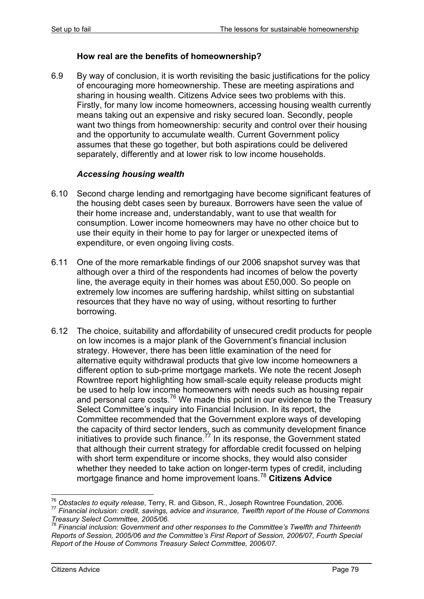### **How real are the benefits of homeownership?**

6.9 By way of conclusion, it is worth revisiting the basic justifications for the policy of encouraging more homeownership. These are meeting aspirations and sharing in housing wealth. Citizens Advice sees two problems with this. Firstly, for many low income homeowners, accessing housing wealth currently means taking out an expensive and risky secured loan. Secondly, people want two things from homeownership: security and control over their housing and the opportunity to accumulate wealth. Current Government policy assumes that these go together, but both aspirations could be delivered separately, differently and at lower risk to low income households.

#### *Accessing housing wealth*

- 6.10 Second charge lending and remortgaging have become significant features of the housing debt cases seen by bureaux. Borrowers have seen the value of their home increase and, understandably, want to use that wealth for consumption. Lower income homeowners may have no other choice but to use their equity in their home to pay for larger or unexpected items of expenditure, or even ongoing living costs.
- 6.11 One of the more remarkable findings of our 2006 snapshot survey was that although over a third of the respondents had incomes of below the poverty line, the average equity in their homes was about £50,000. So people on extremely low incomes are suffering hardship, whilst sitting on substantial resources that they have no way of using, without resorting to further borrowing.
- 6.12 The choice, suitability and affordability of unsecured credit products for people on low incomes is a major plank of the Government's financial inclusion strategy. However, there has been little examination of the need for alternative equity withdrawal products that give low income homeowners a different option to sub-prime mortgage markets. We note the recent Joseph Rowntree report highlighting how small-scale equity release products might be used to help low income homeowners with needs such as housing repair and personal care costs.<sup>76</sup> We made this point in our evidence to the Treasury Select Committee's inquiry into Financial Inclusion. In its report, the Committee recommended that the Government explore ways of developing the capacity of third sector lenders, such as community development finance initiatives to provide such finance.<sup>77</sup> In its response, the Government stated that although their current strategy for affordable credit focussed on helping with short term expenditure or income shocks, they would also consider whether they needed to take action on longer-term types of credit, including mortgage finance and home improvement loans.<sup>78</sup> **Citizens Advice**

<sup>&</sup>lt;sup>76</sup> Obstacles to equity release, Terry, R. and Gibson, R., Joseph Rowntree Foundation, 2006.

<sup>&</sup>lt;sup>77</sup> Financial inclusion: credit, savings, advice and insurance, Twelfth report of the House of Commons *Treasury Select Committee, 2005/06.* 

<sup>78</sup> *Financial inclusion: Government and other responses to the Committee's Twelfth and Thirteenth Reports of Session, 2005/06 and the Committee's First Report of Session, 2006/07, Fourth Special Report of the House of Commons Treasury Select Committee, 2006/07.*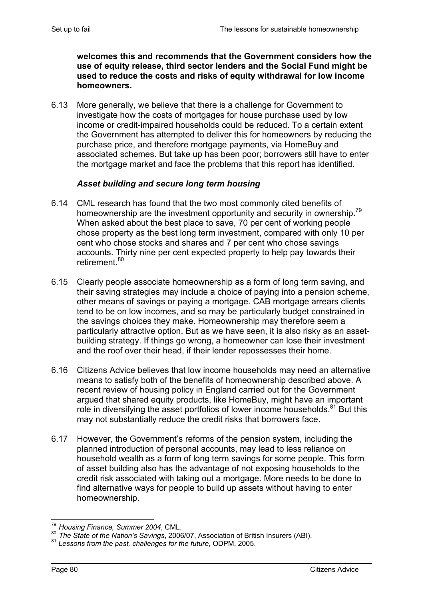**welcomes this and recommends that the Government considers how the use of equity release, third sector lenders and the Social Fund might be used to reduce the costs and risks of equity withdrawal for low income homeowners.** 

6.13 More generally, we believe that there is a challenge for Government to investigate how the costs of mortgages for house purchase used by low income or credit-impaired households could be reduced. To a certain extent the Government has attempted to deliver this for homeowners by reducing the purchase price, and therefore mortgage payments, via HomeBuy and associated schemes. But take up has been poor; borrowers still have to enter the mortgage market and face the problems that this report has identified.

# *Asset building and secure long term housing*

- 6.14 CML research has found that the two most commonly cited benefits of homeownership are the investment opportunity and security in ownership.<sup>79</sup> When asked about the best place to save, 70 per cent of working people chose property as the best long term investment, compared with only 10 per cent who chose stocks and shares and 7 per cent who chose savings accounts. Thirty nine per cent expected property to help pay towards their retirement.<sup>80</sup>
- 6.15 Clearly people associate homeownership as a form of long term saving, and their saving strategies may include a choice of paying into a pension scheme, other means of savings or paying a mortgage. CAB mortgage arrears clients tend to be on low incomes, and so may be particularly budget constrained in the savings choices they make. Homeownership may therefore seem a particularly attractive option. But as we have seen, it is also risky as an assetbuilding strategy. If things go wrong, a homeowner can lose their investment and the roof over their head, if their lender repossesses their home.
- 6.16 Citizens Advice believes that low income households may need an alternative means to satisfy both of the benefits of homeownership described above. A recent review of housing policy in England carried out for the Government argued that shared equity products, like HomeBuy, might have an important role in diversifying the asset portfolios of lower income households. $81$  But this may not substantially reduce the credit risks that borrowers face.
- 6.17 However, the Government's reforms of the pension system, including the planned introduction of personal accounts, may lead to less reliance on household wealth as a form of long term savings for some people. This form of asset building also has the advantage of not exposing households to the credit risk associated with taking out a mortgage. More needs to be done to find alternative ways for people to build up assets without having to enter homeownership.

<sup>1</sup> <sup>79</sup> *Housing Finance, Summer 2004*, CML.

<sup>80</sup> *The State of the Nation's Savings*, 2006/07, Association of British Insurers (ABI). <sup>81</sup> *Lessons from the past, challenges for the future*, ODPM, 2005.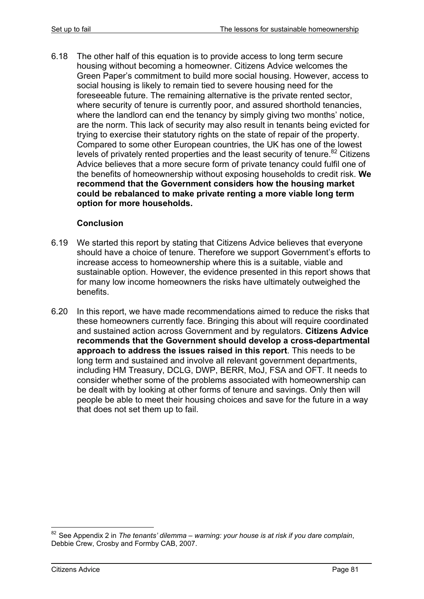6.18 The other half of this equation is to provide access to long term secure housing without becoming a homeowner. Citizens Advice welcomes the Green Paper's commitment to build more social housing. However, access to social housing is likely to remain tied to severe housing need for the foreseeable future. The remaining alternative is the private rented sector, where security of tenure is currently poor, and assured shorthold tenancies, where the landlord can end the tenancy by simply giving two months' notice, are the norm. This lack of security may also result in tenants being evicted for trying to exercise their statutory rights on the state of repair of the property. Compared to some other European countries, the UK has one of the lowest levels of privately rented properties and the least security of tenure.<sup>82</sup> Citizens Advice believes that a more secure form of private tenancy could fulfil one of the benefits of homeownership without exposing households to credit risk. **We recommend that the Government considers how the housing market could be rebalanced to make private renting a more viable long term option for more households.**

## **Conclusion**

- 6.19 We started this report by stating that Citizens Advice believes that everyone should have a choice of tenure. Therefore we support Government's efforts to increase access to homeownership where this is a suitable, viable and sustainable option. However, the evidence presented in this report shows that for many low income homeowners the risks have ultimately outweighed the benefits.
- 6.20 In this report, we have made recommendations aimed to reduce the risks that these homeowners currently face. Bringing this about will require coordinated and sustained action across Government and by regulators. **Citizens Advice recommends that the Government should develop a cross-departmental approach to address the issues raised in this report**. This needs to be long term and sustained and involve all relevant government departments, including HM Treasury, DCLG, DWP, BERR, MoJ, FSA and OFT. It needs to consider whether some of the problems associated with homeownership can be dealt with by looking at other forms of tenure and savings. Only then will people be able to meet their housing choices and save for the future in a way that does not set them up to fail.

<sup>1</sup> <sup>82</sup> See Appendix 2 in *The tenants' dilemma – warning: your house is at risk if you dare complain*, Debbie Crew, Crosby and Formby CAB, 2007.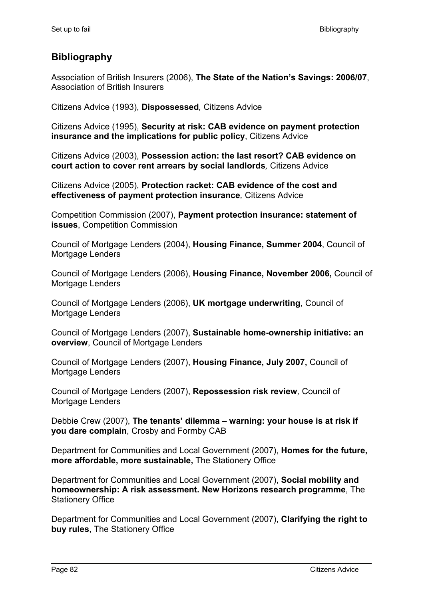# **Bibliography**

Association of British Insurers (2006), **The State of the Nation's Savings: 2006/07**, Association of British Insurers

Citizens Advice (1993), **Dispossessed***,* Citizens Advice

Citizens Advice (1995), **Security at risk: CAB evidence on payment protection insurance and the implications for public policy**, Citizens Advice

Citizens Advice (2003), **Possession action: the last resort? CAB evidence on court action to cover rent arrears by social landlords***,* Citizens Advice

Citizens Advice (2005), **Protection racket: CAB evidence of the cost and effectiveness of payment protection insurance***,* Citizens Advice

Competition Commission (2007), **Payment protection insurance: statement of issues**, Competition Commission

Council of Mortgage Lenders (2004), **Housing Finance, Summer 2004**, Council of Mortgage Lenders

Council of Mortgage Lenders (2006), **Housing Finance, November 2006,** Council of Mortgage Lenders

Council of Mortgage Lenders (2006), **UK mortgage underwriting**, Council of Mortgage Lenders

Council of Mortgage Lenders (2007), **Sustainable home-ownership initiative: an overview**, Council of Mortgage Lenders

Council of Mortgage Lenders (2007), **Housing Finance, July 2007,** Council of Mortgage Lenders

Council of Mortgage Lenders (2007), **Repossession risk review***,* Council of Mortgage Lenders

Debbie Crew (2007), **The tenants' dilemma – warning: your house is at risk if you dare complain**, Crosby and Formby CAB

Department for Communities and Local Government (2007), **Homes for the future, more affordable, more sustainable,** The Stationery Office

Department for Communities and Local Government (2007), **Social mobility and homeownership: A risk assessment. New Horizons research programme**, The Stationery Office

Department for Communities and Local Government (2007), **Clarifying the right to buy rules**, The Stationery Office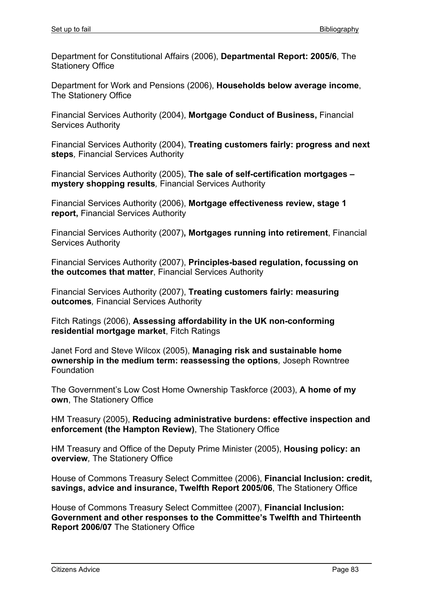Department for Constitutional Affairs (2006), **Departmental Report: 2005/6**, The Stationery Office

Department for Work and Pensions (2006), **Households below average income**, The Stationery Office

Financial Services Authority (2004), **Mortgage Conduct of Business,** Financial Services Authority

Financial Services Authority (2004), **Treating customers fairly: progress and next steps***,* Financial Services Authority

Financial Services Authority (2005), **The sale of self-certification mortgages – mystery shopping results***,* Financial Services Authority

Financial Services Authority (2006), **Mortgage effectiveness review, stage 1 report,** Financial Services Authority

Financial Services Authority (2007)**, Mortgages running into retirement**, Financial Services Authority

Financial Services Authority (2007), **Principles-based regulation, focussing on the outcomes that matter**, Financial Services Authority

Financial Services Authority (2007), **Treating customers fairly: measuring outcomes***,* Financial Services Authority

Fitch Ratings (2006), **Assessing affordability in the UK non-conforming residential mortgage market**, Fitch Ratings

Janet Ford and Steve Wilcox (2005), **Managing risk and sustainable home ownership in the medium term: reassessing the options***,* Joseph Rowntree Foundation

The Government's Low Cost Home Ownership Taskforce (2003), **A home of my own**, The Stationery Office

HM Treasury (2005), **Reducing administrative burdens: effective inspection and enforcement (the Hampton Review)**, The Stationery Office

HM Treasury and Office of the Deputy Prime Minister (2005), **Housing policy: an overview***,* The Stationery Office

House of Commons Treasury Select Committee (2006), **Financial Inclusion: credit, savings, advice and insurance, Twelfth Report 2005/06**, The Stationery Office

House of Commons Treasury Select Committee (2007), **Financial Inclusion: Government and other responses to the Committee's Twelfth and Thirteenth Report 2006/07** The Stationery Office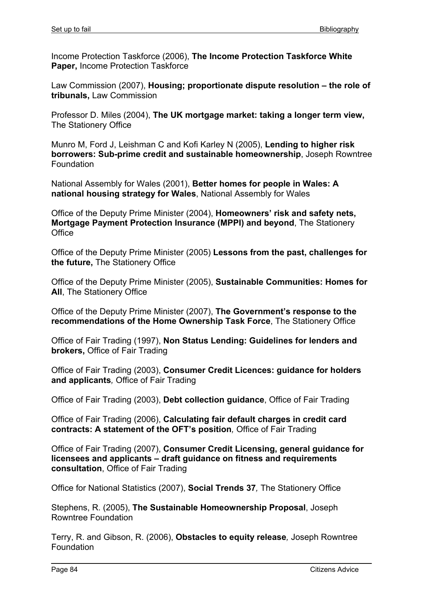Income Protection Taskforce (2006), **The Income Protection Taskforce White Paper,** Income Protection Taskforce

Law Commission (2007), **Housing; proportionate dispute resolution – the role of tribunals,** Law Commission

Professor D. Miles (2004), **The UK mortgage market: taking a longer term view,**  The Stationery Office

Munro M, Ford J, Leishman C and Kofi Karley N (2005), **Lending to higher risk borrowers: Sub-prime credit and sustainable homeownership**, Joseph Rowntree Foundation

National Assembly for Wales (2001), **Better homes for people in Wales: A national housing strategy for Wales**, National Assembly for Wales

Office of the Deputy Prime Minister (2004), **Homeowners' risk and safety nets, Mortgage Payment Protection Insurance (MPPI) and beyond**, The Stationery **Office** 

Office of the Deputy Prime Minister (2005) **Lessons from the past, challenges for the future,** The Stationery Office

Office of the Deputy Prime Minister (2005), **Sustainable Communities: Homes for All**, The Stationery Office

Office of the Deputy Prime Minister (2007), **The Government's response to the recommendations of the Home Ownership Task Force**, The Stationery Office

Office of Fair Trading (1997), **Non Status Lending: Guidelines for lenders and brokers,** Office of Fair Trading

Office of Fair Trading (2003), **Consumer Credit Licences: guidance for holders and applicants***,* Office of Fair Trading

Office of Fair Trading (2003), **Debt collection guidance**, Office of Fair Trading

Office of Fair Trading (2006), **Calculating fair default charges in credit card contracts: A statement of the OFT's position***,* Office of Fair Trading

Office of Fair Trading (2007), **Consumer Credit Licensing, general guidance for licensees and applicants – draft guidance on fitness and requirements consultation**, Office of Fair Trading

Office for National Statistics (2007), **Social Trends 37***,* The Stationery Office

Stephens, R. (2005), **The Sustainable Homeownership Proposal**, Joseph Rowntree Foundation

Terry, R. and Gibson, R. (2006), **Obstacles to equity release***,* Joseph Rowntree Foundation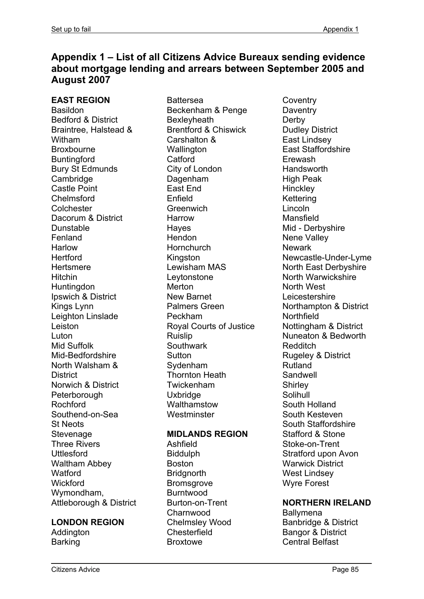# **Appendix 1 – List of all Citizens Advice Bureaux sending evidence about mortgage lending and arrears between September 2005 and August 2007**

**EAST REGION**  Basildon Bedford & District Braintree, Halstead & Witham Broxbourne **Buntingford** Bury St Edmunds **Cambridge** Castle Point Chelmsford **Colchester** Dacorum & District Dunstable Fenland Harlow **Hertford Hertsmere Hitchin Huntingdon** Ipswich & District Kings Lynn Leighton Linslade Leiston Luton Mid Suffolk Mid-Bedfordshire North Walsham & **District** Norwich & District **Peterborough** Rochford Southend-on-Sea St Neots **Stevenage** Three Rivers Uttlesford Waltham Abbey **Watford Wickford** Wymondham, Attleborough & District

#### **LONDON REGION**

**Addinaton Barking** 

Battersea Beckenham & Penge **Bexleyheath** Brentford & Chiswick Carshalton & **Wallington Catford** City of London Dagenham East End Enfield **Greenwich** Harrow Hayes Hendon **Hornchurch** Kingston Lewisham MAS Leytonstone Merton New Barnet Palmers Green Peckham Royal Courts of Justice Ruislip **Southwark Sutton** Sydenham Thornton Heath Twickenham **Uxbridge Walthamstow Westminster** 

#### **MIDLANDS REGION**

Ashfield Biddulph Boston **Bridgnorth Bromsgrove** Burntwood Burton-on-Trent Charnwood Chelmsley Wood **Chesterfield Broxtowe** 

**Coventry Daventry Derby** Dudley District East Lindsey East Staffordshire Erewash **Handsworth** High Peak **Hinckley Kettering** Lincoln Mansfield Mid - Derbyshire Nene Valley **Newark** Newcastle-Under-Lyme North East Derbyshire North Warwickshire North West Leicestershire Northampton & District **Northfield** Nottingham & District Nuneaton & Bedworth Redditch Rugeley & District Rutland **Sandwell Shirley** Solihull South Holland South Kesteven South Staffordshire Stafford & Stone Stoke-on-Trent Stratford upon Avon Warwick District West Lindsey Wyre Forest

#### **NORTHERN IRELAND**

**Ballymena** Banbridge & District Bangor & District Central Belfast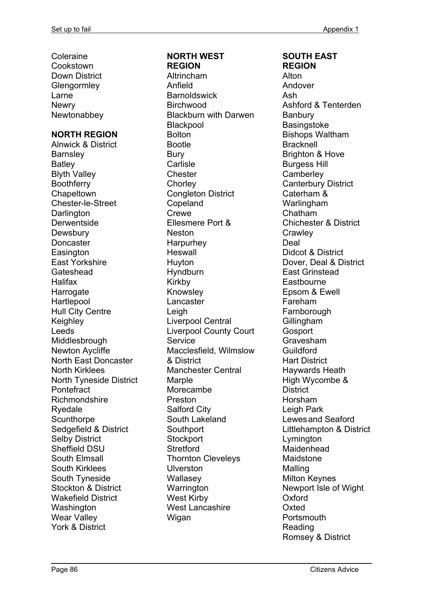Coleraine **Cookstown** Down District **Glengormley** Larne **Newry Newtonabbey** 

#### **NORTH REGION**

Alnwick & District **Barnsley Batley** Blyth Valley **Boothferry Chapeltown** Chester-le-Street **Darlington Derwentside Dewsbury Doncaster Easington** East Yorkshire **Gateshead** Halifax **Harrogate Hartlepool** Hull City Centre Keighley Leeds Middlesbrough Newton Aycliffe North East Doncaster North Kirklees North Tyneside District **Pontefract** Richmondshire Ryedale **Scunthorpe** Sedgefield & District Selby District Sheffield DSU South Elmsall South Kirklees South Tyneside Stockton & District Wakefield District **Washington** Wear Valley York & District

#### **NORTH WEST REGION**

Altrincham Anfield **Barnoldswick Birchwood** Blackburn with Darwen **Blackpool** Bolton Bootle Bury **Carlisle Chester Chorley** Congleton District Copeland Crewe Ellesmere Port & Neston Harpurhey **Heswall** Huyton Hyndburn Kirkby Knowsley Lancaster Leigh Liverpool Central Liverpool County Court **Service** Macclesfield, Wilmslow & District Manchester Central **Marple** Morecambe Preston Salford City South Lakeland **Southport Stockport Stretford** Thornton Cleveleys **Ulverston Wallasev Warrington** West Kirby West Lancashire Wigan

#### **SOUTH EAST REGION**

Alton Andover Ash Ashford & Tenterden **Banbury Basingstoke** Bishops Waltham **Bracknell** Brighton & Hove Burgess Hill **Camberley** Canterbury District Caterham & Warlingham Chatham Chichester & District **Crawley** Deal Didcot & District Dover, Deal & District East Grinstead **Eastbourne** Epsom & Ewell Fareham **Farnborough** Gillingham **Gosport** Gravesham Guildford Hart District Haywards Heath High Wycombe & **District** Horsham Leigh Park Lewes and Seaford Littlehampton & District **Lymington** Maidenhead Maidstone Malling Milton Keynes Newport Isle of Wight Oxford Oxted **Portsmouth** Reading Romsey & District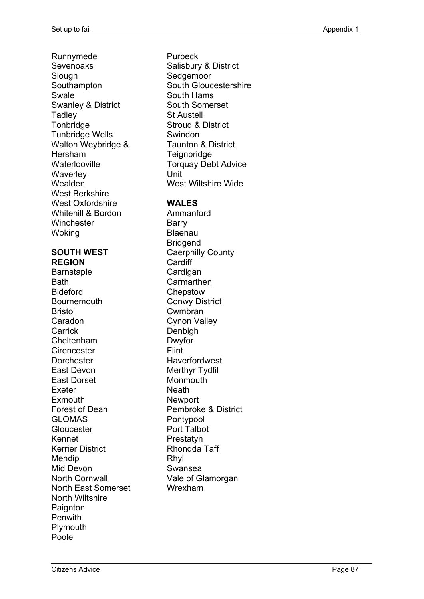Runnymede Sevenoaks **Slough Southampton** Swale Swanley & District **Tadley Tonbridge** Tunbridge Wells Walton Weybridge & Hersham **Waterlooville Waverley** Wealden West Berkshire West Oxfordshire Whitehill & Bordon **Winchester Woking** 

## **SOUTH WEST REGION**

**Barnstaple Bath** Bideford **Bournemouth** Bristol Caradon **Carrick** Cheltenham **Cirencester** Dorchester East Devon East Dorset Exeter Exmouth Forest of Dean GLOMAS **Gloucester** Kennet Kerrier District Mendip Mid Devon North Cornwall North East Somerset North Wiltshire Paignton **Penwith** Plymouth Poole

Purbeck Salisbury & District **Sedgemoor** South Gloucestershire South Hams South Somerset St Austell Stroud & District Swindon Taunton & District **Teignbridge** Torquay Debt Advice Unit West Wiltshire Wide

## **WALES**

Ammanford Barry Blaenau Bridgend Caerphilly County **Cardiff** Cardigan **Carmarthen Chepstow** Conwy District Cwmbran Cynon Valley Denbigh Dwyfor Flint **Haverfordwest** Merthyr Tydfil Monmouth Neath Newport Pembroke & District Pontypool Port Talbot Prestatyn Rhondda Taff Rhyl Swansea Vale of Glamorgan Wrexham